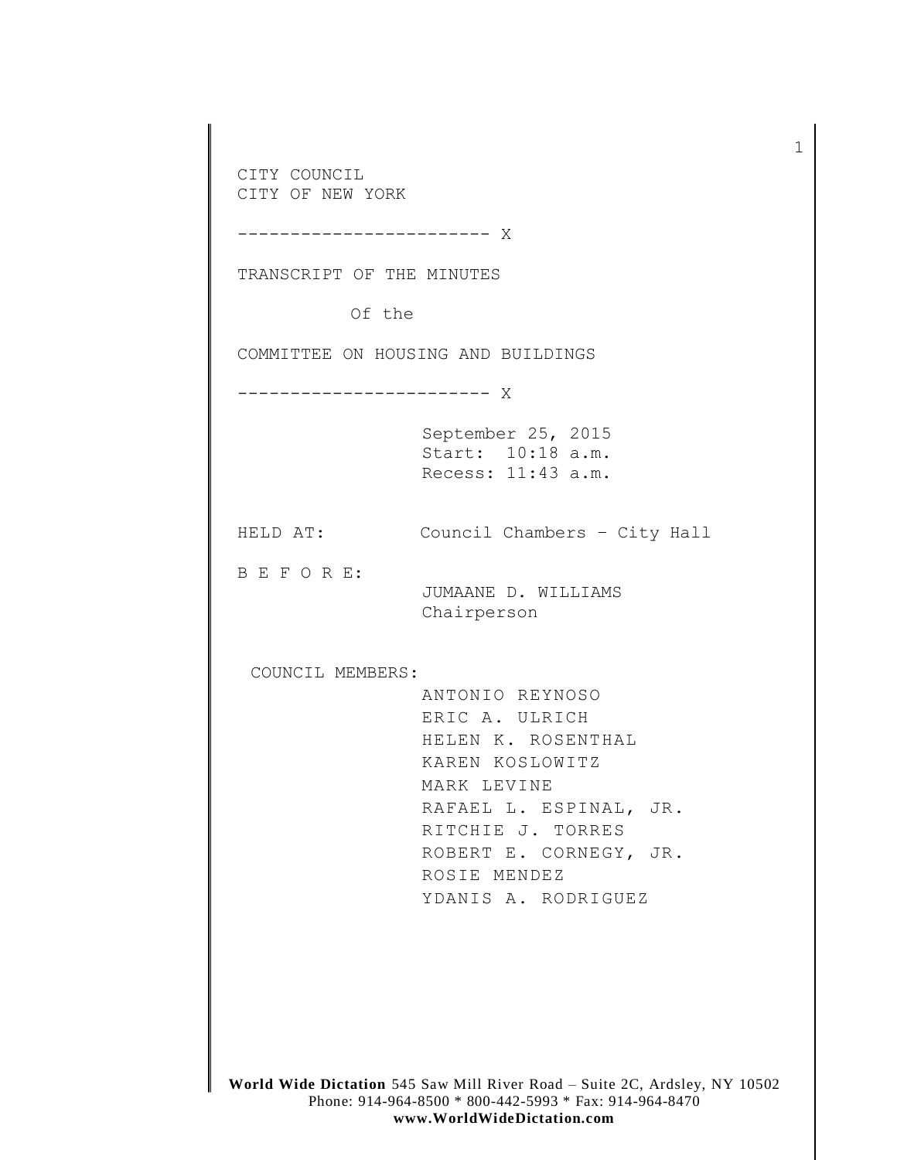CITY COUNCIL CITY OF NEW YORK ------------------------ X TRANSCRIPT OF THE MINUTES Of the COMMITTEE ON HOUSING AND BUILDINGS ------------------------ X September 25, 2015 Start: 10:18 a.m. Recess: 11:43 a.m. HELD AT: Council Chambers – City Hall B E F O R E: JUMAANE D. WILLIAMS Chairperson COUNCIL MEMBERS: ANTONIO REYNOSO ERIC A. ULRICH HELEN K. ROSENTHAL KAREN KOSLOWITZ MARK LEVINE RAFAEL L. ESPINAL, JR. RITCHIE J. TORRES ROBERT E. CORNEGY, JR. ROSIE MENDEZ YDANIS A. RODRIGUEZ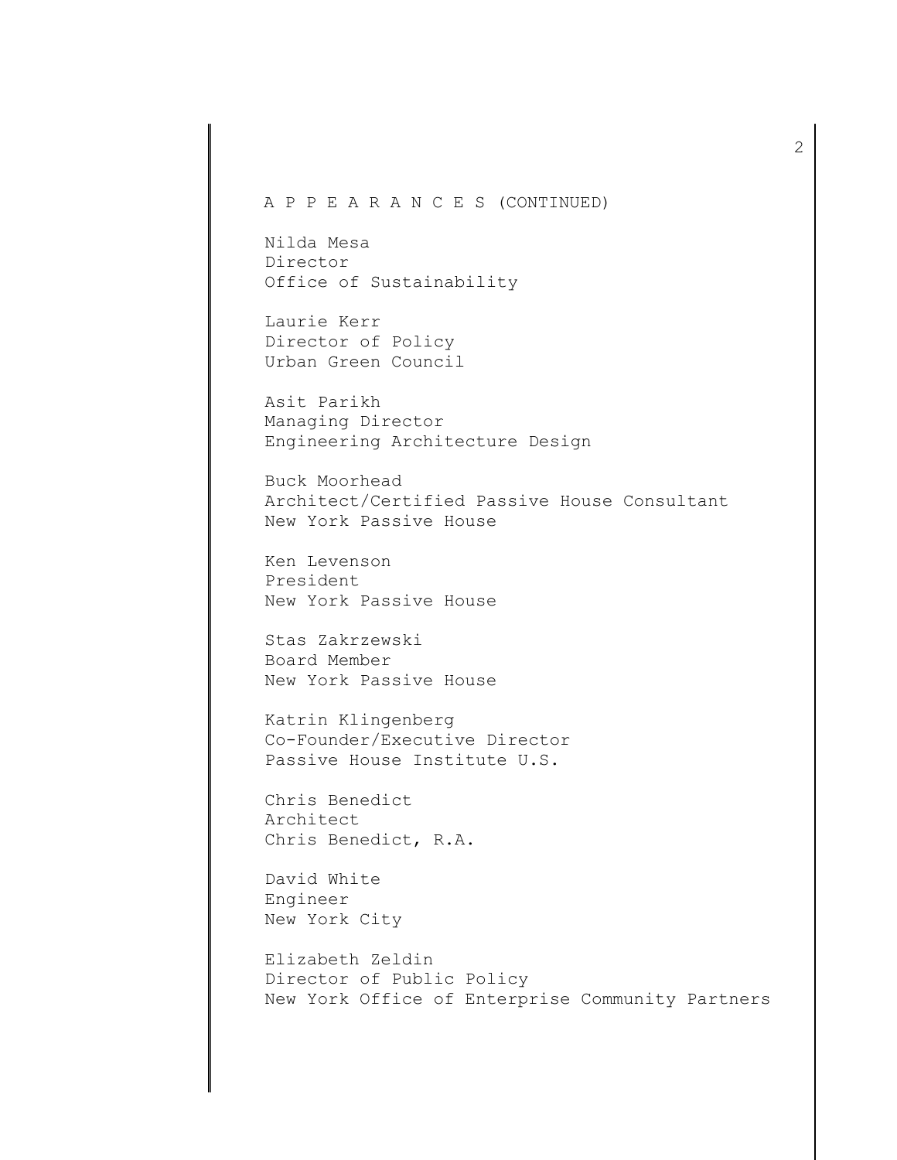## A P P E A R A N C E S (CONTINUED)

Nilda Mesa Director Office of Sustainability

Laurie Kerr Director of Policy Urban Green Council

Asit Parikh Managing Director Engineering Architecture Design

Buck Moorhead Architect/Certified Passive House Consultant New York Passive House

Ken Levenson President New York Passive House

Stas Zakrzewski Board Member New York Passive House

Katrin Klingenberg Co-Founder/Executive Director Passive House Institute U.S.

Chris Benedict Architect Chris Benedict, R.A.

David White Engineer New York City

Elizabeth Zeldin Director of Public Policy New York Office of Enterprise Community Partners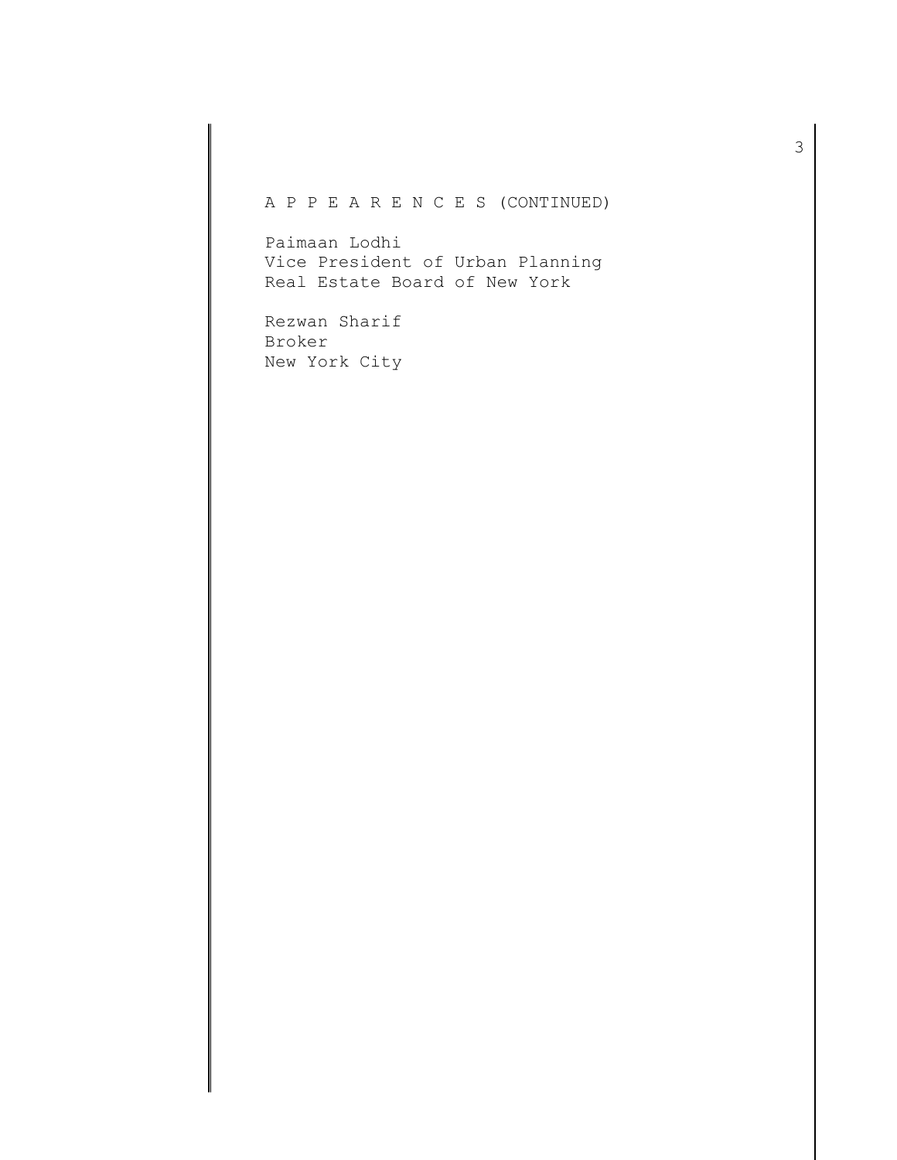## A P P E A R E N C E S (CONTINUED)

Paimaan Lodhi Vice President of Urban Planning Real Estate Board of New York

Rezwan Sharif Broker New York City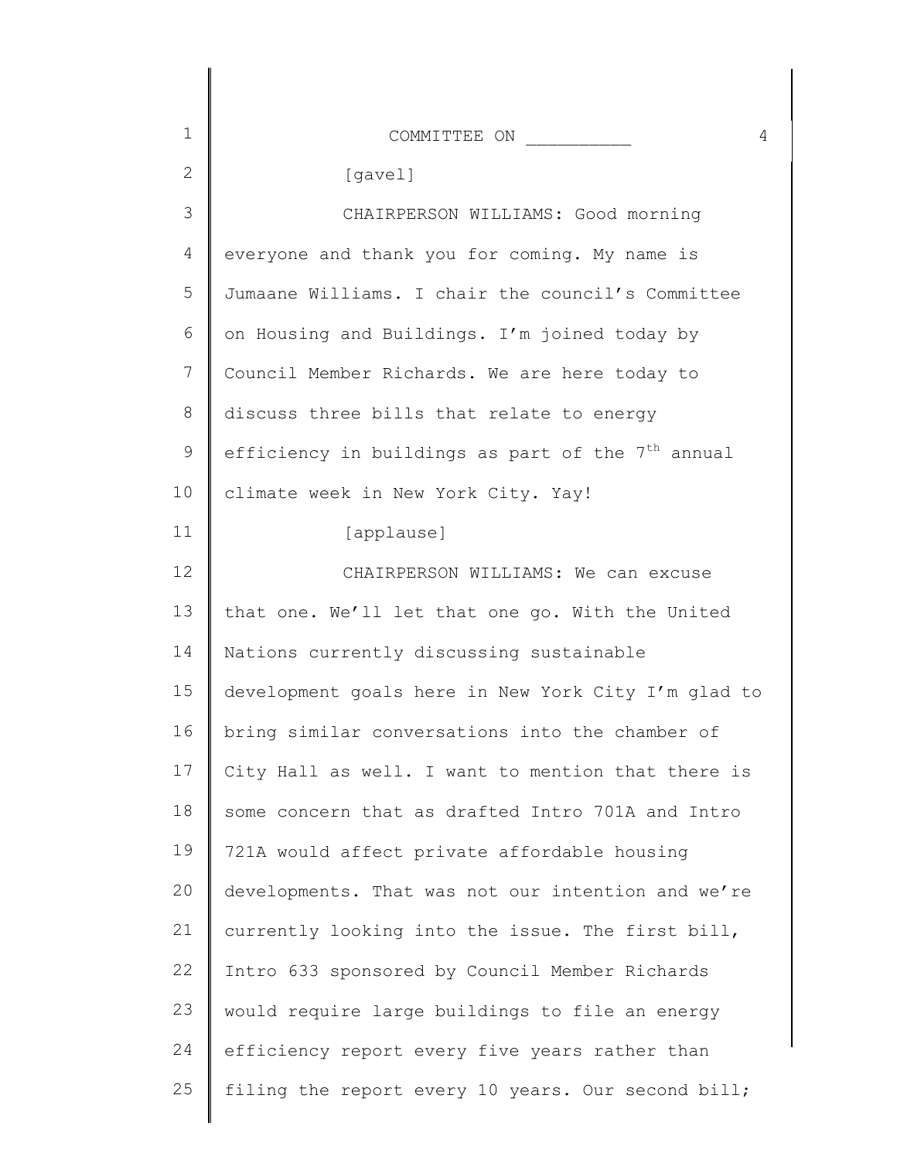| $\mathbf 1$ | 4                                                             |
|-------------|---------------------------------------------------------------|
| 2           | [gavel]                                                       |
| 3           | CHAIRPERSON WILLIAMS: Good morning                            |
| 4           | everyone and thank you for coming. My name is                 |
| 5           | Jumaane Williams. I chair the council's Committee             |
| 6           | on Housing and Buildings. I'm joined today by                 |
| 7           | Council Member Richards. We are here today to                 |
| 8           | discuss three bills that relate to energy                     |
| 9           | efficiency in buildings as part of the 7 <sup>th</sup> annual |
| 10          | climate week in New York City. Yay!                           |
| 11          | [applause]                                                    |
| 12          | CHAIRPERSON WILLIAMS: We can excuse                           |
| 13          | that one. We'll let that one go. With the United              |
| 14          | Nations currently discussing sustainable                      |
| 15          | development goals here in New York City I'm glad to           |
| 16          | bring similar conversations into the chamber of               |
| 17          | City Hall as well. I want to mention that there is            |
| 18          | some concern that as drafted Intro 701A and Intro             |
| 19          | 721A would affect private affordable housing                  |
| 20          | developments. That was not our intention and we're            |
| 21          | currently looking into the issue. The first bill,             |
| 22          | Intro 633 sponsored by Council Member Richards                |
| 23          | would require large buildings to file an energy               |
| 24          | efficiency report every five years rather than                |
| 25          | filing the report every 10 years. Our second bill;            |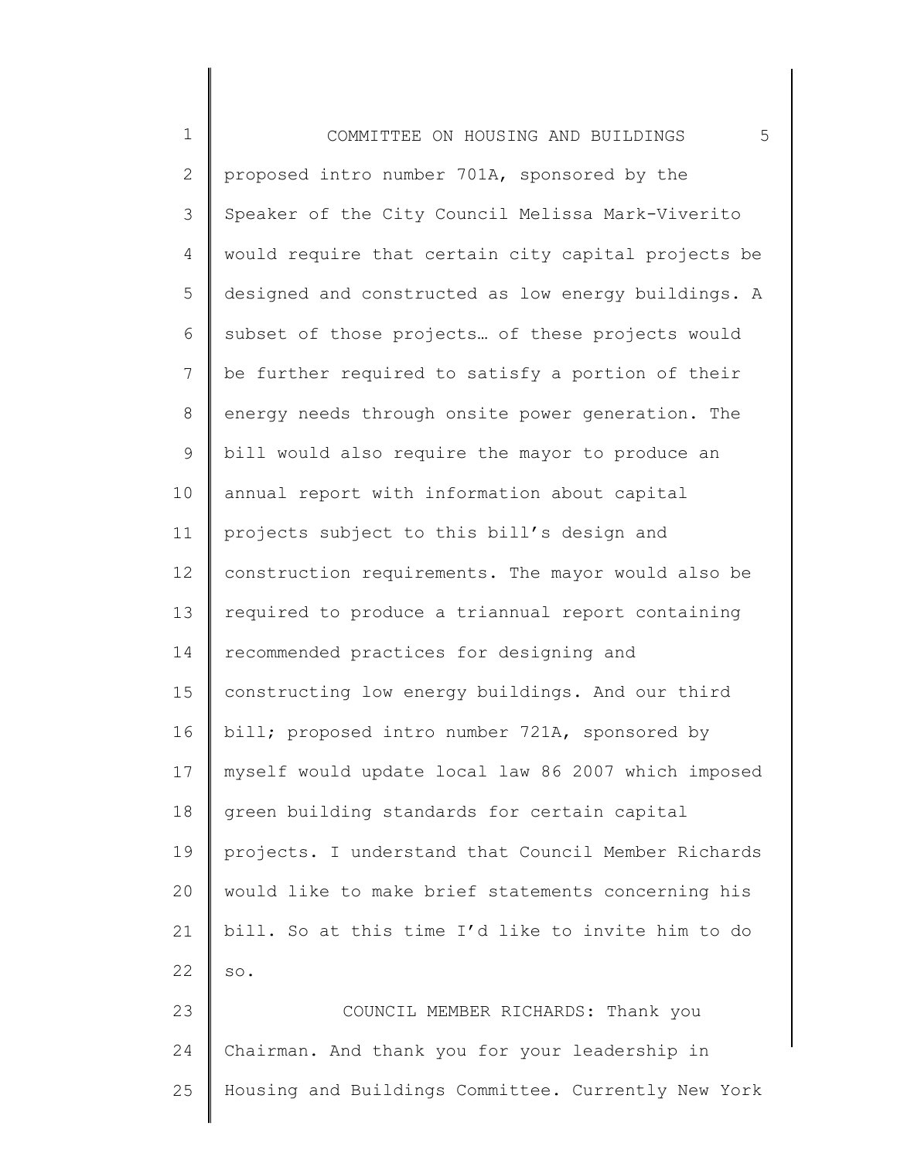| $\mathbf 1$  | 5<br>COMMITTEE ON HOUSING AND BUILDINGS             |
|--------------|-----------------------------------------------------|
| $\mathbf{2}$ | proposed intro number 701A, sponsored by the        |
| 3            | Speaker of the City Council Melissa Mark-Viverito   |
| 4            | would require that certain city capital projects be |
| 5            | designed and constructed as low energy buildings. A |
| 6            | subset of those projects of these projects would    |
| 7            | be further required to satisfy a portion of their   |
| $\,8\,$      | energy needs through onsite power generation. The   |
| $\mathsf 9$  | bill would also require the mayor to produce an     |
| 10           | annual report with information about capital        |
| 11           | projects subject to this bill's design and          |
| 12           | construction requirements. The mayor would also be  |
| 13           | required to produce a triannual report containing   |
| 14           | recommended practices for designing and             |
| 15           | constructing low energy buildings. And our third    |
| 16           | bill; proposed intro number 721A, sponsored by      |
| 17           | myself would update local law 86 2007 which imposed |
| 18           | green building standards for certain capital        |
| 19           | projects. I understand that Council Member Richards |
| 20           | would like to make brief statements concerning his  |
| 21           | bill. So at this time I'd like to invite him to do  |
| 22           | $\texttt{SO}$ .                                     |
| 23           | COUNCIL MEMBER RICHARDS: Thank you                  |
| 24           | Chairman. And thank you for your leadership in      |
| 25           | Housing and Buildings Committee. Currently New York |
|              |                                                     |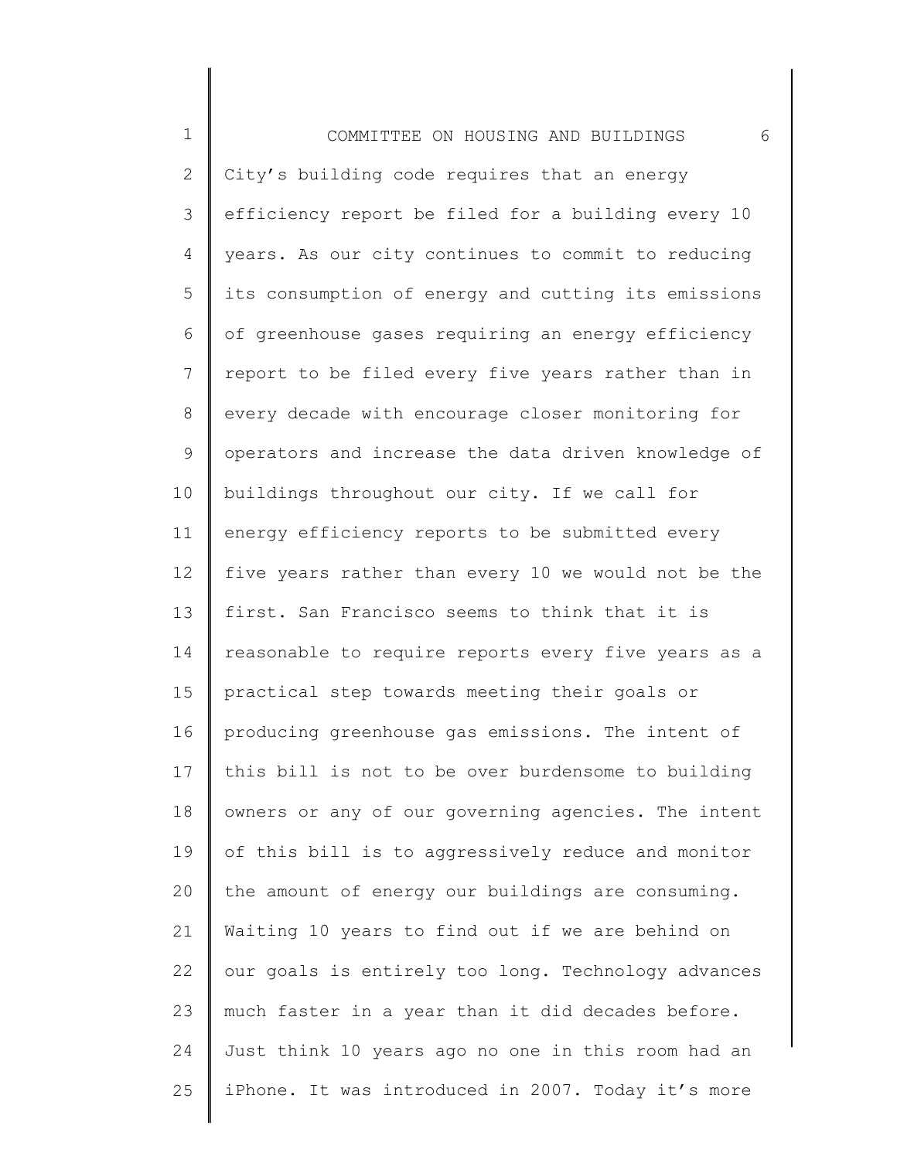| $\mathbf 1$    | COMMITTEE ON HOUSING AND BUILDINGS<br>6             |
|----------------|-----------------------------------------------------|
| $\overline{2}$ | City's building code requires that an energy        |
| 3              | efficiency report be filed for a building every 10  |
| 4              | years. As our city continues to commit to reducing  |
| 5              | its consumption of energy and cutting its emissions |
| 6              | of greenhouse gases requiring an energy efficiency  |
| $\overline{7}$ | report to be filed every five years rather than in  |
| $8\,$          | every decade with encourage closer monitoring for   |
| $\mathsf 9$    | operators and increase the data driven knowledge of |
| 10             | buildings throughout our city. If we call for       |
| 11             | energy efficiency reports to be submitted every     |
| 12             | five years rather than every 10 we would not be the |
| 13             | first. San Francisco seems to think that it is      |
| 14             | reasonable to require reports every five years as a |
| 15             | practical step towards meeting their goals or       |
| 16             | producing greenhouse gas emissions. The intent of   |
| 17             | this bill is not to be over burdensome to building  |
| 18             | owners or any of our governing agencies. The intent |
| 19             | of this bill is to aggressively reduce and monitor  |
| 20             | the amount of energy our buildings are consuming.   |
| 21             | Waiting 10 years to find out if we are behind on    |
| 22             | our goals is entirely too long. Technology advances |
| 23             | much faster in a year than it did decades before.   |
| 24             | Just think 10 years ago no one in this room had an  |
| 25             | iPhone. It was introduced in 2007. Today it's more  |
|                |                                                     |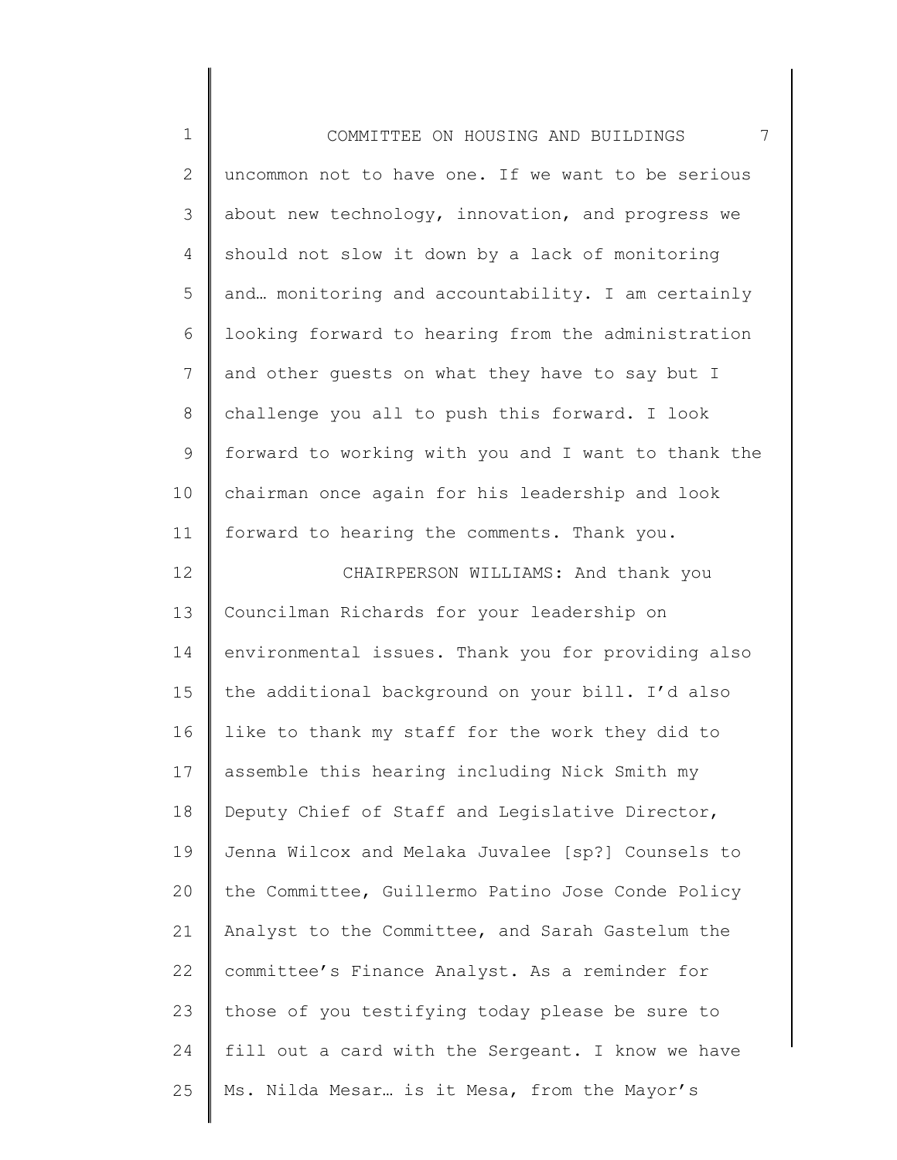1 2 3 4 5 6 7 8 9 10 11 12 13 14 15 16 17 18 19 20 21 22 23 24 25 COMMITTEE ON HOUSING AND BUILDINGS 7 uncommon not to have one. If we want to be serious about new technology, innovation, and progress we should not slow it down by a lack of monitoring and… monitoring and accountability. I am certainly looking forward to hearing from the administration and other guests on what they have to say but I challenge you all to push this forward. I look forward to working with you and I want to thank the chairman once again for his leadership and look forward to hearing the comments. Thank you. CHAIRPERSON WILLIAMS: And thank you Councilman Richards for your leadership on environmental issues. Thank you for providing also the additional background on your bill. I'd also like to thank my staff for the work they did to assemble this hearing including Nick Smith my Deputy Chief of Staff and Legislative Director, Jenna Wilcox and Melaka Juvalee [sp?] Counsels to the Committee, Guillermo Patino Jose Conde Policy Analyst to the Committee, and Sarah Gastelum the committee's Finance Analyst. As a reminder for those of you testifying today please be sure to fill out a card with the Sergeant. I know we have Ms. Nilda Mesar… is it Mesa, from the Mayor's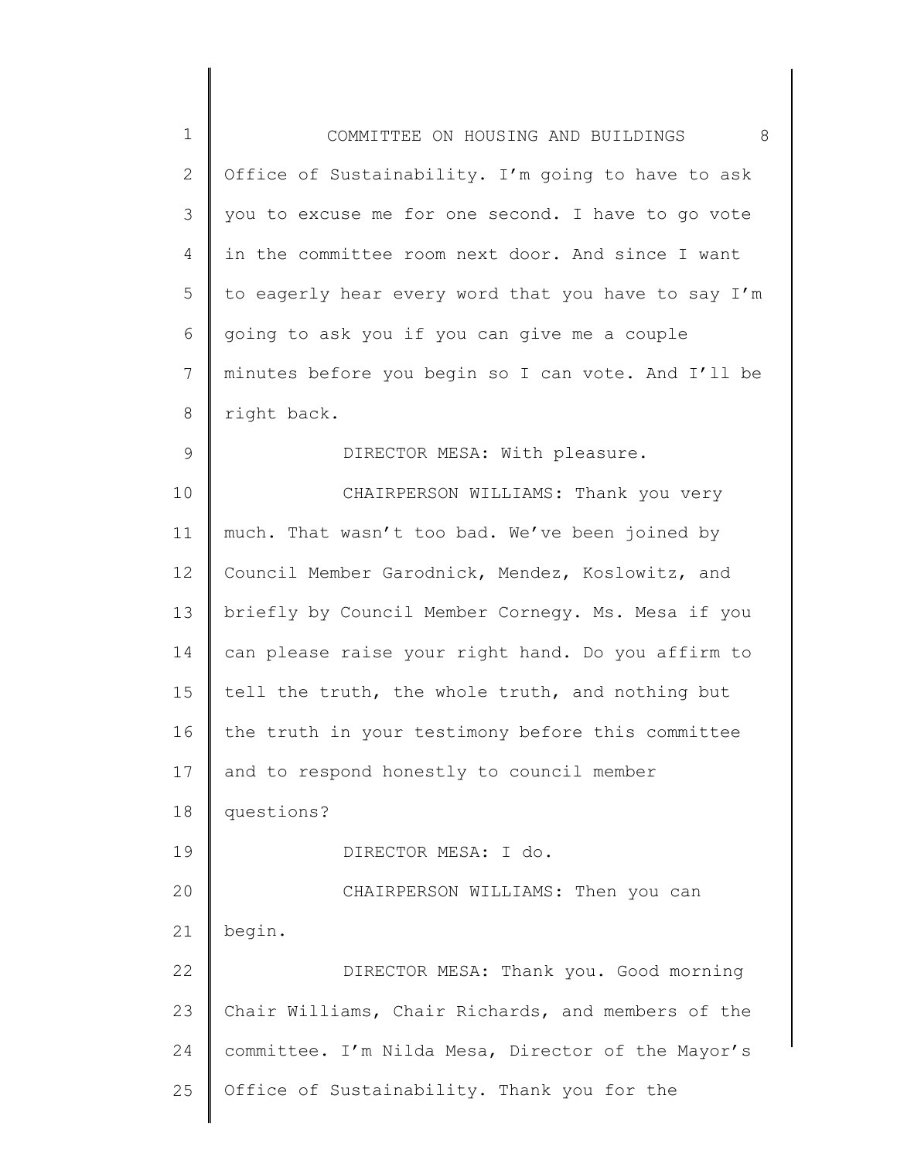| $\mathbf 1$     | - 8<br>COMMITTEE ON HOUSING AND BUILDINGS           |
|-----------------|-----------------------------------------------------|
| $\mathbf{2}$    | Office of Sustainability. I'm going to have to ask  |
| 3               | you to excuse me for one second. I have to go vote  |
| 4               | in the committee room next door. And since I want   |
| 5               | to eagerly hear every word that you have to say I'm |
| 6               | going to ask you if you can give me a couple        |
| 7               | minutes before you begin so I can vote. And I'll be |
| 8               | right back.                                         |
| 9               | DIRECTOR MESA: With pleasure.                       |
| 10              | CHAIRPERSON WILLIAMS: Thank you very                |
| 11              | much. That wasn't too bad. We've been joined by     |
| 12 <sup>°</sup> | Council Member Garodnick, Mendez, Koslowitz, and    |
| 13              | briefly by Council Member Cornegy. Ms. Mesa if you  |
| 14              | can please raise your right hand. Do you affirm to  |
| 15              | tell the truth, the whole truth, and nothing but    |
| 16              | the truth in your testimony before this committee   |
| 17              | and to respond honestly to council member           |
| 18              | questions?                                          |
| 19              | DIRECTOR MESA: I do.                                |
| 20              | CHAIRPERSON WILLIAMS: Then you can                  |
| 21              | begin.                                              |
| 22              | DIRECTOR MESA: Thank you. Good morning              |
| 23              | Chair Williams, Chair Richards, and members of the  |
| 24              | committee. I'm Nilda Mesa, Director of the Mayor's  |
| 25              | Office of Sustainability. Thank you for the         |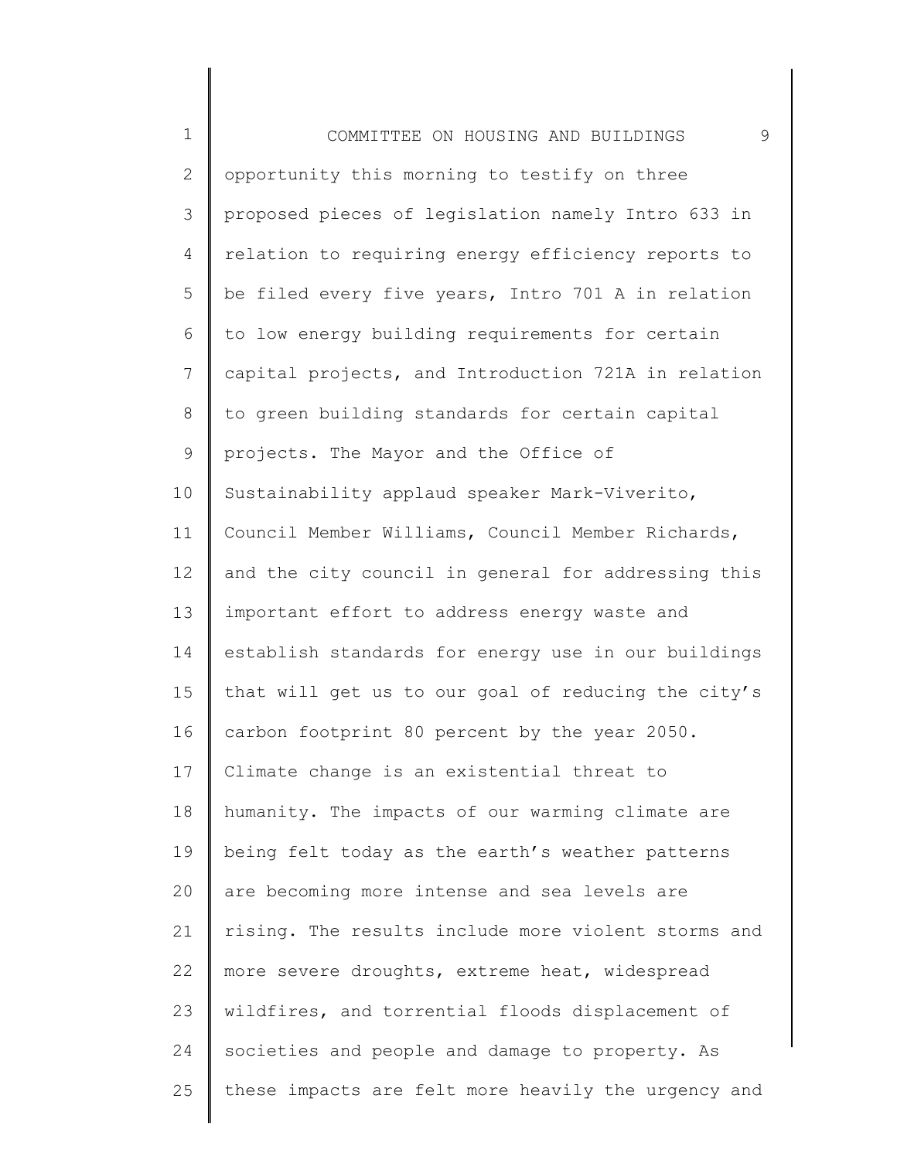| $\mathbf 1$  | 9<br>COMMITTEE ON HOUSING AND BUILDINGS             |
|--------------|-----------------------------------------------------|
| $\mathbf{2}$ | opportunity this morning to testify on three        |
| 3            | proposed pieces of legislation namely Intro 633 in  |
| 4            | relation to requiring energy efficiency reports to  |
| 5            | be filed every five years, Intro 701 A in relation  |
| 6            | to low energy building requirements for certain     |
| 7            | capital projects, and Introduction 721A in relation |
| $\,8\,$      | to green building standards for certain capital     |
| $\mathsf 9$  | projects. The Mayor and the Office of               |
| 10           | Sustainability applaud speaker Mark-Viverito,       |
| 11           | Council Member Williams, Council Member Richards,   |
| 12           | and the city council in general for addressing this |
| 13           | important effort to address energy waste and        |
| 14           | establish standards for energy use in our buildings |
| 15           | that will get us to our goal of reducing the city's |
| 16           | carbon footprint 80 percent by the year 2050.       |
| 17           | Climate change is an existential threat to          |
| 18           | humanity. The impacts of our warming climate are    |
| 19           | being felt today as the earth's weather patterns    |
| 20           | are becoming more intense and sea levels are        |
| 21           | rising. The results include more violent storms and |
| 22           | more severe droughts, extreme heat, widespread      |
| 23           | wildfires, and torrential floods displacement of    |
| 24           | societies and people and damage to property. As     |
| 25           | these impacts are felt more heavily the urgency and |
|              |                                                     |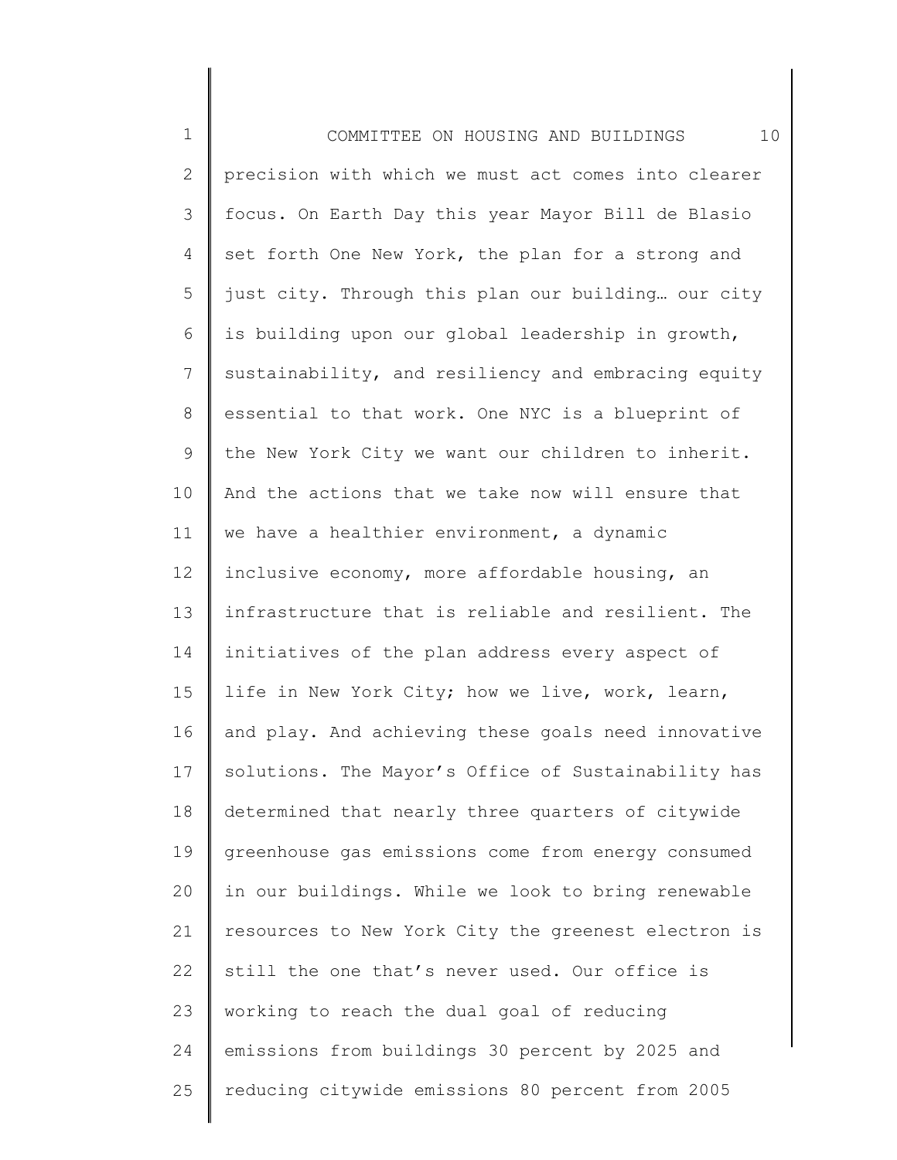1 2 3 4 5 6 7 8 9 10 11 12 13 14 15 16 17 18 19 20 21 22 23 24 25 COMMITTEE ON HOUSING AND BUILDINGS 10 precision with which we must act comes into clearer focus. On Earth Day this year Mayor Bill de Blasio set forth One New York, the plan for a strong and just city. Through this plan our building… our city is building upon our global leadership in growth, sustainability, and resiliency and embracing equity essential to that work. One NYC is a blueprint of the New York City we want our children to inherit. And the actions that we take now will ensure that we have a healthier environment, a dynamic inclusive economy, more affordable housing, an infrastructure that is reliable and resilient. The initiatives of the plan address every aspect of life in New York City; how we live, work, learn, and play. And achieving these goals need innovative solutions. The Mayor's Office of Sustainability has determined that nearly three quarters of citywide greenhouse gas emissions come from energy consumed in our buildings. While we look to bring renewable resources to New York City the greenest electron is still the one that's never used. Our office is working to reach the dual goal of reducing emissions from buildings 30 percent by 2025 and reducing citywide emissions 80 percent from 2005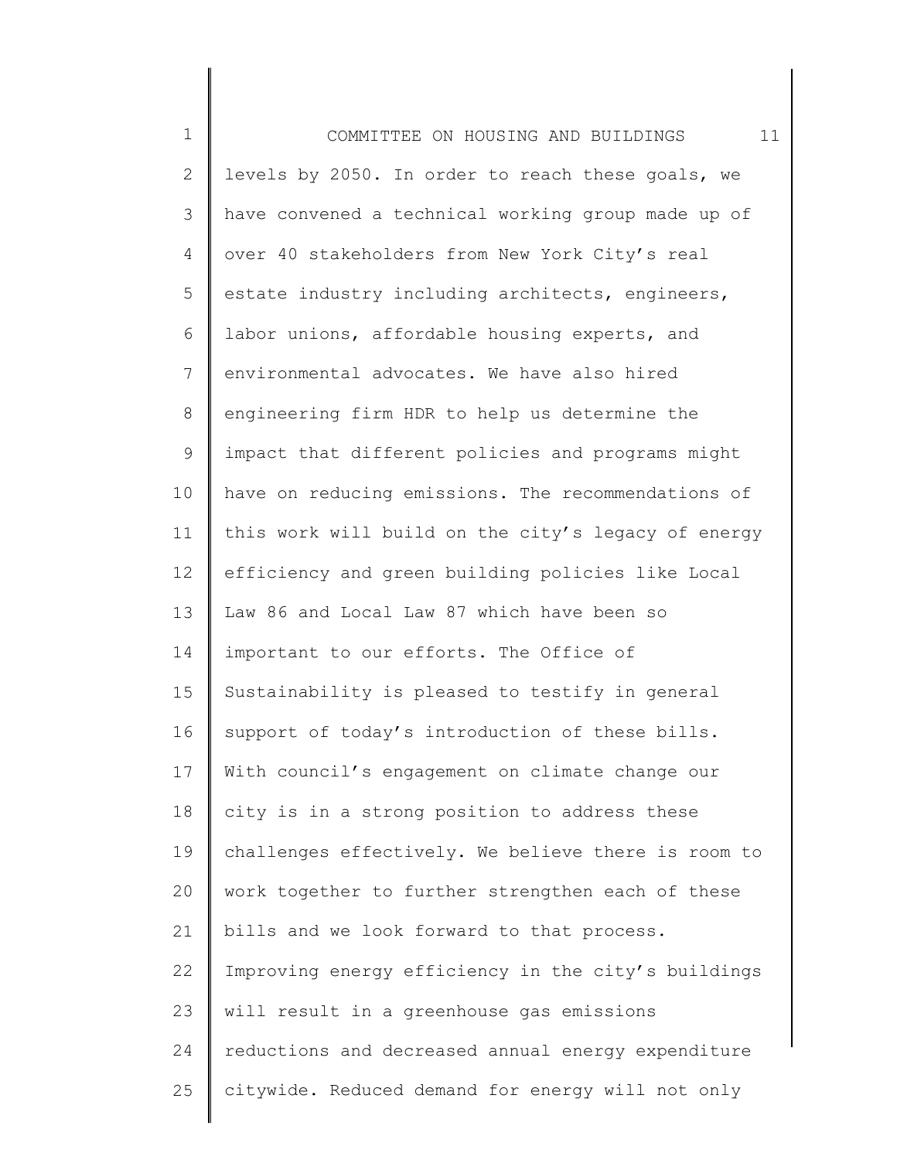| $\mathbf 1$  | 11<br>COMMITTEE ON HOUSING AND BUILDINGS            |
|--------------|-----------------------------------------------------|
| $\mathbf{2}$ | levels by 2050. In order to reach these goals, we   |
| 3            | have convened a technical working group made up of  |
| 4            | over 40 stakeholders from New York City's real      |
| 5            | estate industry including architects, engineers,    |
| 6            | labor unions, affordable housing experts, and       |
| 7            | environmental advocates. We have also hired         |
| $\,8\,$      | engineering firm HDR to help us determine the       |
| 9            | impact that different policies and programs might   |
| 10           | have on reducing emissions. The recommendations of  |
| 11           | this work will build on the city's legacy of energy |
| 12           | efficiency and green building policies like Local   |
| 13           | Law 86 and Local Law 87 which have been so          |
| 14           | important to our efforts. The Office of             |
| 15           | Sustainability is pleased to testify in general     |
| 16           | support of today's introduction of these bills.     |
| 17           | With council's engagement on climate change our     |
| 18           | city is in a strong position to address these       |
| 19           | challenges effectively. We believe there is room to |
| 20           | work together to further strengthen each of these   |
| 21           | bills and we look forward to that process.          |
| 22           | Improving energy efficiency in the city's buildings |
| 23           | will result in a greenhouse gas emissions           |
| 24           | reductions and decreased annual energy expenditure  |
| 25           | citywide. Reduced demand for energy will not only   |
|              |                                                     |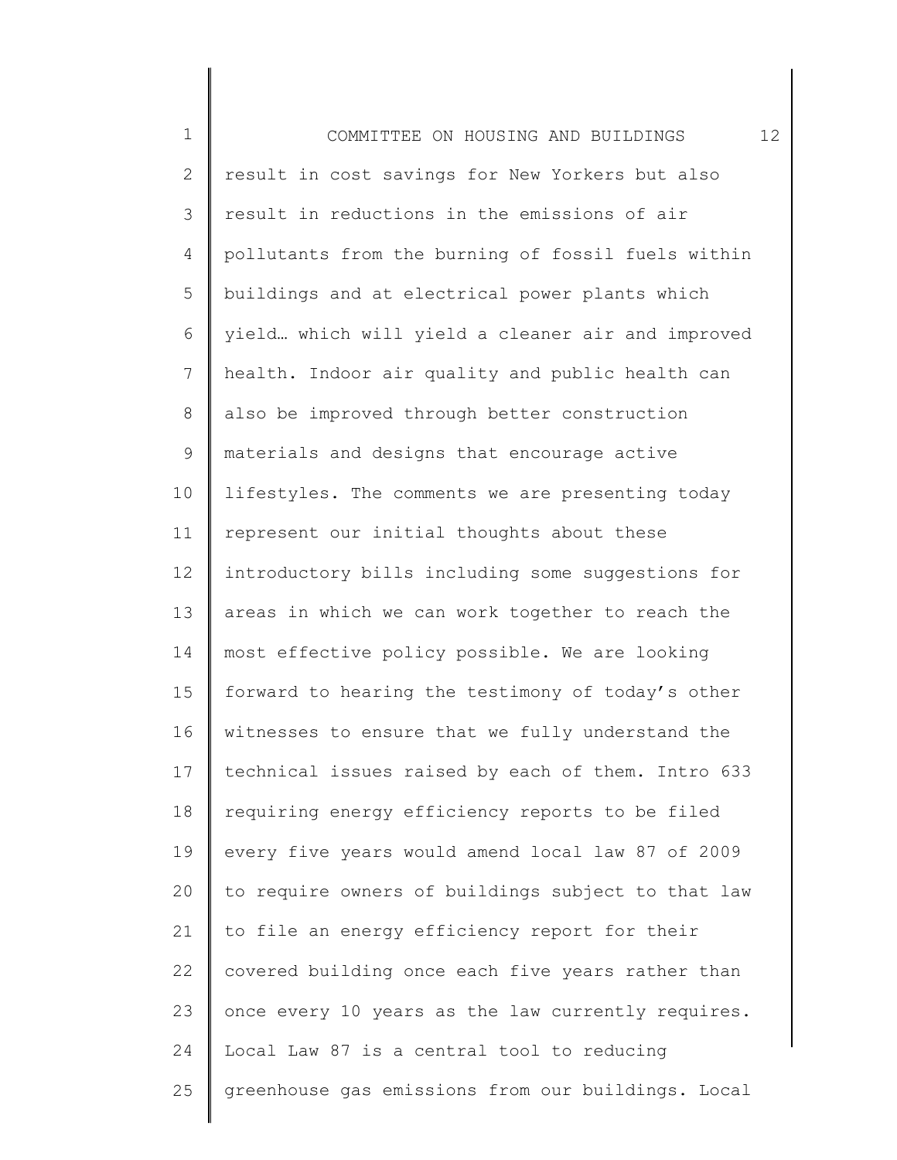| $\mathbf 1$  | 12<br>COMMITTEE ON HOUSING AND BUILDINGS           |
|--------------|----------------------------------------------------|
| $\mathbf{2}$ | result in cost savings for New Yorkers but also    |
| 3            | result in reductions in the emissions of air       |
| 4            | pollutants from the burning of fossil fuels within |
| 5            | buildings and at electrical power plants which     |
| 6            | yield which will yield a cleaner air and improved  |
| 7            | health. Indoor air quality and public health can   |
| 8            | also be improved through better construction       |
| 9            | materials and designs that encourage active        |
| 10           | lifestyles. The comments we are presenting today   |
| 11           | represent our initial thoughts about these         |
| 12           | introductory bills including some suggestions for  |
| 13           | areas in which we can work together to reach the   |
| 14           | most effective policy possible. We are looking     |
| 15           | forward to hearing the testimony of today's other  |
| 16           | witnesses to ensure that we fully understand the   |
| 17           | technical issues raised by each of them. Intro 633 |
| 18           | requiring energy efficiency reports to be filed    |
| 19           | every five years would amend local law 87 of 2009  |
| 20           | to require owners of buildings subject to that law |
| 21           | to file an energy efficiency report for their      |
| 22           | covered building once each five years rather than  |
| 23           | once every 10 years as the law currently requires. |
| 24           | Local Law 87 is a central tool to reducing         |
| 25           | greenhouse gas emissions from our buildings. Local |
|              |                                                    |

 $\mathsf{I}$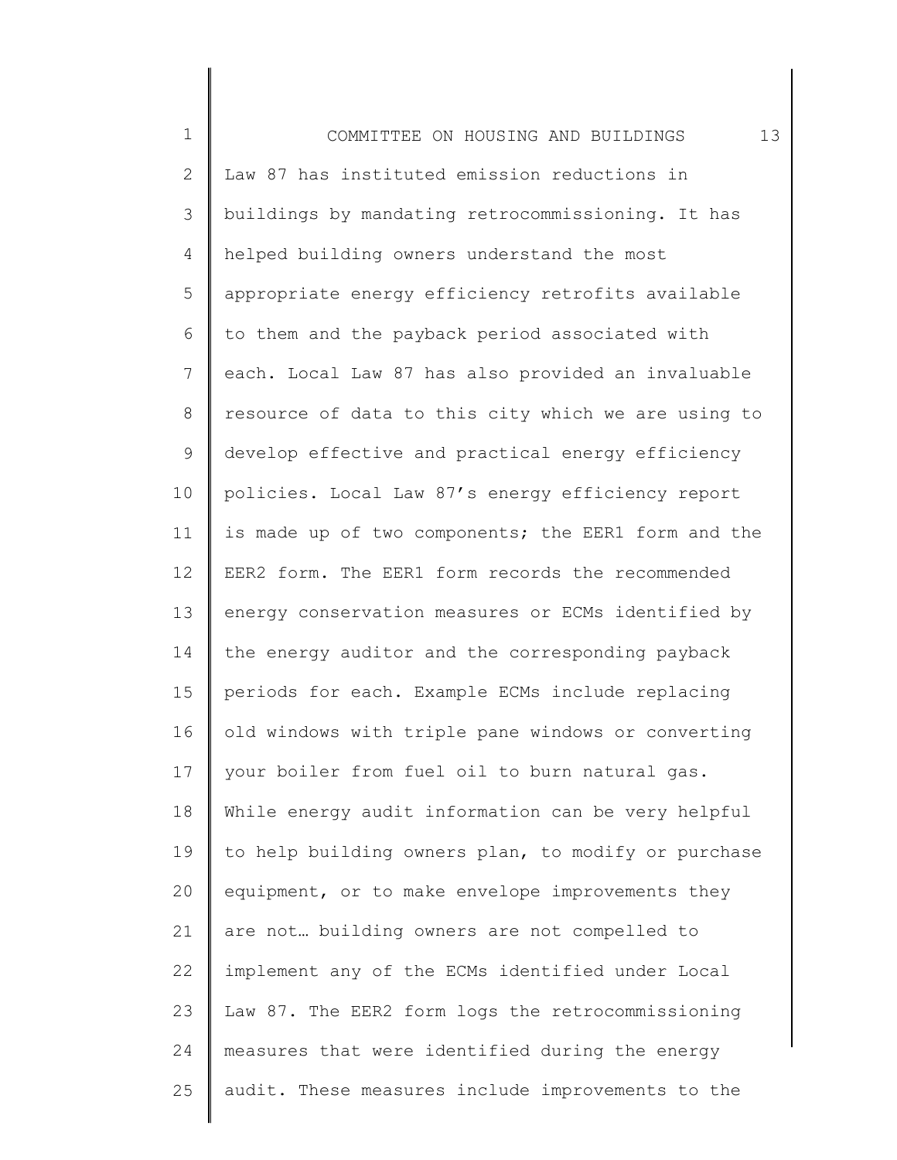| $\mathbf 1$    | 13<br>COMMITTEE ON HOUSING AND BUILDINGS            |
|----------------|-----------------------------------------------------|
| $\overline{2}$ | Law 87 has instituted emission reductions in        |
| 3              | buildings by mandating retrocommissioning. It has   |
| $\overline{4}$ | helped building owners understand the most          |
| 5              | appropriate energy efficiency retrofits available   |
| 6              | to them and the payback period associated with      |
| 7              | each. Local Law 87 has also provided an invaluable  |
| $8\,$          | resource of data to this city which we are using to |
| $\mathsf 9$    | develop effective and practical energy efficiency   |
| 10             | policies. Local Law 87's energy efficiency report   |
| 11             | is made up of two components; the EER1 form and the |
| 12             | EER2 form. The EER1 form records the recommended    |
| 13             | energy conservation measures or ECMs identified by  |
| 14             | the energy auditor and the corresponding payback    |
| 15             | periods for each. Example ECMs include replacing    |
| 16             | old windows with triple pane windows or converting  |
| 17             | your boiler from fuel oil to burn natural gas.      |
| 18             | While energy audit information can be very helpful  |
| 19             | to help building owners plan, to modify or purchase |
| 20             | equipment, or to make envelope improvements they    |
| 21             | are not building owners are not compelled to        |
| 22             | implement any of the ECMs identified under Local    |
| 23             | Law 87. The EER2 form logs the retrocommissioning   |
| 24             | measures that were identified during the energy     |
| 25             | audit. These measures include improvements to the   |
|                |                                                     |

║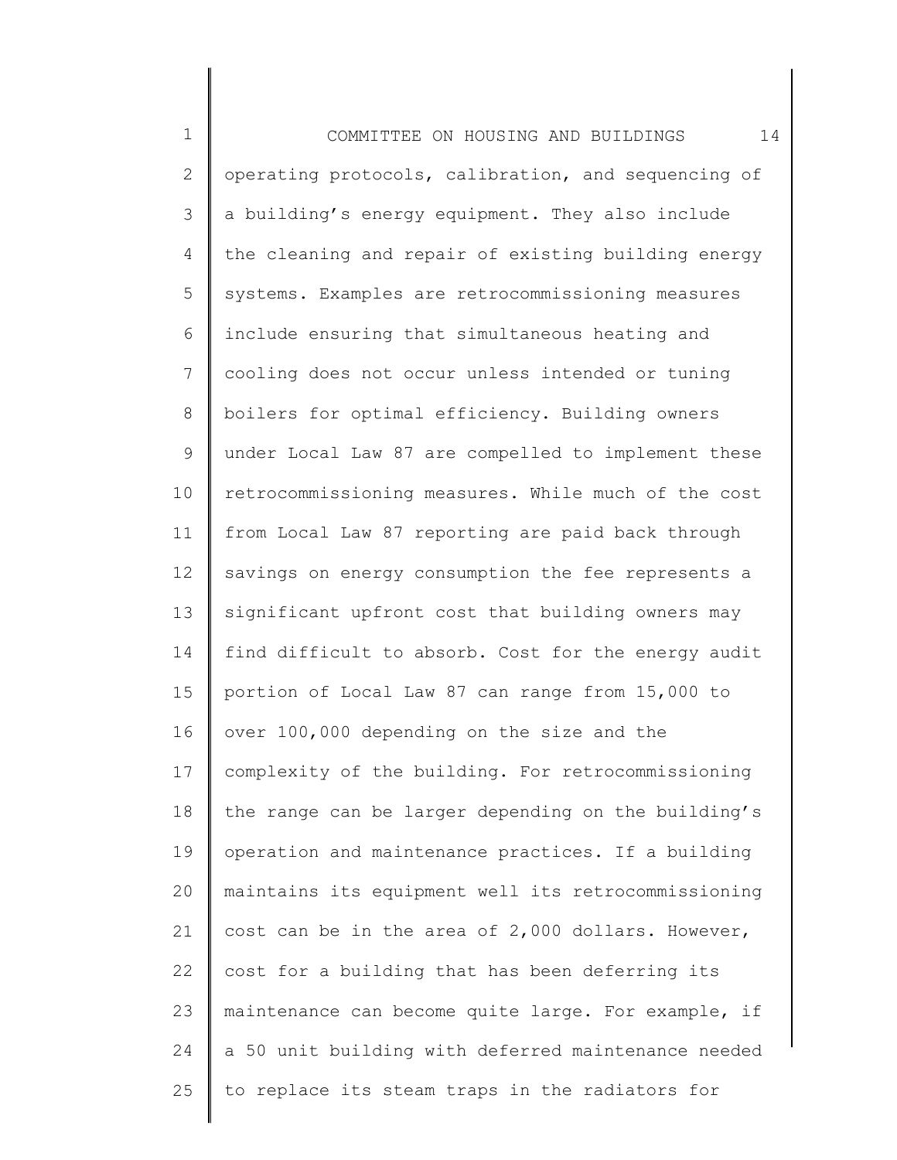1 2 3 4 5 6 7 8 9 10 11 12 13 14 15 16 17 18 19 20 21 22 23 24 25 COMMITTEE ON HOUSING AND BUILDINGS 14 operating protocols, calibration, and sequencing of a building's energy equipment. They also include the cleaning and repair of existing building energy systems. Examples are retrocommissioning measures include ensuring that simultaneous heating and cooling does not occur unless intended or tuning boilers for optimal efficiency. Building owners under Local Law 87 are compelled to implement these retrocommissioning measures. While much of the cost from Local Law 87 reporting are paid back through savings on energy consumption the fee represents a significant upfront cost that building owners may find difficult to absorb. Cost for the energy audit portion of Local Law 87 can range from 15,000 to over 100,000 depending on the size and the complexity of the building. For retrocommissioning the range can be larger depending on the building's operation and maintenance practices. If a building maintains its equipment well its retrocommissioning cost can be in the area of 2,000 dollars. However, cost for a building that has been deferring its maintenance can become quite large. For example, if a 50 unit building with deferred maintenance needed to replace its steam traps in the radiators for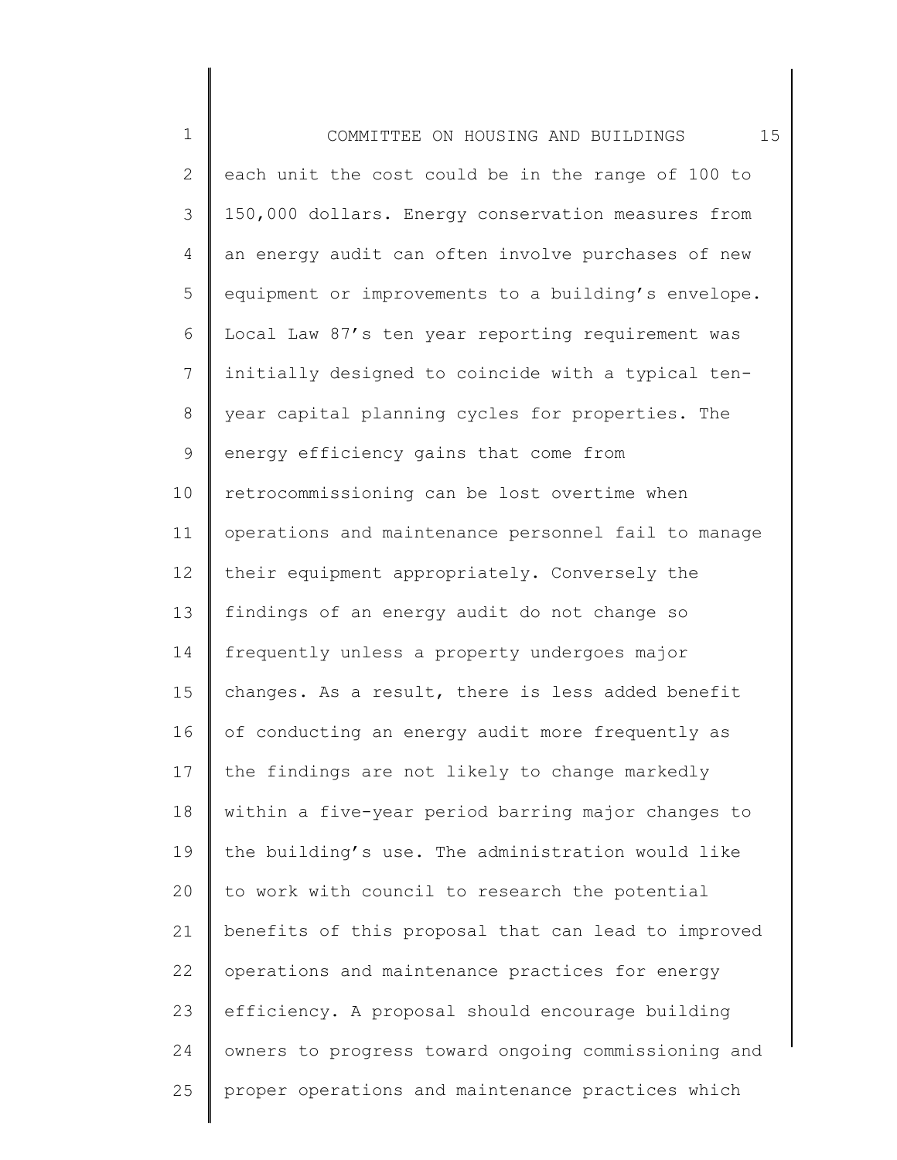| $\mathbf 1$    | 15<br>COMMITTEE ON HOUSING AND BUILDINGS            |
|----------------|-----------------------------------------------------|
| $\mathbf{2}$   | each unit the cost could be in the range of 100 to  |
| 3              | 150,000 dollars. Energy conservation measures from  |
| 4              | an energy audit can often involve purchases of new  |
| 5              | equipment or improvements to a building's envelope. |
| 6              | Local Law 87's ten year reporting requirement was   |
| $\overline{7}$ | initially designed to coincide with a typical ten-  |
| 8              | year capital planning cycles for properties. The    |
| 9              | energy efficiency gains that come from              |
| 10             | retrocommissioning can be lost overtime when        |
| 11             | operations and maintenance personnel fail to manage |
| 12             | their equipment appropriately. Conversely the       |
| 13             | findings of an energy audit do not change so        |
| 14             | frequently unless a property undergoes major        |
| 15             | changes. As a result, there is less added benefit   |
| 16             | of conducting an energy audit more frequently as    |
| 17             | the findings are not likely to change markedly      |
| 18             | within a five-year period barring major changes to  |
| 19             | the building's use. The administration would like   |
| 20             | to work with council to research the potential      |
| 21             | benefits of this proposal that can lead to improved |
| 22             | operations and maintenance practices for energy     |
| 23             | efficiency. A proposal should encourage building    |
| 24             | owners to progress toward ongoing commissioning and |
| 25             | proper operations and maintenance practices which   |
|                |                                                     |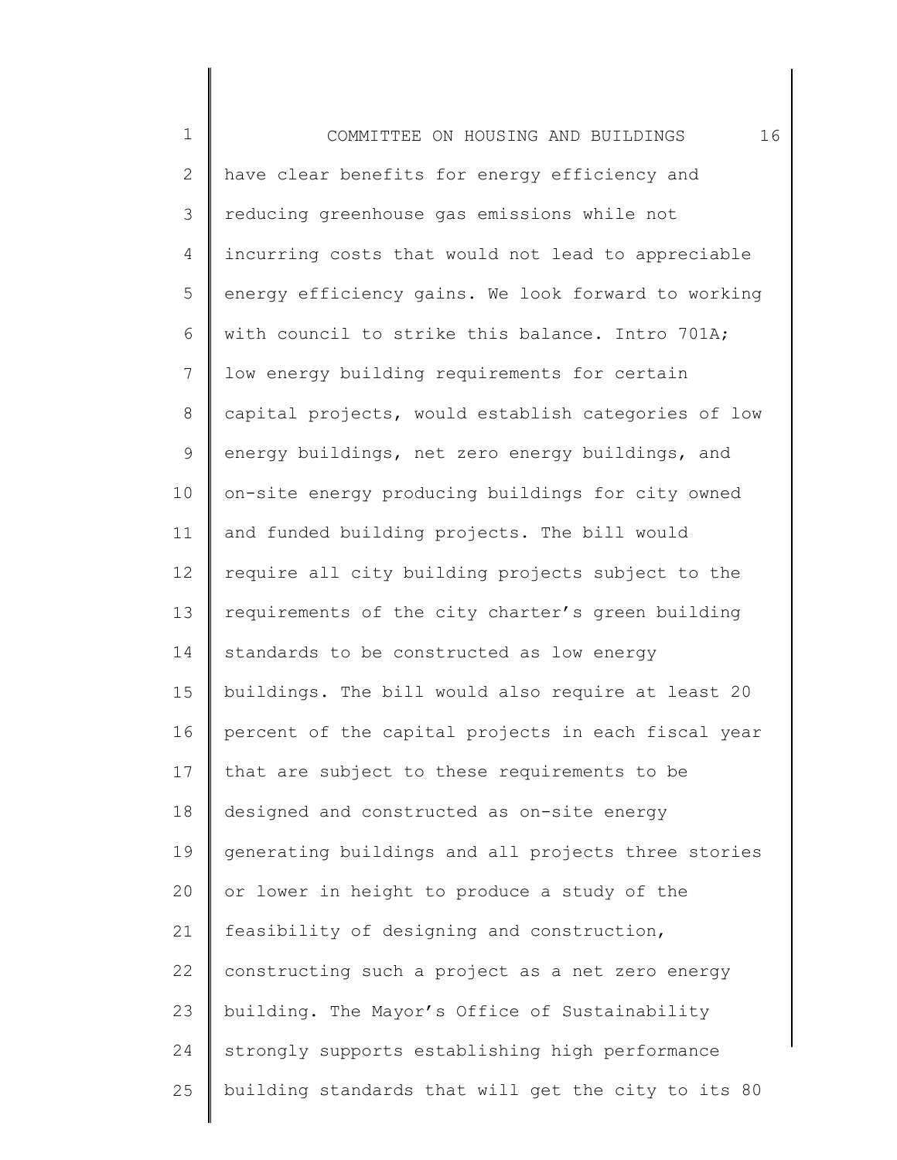1 2 3 4 5 6 7 8 9 10 11 12 13 14 15 16 17 18 19 20 21 22 23 24 25 COMMITTEE ON HOUSING AND BUILDINGS 16 have clear benefits for energy efficiency and reducing greenhouse gas emissions while not incurring costs that would not lead to appreciable energy efficiency gains. We look forward to working with council to strike this balance. Intro 701A; low energy building requirements for certain capital projects, would establish categories of low energy buildings, net zero energy buildings, and on-site energy producing buildings for city owned and funded building projects. The bill would require all city building projects subject to the requirements of the city charter's green building standards to be constructed as low energy buildings. The bill would also require at least 20 percent of the capital projects in each fiscal year that are subject to these requirements to be designed and constructed as on-site energy generating buildings and all projects three stories or lower in height to produce a study of the feasibility of designing and construction, constructing such a project as a net zero energy building. The Mayor's Office of Sustainability strongly supports establishing high performance building standards that will get the city to its 80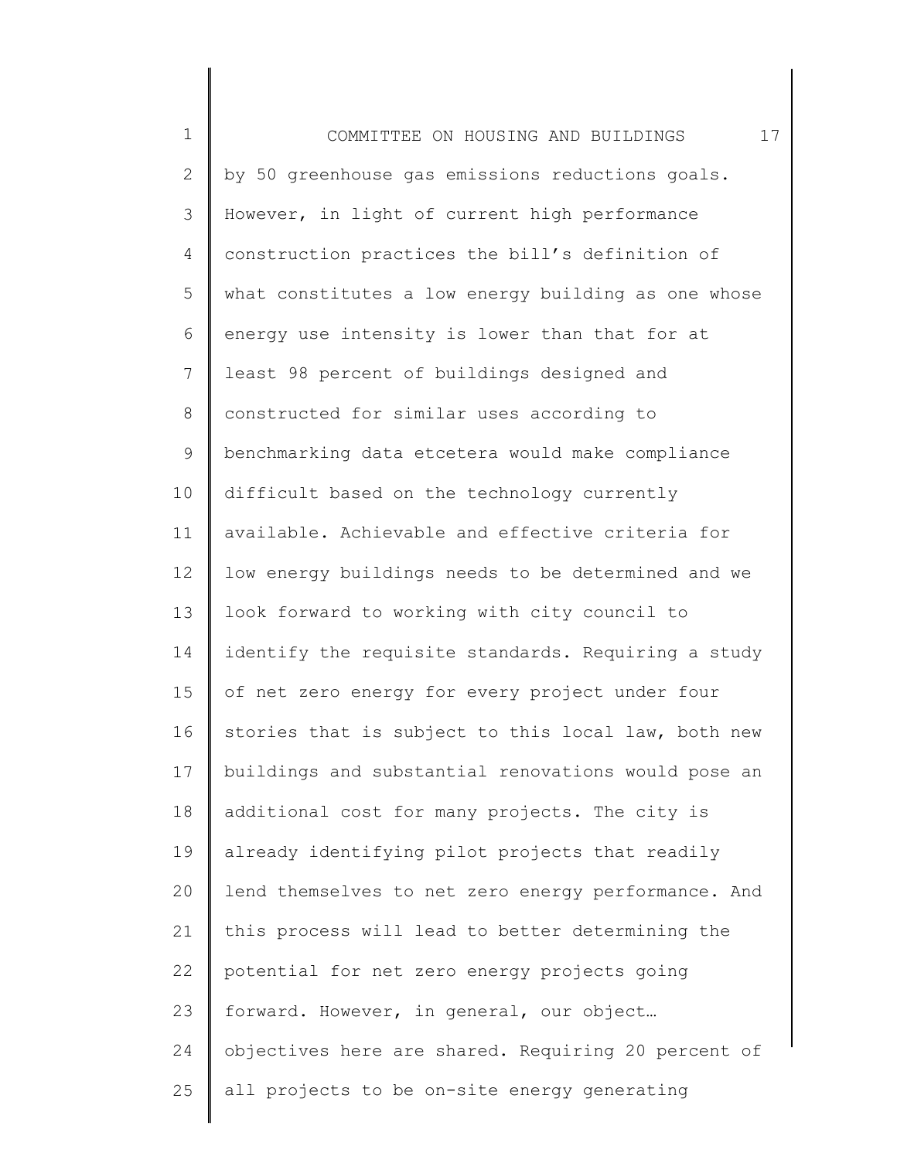1 2 3 4 5 6 7 8 9 10 11 12 13 14 15 16 17 18 19 20 21 22 23 24 25 COMMITTEE ON HOUSING AND BUILDINGS 17 by 50 greenhouse gas emissions reductions goals. However, in light of current high performance construction practices the bill's definition of what constitutes a low energy building as one whose energy use intensity is lower than that for at least 98 percent of buildings designed and constructed for similar uses according to benchmarking data etcetera would make compliance difficult based on the technology currently available. Achievable and effective criteria for low energy buildings needs to be determined and we look forward to working with city council to identify the requisite standards. Requiring a study of net zero energy for every project under four stories that is subject to this local law, both new buildings and substantial renovations would pose an additional cost for many projects. The city is already identifying pilot projects that readily lend themselves to net zero energy performance. And this process will lead to better determining the potential for net zero energy projects going forward. However, in general, our object… objectives here are shared. Requiring 20 percent of all projects to be on-site energy generating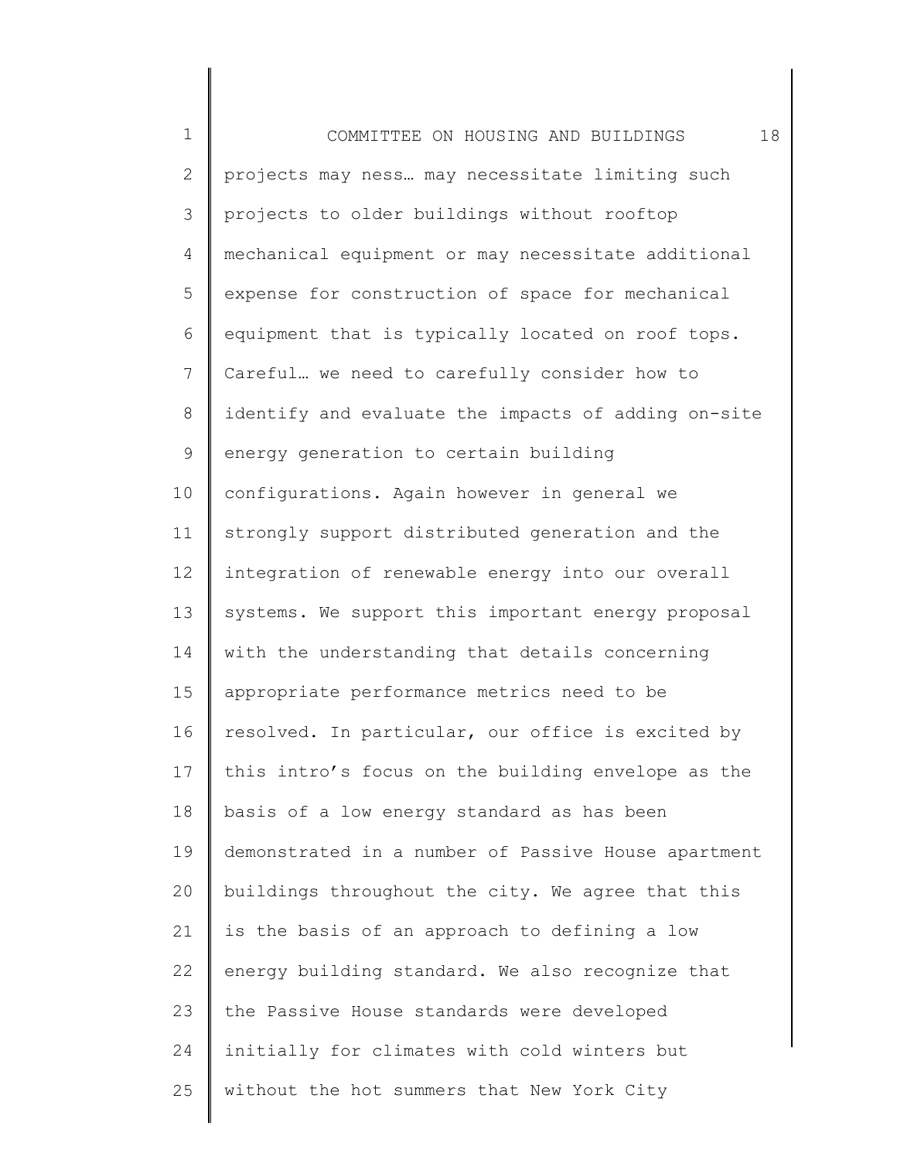1 2 3 4 5 6 7 8 9 10 11 12 13 14 15 16 17 18 19 20 21 22 23 24 25 COMMITTEE ON HOUSING AND BUILDINGS 18 projects may ness… may necessitate limiting such projects to older buildings without rooftop mechanical equipment or may necessitate additional expense for construction of space for mechanical equipment that is typically located on roof tops. Careful… we need to carefully consider how to identify and evaluate the impacts of adding on-site energy generation to certain building configurations. Again however in general we strongly support distributed generation and the integration of renewable energy into our overall systems. We support this important energy proposal with the understanding that details concerning appropriate performance metrics need to be resolved. In particular, our office is excited by this intro's focus on the building envelope as the basis of a low energy standard as has been demonstrated in a number of Passive House apartment buildings throughout the city. We agree that this is the basis of an approach to defining a low energy building standard. We also recognize that the Passive House standards were developed initially for climates with cold winters but without the hot summers that New York City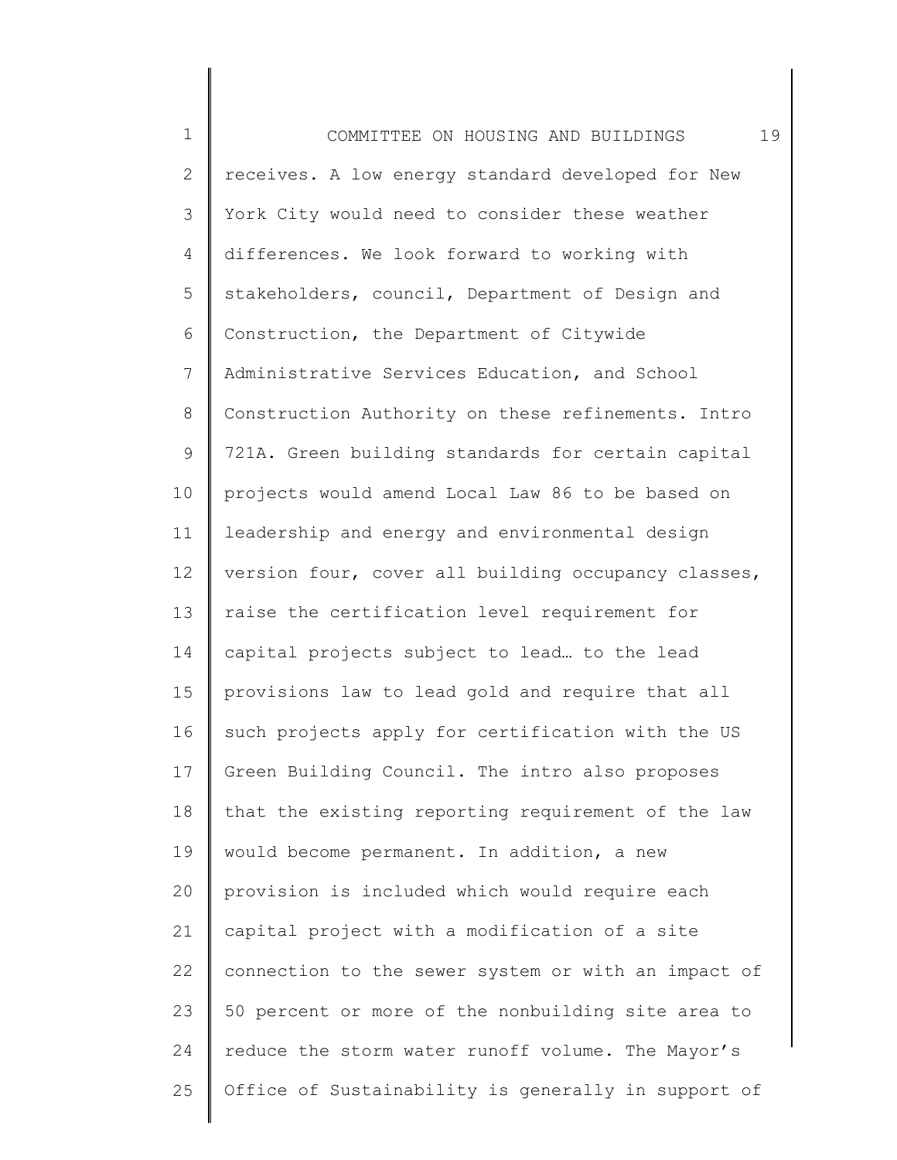1 2 3 4 5 6 7 8 9 10 11 12 13 14 15 16 17 18 19 20 21 22 23 24 25 COMMITTEE ON HOUSING AND BUILDINGS 19 receives. A low energy standard developed for New York City would need to consider these weather differences. We look forward to working with stakeholders, council, Department of Design and Construction, the Department of Citywide Administrative Services Education, and School Construction Authority on these refinements. Intro 721A. Green building standards for certain capital projects would amend Local Law 86 to be based on leadership and energy and environmental design version four, cover all building occupancy classes, raise the certification level requirement for capital projects subject to lead… to the lead provisions law to lead gold and require that all such projects apply for certification with the US Green Building Council. The intro also proposes that the existing reporting requirement of the law would become permanent. In addition, a new provision is included which would require each capital project with a modification of a site connection to the sewer system or with an impact of 50 percent or more of the nonbuilding site area to reduce the storm water runoff volume. The Mayor's Office of Sustainability is generally in support of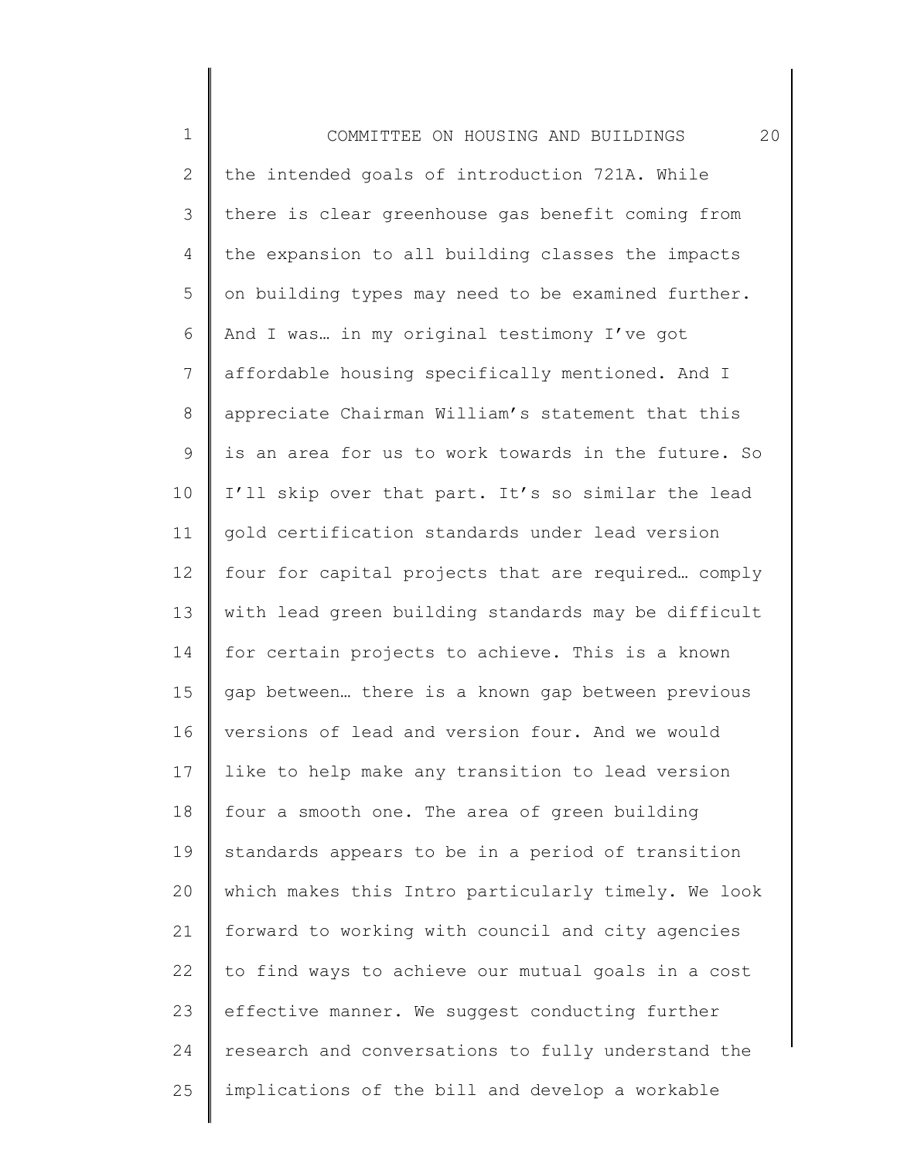| $\mathbf 1$  | 20<br>COMMITTEE ON HOUSING AND BUILDINGS            |
|--------------|-----------------------------------------------------|
| $\mathbf{2}$ | the intended goals of introduction 721A. While      |
| 3            | there is clear greenhouse gas benefit coming from   |
| 4            | the expansion to all building classes the impacts   |
| 5            | on building types may need to be examined further.  |
| 6            | And I was in my original testimony I've got         |
| 7            | affordable housing specifically mentioned. And I    |
| $\,8\,$      | appreciate Chairman William's statement that this   |
| $\mathsf 9$  | is an area for us to work towards in the future. So |
| 10           | I'll skip over that part. It's so similar the lead  |
| 11           | gold certification standards under lead version     |
| 12           | four for capital projects that are required comply  |
| 13           | with lead green building standards may be difficult |
| 14           | for certain projects to achieve. This is a known    |
| 15           | gap between there is a known gap between previous   |
| 16           | versions of lead and version four. And we would     |
| 17           | like to help make any transition to lead version    |
| 18           | four a smooth one. The area of green building       |
| 19           | standards appears to be in a period of transition   |
| 20           | which makes this Intro particularly timely. We look |
| 21           | forward to working with council and city agencies   |
| 22           | to find ways to achieve our mutual goals in a cost  |
| 23           | effective manner. We suggest conducting further     |
| 24           | research and conversations to fully understand the  |
| 25           | implications of the bill and develop a workable     |
|              |                                                     |

 $\mathsf I$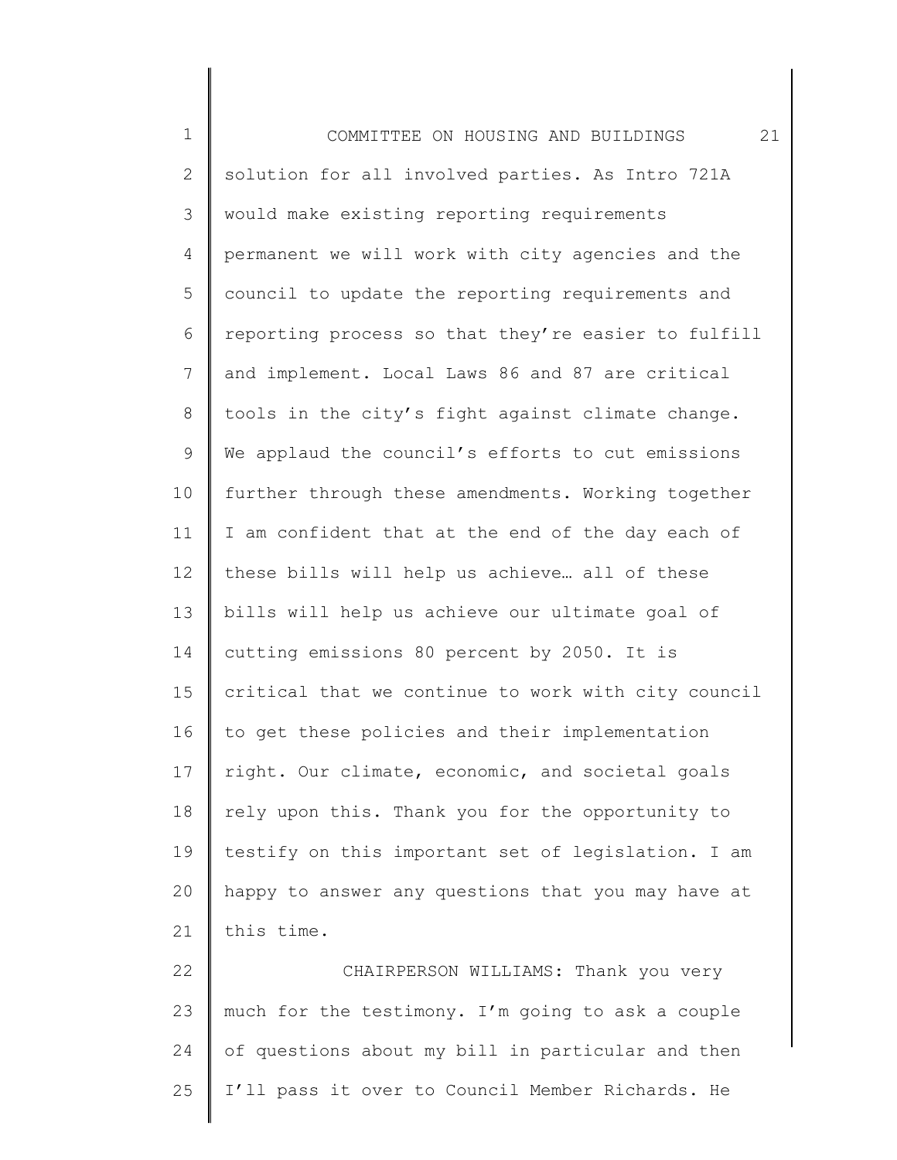1 2 3 4 5 6 7 8 9 10 11 12 13 14 15 16 17 18 19 20 21 22 23 24 COMMITTEE ON HOUSING AND BUILDINGS 21 solution for all involved parties. As Intro 721A would make existing reporting requirements permanent we will work with city agencies and the council to update the reporting requirements and reporting process so that they're easier to fulfill and implement. Local Laws 86 and 87 are critical tools in the city's fight against climate change. We applaud the council's efforts to cut emissions further through these amendments. Working together I am confident that at the end of the day each of these bills will help us achieve… all of these bills will help us achieve our ultimate goal of cutting emissions 80 percent by 2050. It is critical that we continue to work with city council to get these policies and their implementation right. Our climate, economic, and societal goals rely upon this. Thank you for the opportunity to testify on this important set of legislation. I am happy to answer any questions that you may have at this time. CHAIRPERSON WILLIAMS: Thank you very much for the testimony. I'm going to ask a couple of questions about my bill in particular and then

I'll pass it over to Council Member Richards. He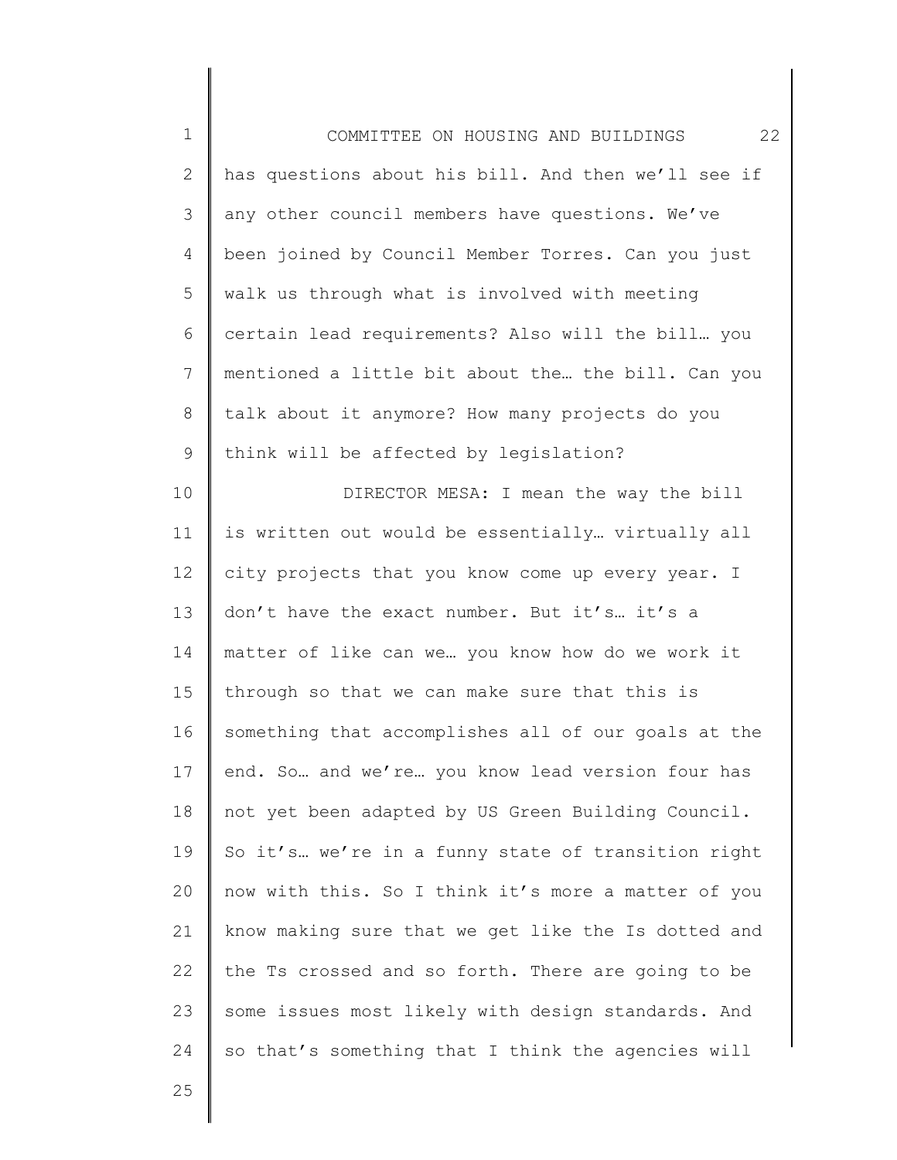| $\mathbf 1$  | 22<br>COMMITTEE ON HOUSING AND BUILDINGS            |
|--------------|-----------------------------------------------------|
| $\mathbf{2}$ | has questions about his bill. And then we'll see if |
| 3            | any other council members have questions. We've     |
| 4            | been joined by Council Member Torres. Can you just  |
| 5            | walk us through what is involved with meeting       |
| 6            | certain lead requirements? Also will the bill you   |
| 7            | mentioned a little bit about the the bill. Can you  |
| 8            | talk about it anymore? How many projects do you     |
| 9            | think will be affected by legislation?              |
| 10           | DIRECTOR MESA: I mean the way the bill              |
| 11           | is written out would be essentially virtually all   |
| 12           | city projects that you know come up every year. I   |
| 13           | don't have the exact number. But it's it's a        |
| 14           | matter of like can we you know how do we work it    |
| 15           | through so that we can make sure that this is       |
| 16           | something that accomplishes all of our goals at the |
| 17           | end. So. and we're. you know lead version four has  |
| 18           | not yet been adapted by US Green Building Council.  |
| 19           | So it's we're in a funny state of transition right  |
| 20           | now with this. So I think it's more a matter of you |
| 21           | know making sure that we get like the Is dotted and |
| 22           | the Ts crossed and so forth. There are going to be  |
| 23           | some issues most likely with design standards. And  |
| 24           | so that's something that I think the agencies will  |
| 25           |                                                     |

25

∥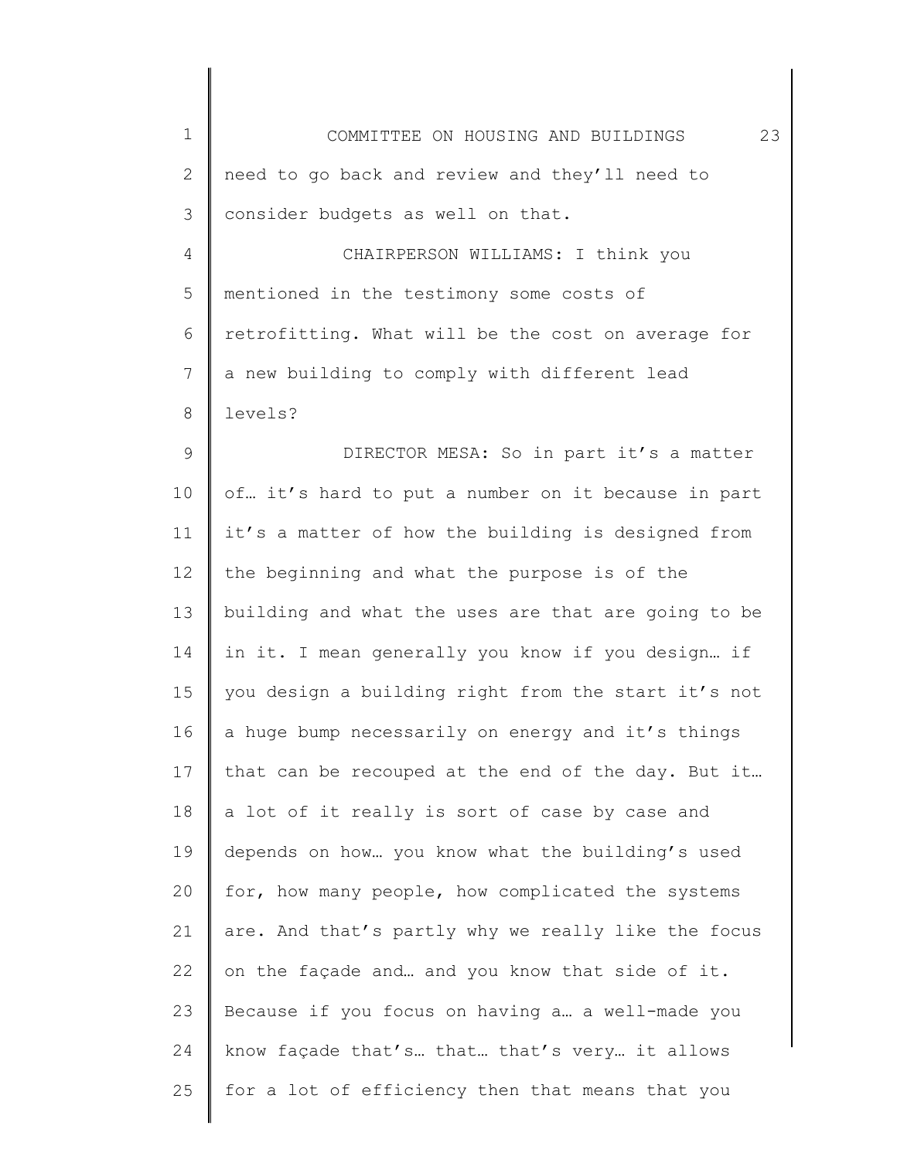| $\mathbf 1$   | 23<br>COMMITTEE ON HOUSING AND BUILDINGS            |
|---------------|-----------------------------------------------------|
| 2             | need to go back and review and they'll need to      |
| 3             | consider budgets as well on that.                   |
| 4             | CHAIRPERSON WILLIAMS: I think you                   |
| 5             | mentioned in the testimony some costs of            |
| 6             | retrofitting. What will be the cost on average for  |
| 7             | a new building to comply with different lead        |
| 8             | levels?                                             |
| $\mathcal{G}$ | DIRECTOR MESA: So in part it's a matter             |
| 10            | of it's hard to put a number on it because in part  |
| 11            | it's a matter of how the building is designed from  |
| 12            | the beginning and what the purpose is of the        |
| 13            | building and what the uses are that are going to be |
| 14            | in it. I mean generally you know if you design if   |
| 15            | you design a building right from the start it's not |
| 16            | a huge bump necessarily on energy and it's things   |
| 17            | that can be recouped at the end of the day. But it  |
| 18            | a lot of it really is sort of case by case and      |
| 19            | depends on how you know what the building's used    |
| 20            | for, how many people, how complicated the systems   |
| 21            | are. And that's partly why we really like the focus |
| 22            | on the façade and and you know that side of it.     |
| 23            | Because if you focus on having a a well-made you    |
| 24            | know façade that's that that's very it allows       |
| 25            | for a lot of efficiency then that means that you    |
|               |                                                     |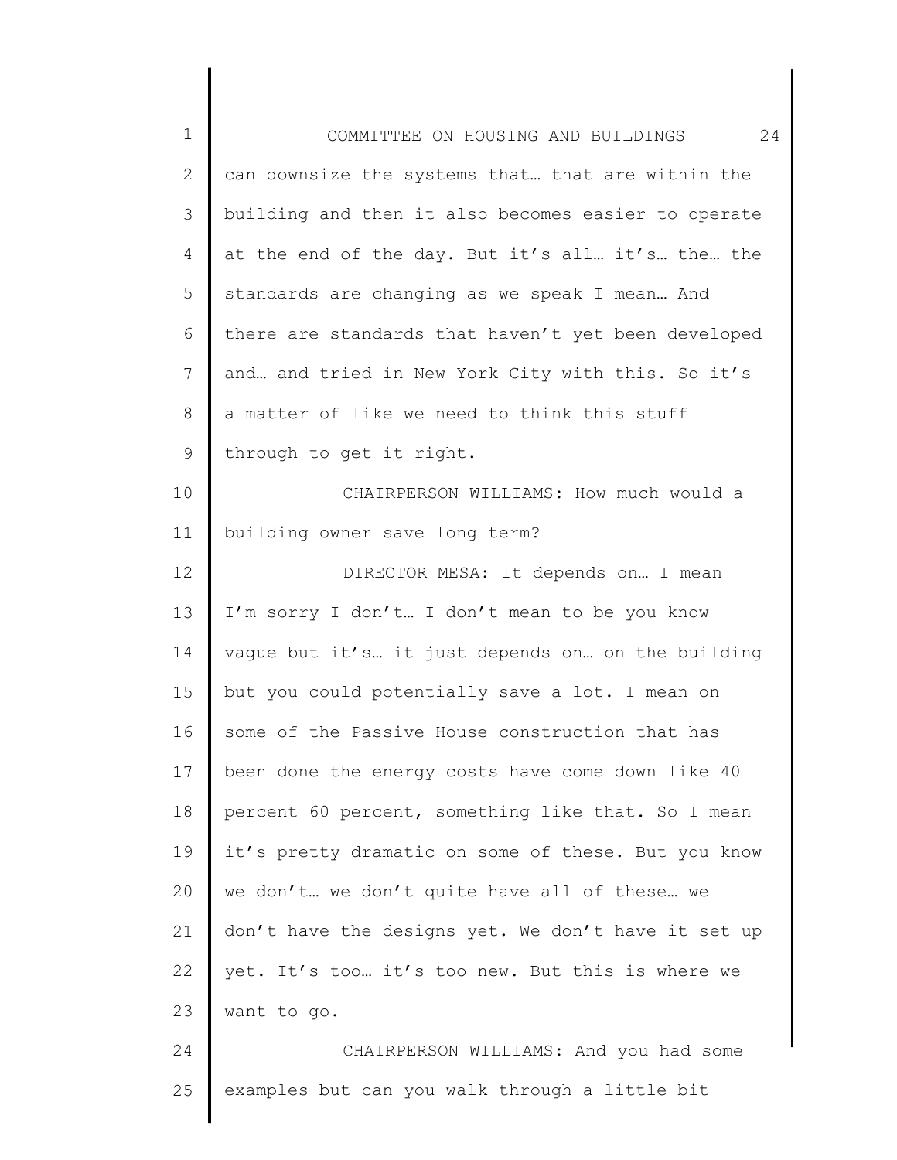| $\mathbf 1$    | 24<br>COMMITTEE ON HOUSING AND BUILDINGS            |
|----------------|-----------------------------------------------------|
| $\mathbf{2}$   | can downsize the systems that that are within the   |
| 3              | building and then it also becomes easier to operate |
| 4              | at the end of the day. But it's all it's the the    |
| 5              | standards are changing as we speak I mean And       |
| 6              | there are standards that haven't yet been developed |
| $\overline{7}$ | and and tried in New York City with this. So it's   |
| 8              | a matter of like we need to think this stuff        |
| $\mathsf 9$    | through to get it right.                            |
| 10             | CHAIRPERSON WILLIAMS: How much would a              |
| 11             | building owner save long term?                      |
| 12             | DIRECTOR MESA: It depends on I mean                 |
| 13             | I'm sorry I don't I don't mean to be you know       |
| 14             | vague but it's it just depends on on the building   |
| 15             | but you could potentially save a lot. I mean on     |
| 16             | some of the Passive House construction that has     |
| 17             | been done the energy costs have come down like 40   |
| 18             | percent 60 percent, something like that. So I mean  |
| 19             | it's pretty dramatic on some of these. But you know |
| 20             | we don't we don't quite have all of these we        |
| 21             | don't have the designs yet. We don't have it set up |
| 22             | yet. It's too it's too new. But this is where we    |
| 23             | want to go.                                         |
| 24             | CHAIRPERSON WILLIAMS: And you had some              |
| 25             | examples but can you walk through a little bit      |
|                |                                                     |

║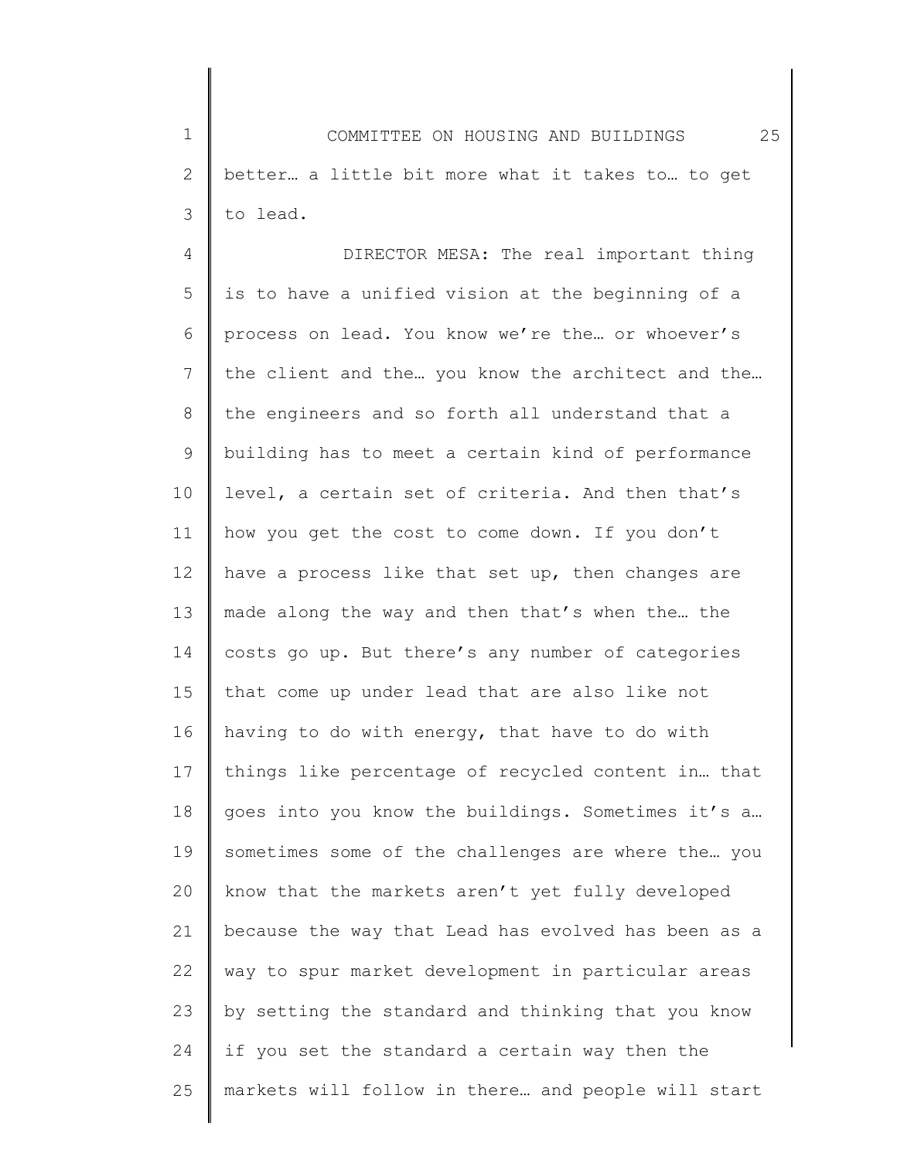1 2 3 COMMITTEE ON HOUSING AND BUILDINGS 25 better… a little bit more what it takes to… to get to lead.

4 5 6 7 8 9 10 11 12 13 14 15 16 17 18 19 20 21 22 23 24 25 DIRECTOR MESA: The real important thing is to have a unified vision at the beginning of a process on lead. You know we're the… or whoever's the client and the… you know the architect and the… the engineers and so forth all understand that a building has to meet a certain kind of performance level, a certain set of criteria. And then that's how you get the cost to come down. If you don't have a process like that set up, then changes are made along the way and then that's when the… the costs go up. But there's any number of categories that come up under lead that are also like not having to do with energy, that have to do with things like percentage of recycled content in… that goes into you know the buildings. Sometimes it's a… sometimes some of the challenges are where the… you know that the markets aren't yet fully developed because the way that Lead has evolved has been as a way to spur market development in particular areas by setting the standard and thinking that you know if you set the standard a certain way then the markets will follow in there… and people will start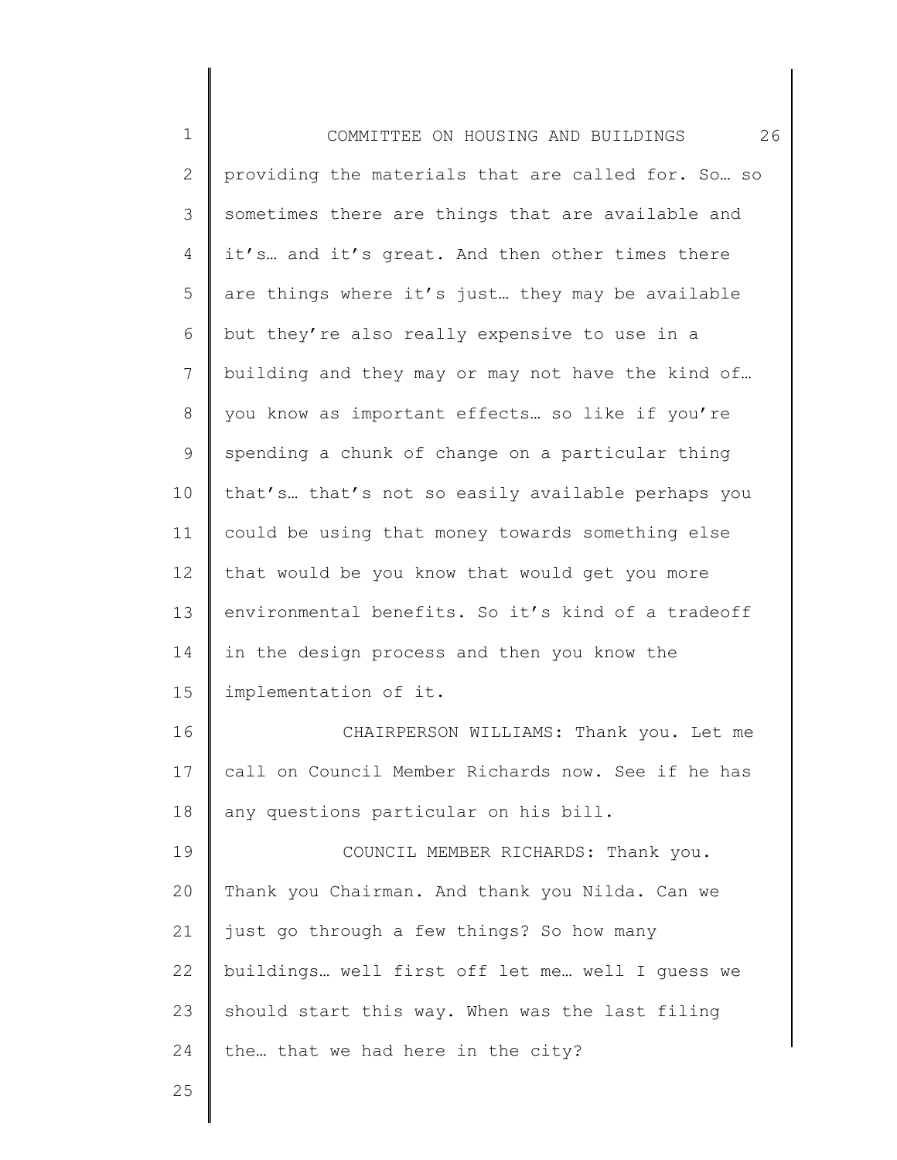1 2 3 4 5 6 7 8 9 10 11 12 13 14 15 16 17 18 19 20 21 22 23 24 COMMITTEE ON HOUSING AND BUILDINGS 26 providing the materials that are called for. So… so sometimes there are things that are available and it's… and it's great. And then other times there are things where it's just… they may be available but they're also really expensive to use in a building and they may or may not have the kind of… you know as important effects… so like if you're spending a chunk of change on a particular thing that's… that's not so easily available perhaps you could be using that money towards something else that would be you know that would get you more environmental benefits. So it's kind of a tradeoff in the design process and then you know the implementation of it. CHAIRPERSON WILLIAMS: Thank you. Let me call on Council Member Richards now. See if he has any questions particular on his bill. COUNCIL MEMBER RICHARDS: Thank you. Thank you Chairman. And thank you Nilda. Can we just go through a few things? So how many buildings… well first off let me… well I guess we should start this way. When was the last filing the… that we had here in the city?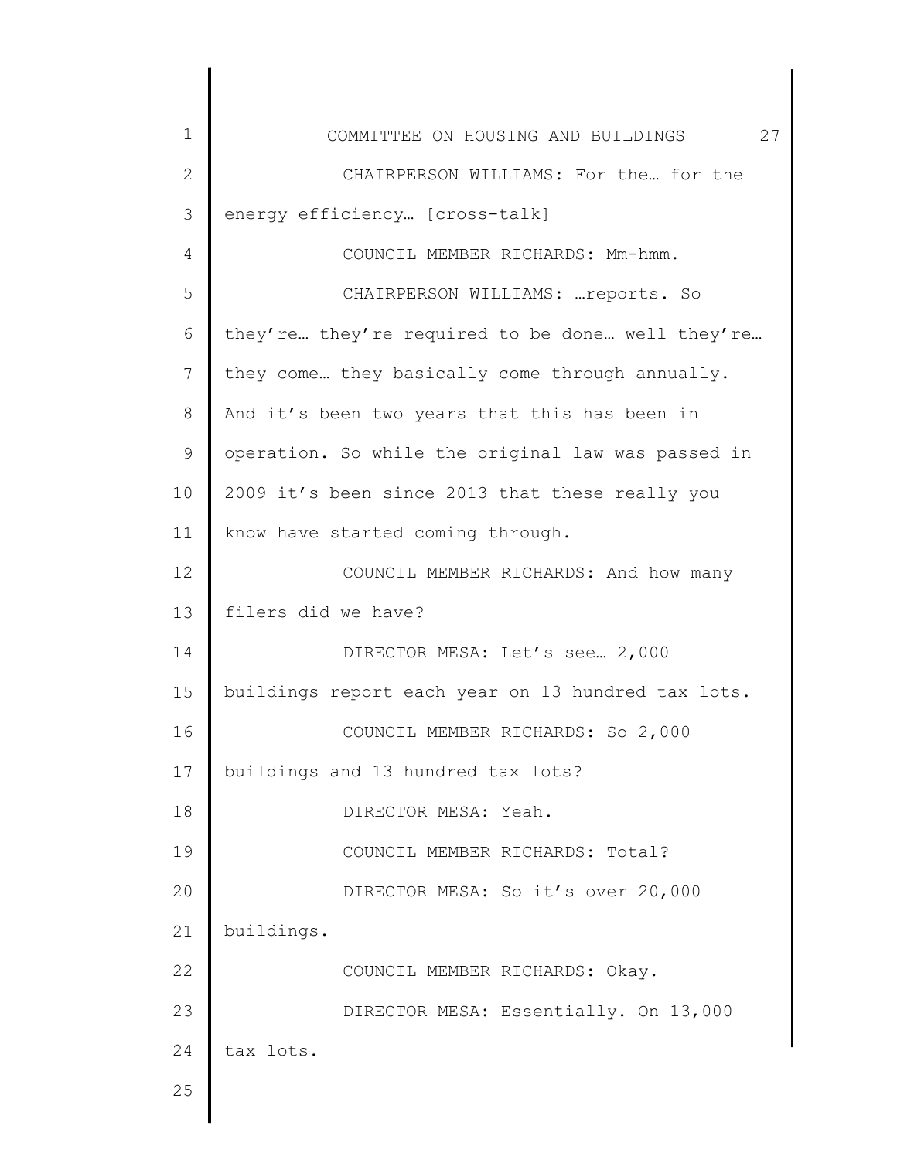| 1            | 27<br>COMMITTEE ON HOUSING AND BUILDINGS           |
|--------------|----------------------------------------------------|
| $\mathbf{2}$ | CHAIRPERSON WILLIAMS: For the  for the             |
| 3            | energy efficiency [cross-talk]                     |
| 4            | COUNCIL MEMBER RICHARDS: Mm-hmm.                   |
| 5            | CHAIRPERSON WILLIAMS:  reports. So                 |
| 6            | they're they're required to be done well they're   |
| 7            | they come they basically come through annually.    |
| 8            | And it's been two years that this has been in      |
| 9            | operation. So while the original law was passed in |
| 10           | 2009 it's been since 2013 that these really you    |
| 11           | know have started coming through.                  |
| 12           | COUNCIL MEMBER RICHARDS: And how many              |
| 13           | filers did we have?                                |
| 14           | DIRECTOR MESA: Let's see  2,000                    |
| 15           | buildings report each year on 13 hundred tax lots. |
| 16           | COUNCIL MEMBER RICHARDS: So 2,000                  |
| 17           | buildings and 13 hundred tax lots?                 |
| 18           | DIRECTOR MESA: Yeah.                               |
| 19           | COUNCIL MEMBER RICHARDS: Total?                    |
| 20           | DIRECTOR MESA: So it's over 20,000                 |
| 21           | buildings.                                         |
| 22           | COUNCIL MEMBER RICHARDS: Okay.                     |
| 23           | DIRECTOR MESA: Essentially. On 13,000              |
| 24           | tax lots.                                          |
| 25           |                                                    |
|              |                                                    |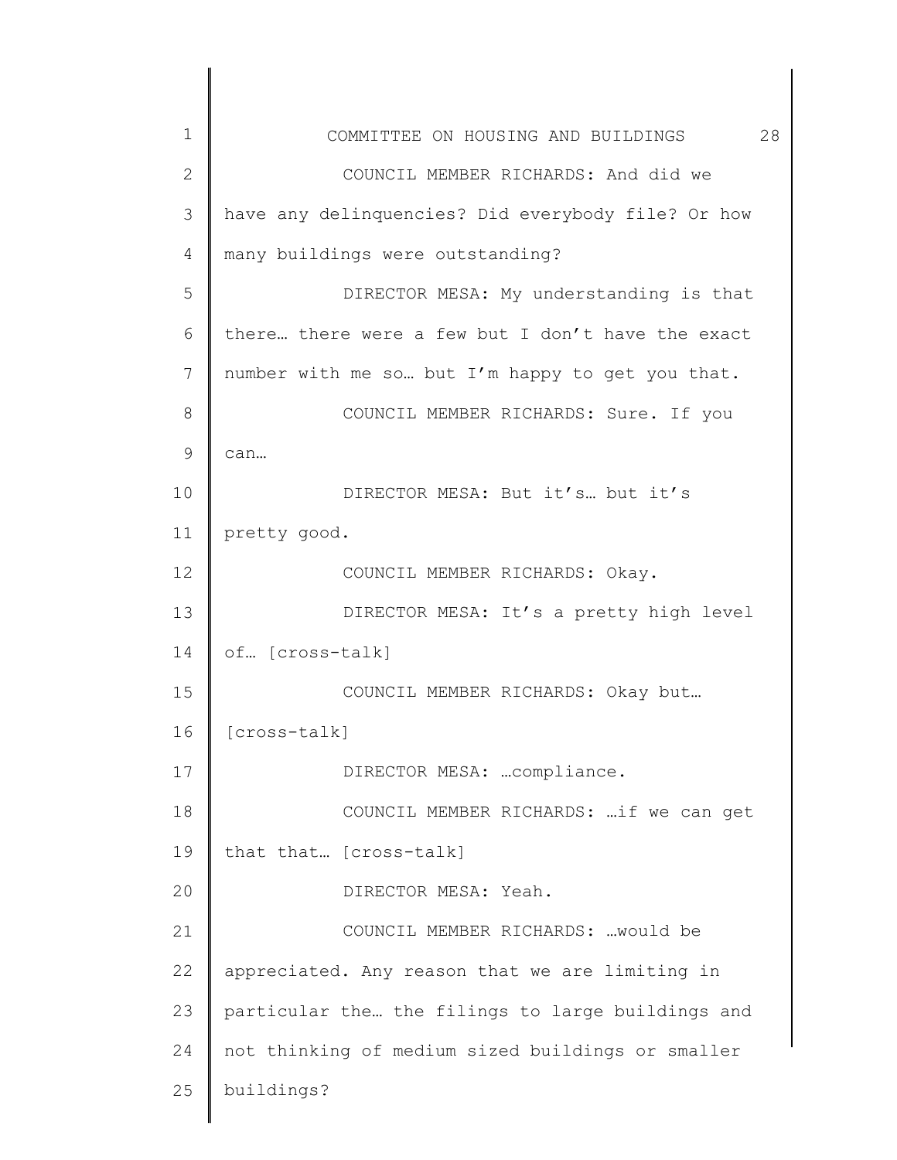| 1            | 28<br>COMMITTEE ON HOUSING AND BUILDINGS           |
|--------------|----------------------------------------------------|
| $\mathbf{2}$ | COUNCIL MEMBER RICHARDS: And did we                |
| 3            | have any delinquencies? Did everybody file? Or how |
| 4            | many buildings were outstanding?                   |
| 5            | DIRECTOR MESA: My understanding is that            |
| 6            | there there were a few but I don't have the exact  |
| 7            | number with me so but I'm happy to get you that.   |
| 8            | COUNCIL MEMBER RICHARDS: Sure. If you              |
| 9            | can                                                |
| 10           | DIRECTOR MESA: But it's but it's                   |
| 11           | pretty good.                                       |
| 12           | COUNCIL MEMBER RICHARDS: Okay.                     |
| 13           | DIRECTOR MESA: It's a pretty high level            |
| 14           | of [cross-talk]                                    |
| 15           | COUNCIL MEMBER RICHARDS: Okay but                  |
| 16           | [cross-talk]                                       |
| 17           | DIRECTOR MESA:  compliance.                        |
| 18           | COUNCIL MEMBER RICHARDS:  if we can get            |
| 19           | that that [cross-talk]                             |
| 20           | DIRECTOR MESA: Yeah.                               |
| 21           | COUNCIL MEMBER RICHARDS:  would be                 |
| 22           | appreciated. Any reason that we are limiting in    |
| 23           | particular the the filings to large buildings and  |
| 24           | not thinking of medium sized buildings or smaller  |
| 25           | buildings?                                         |
|              |                                                    |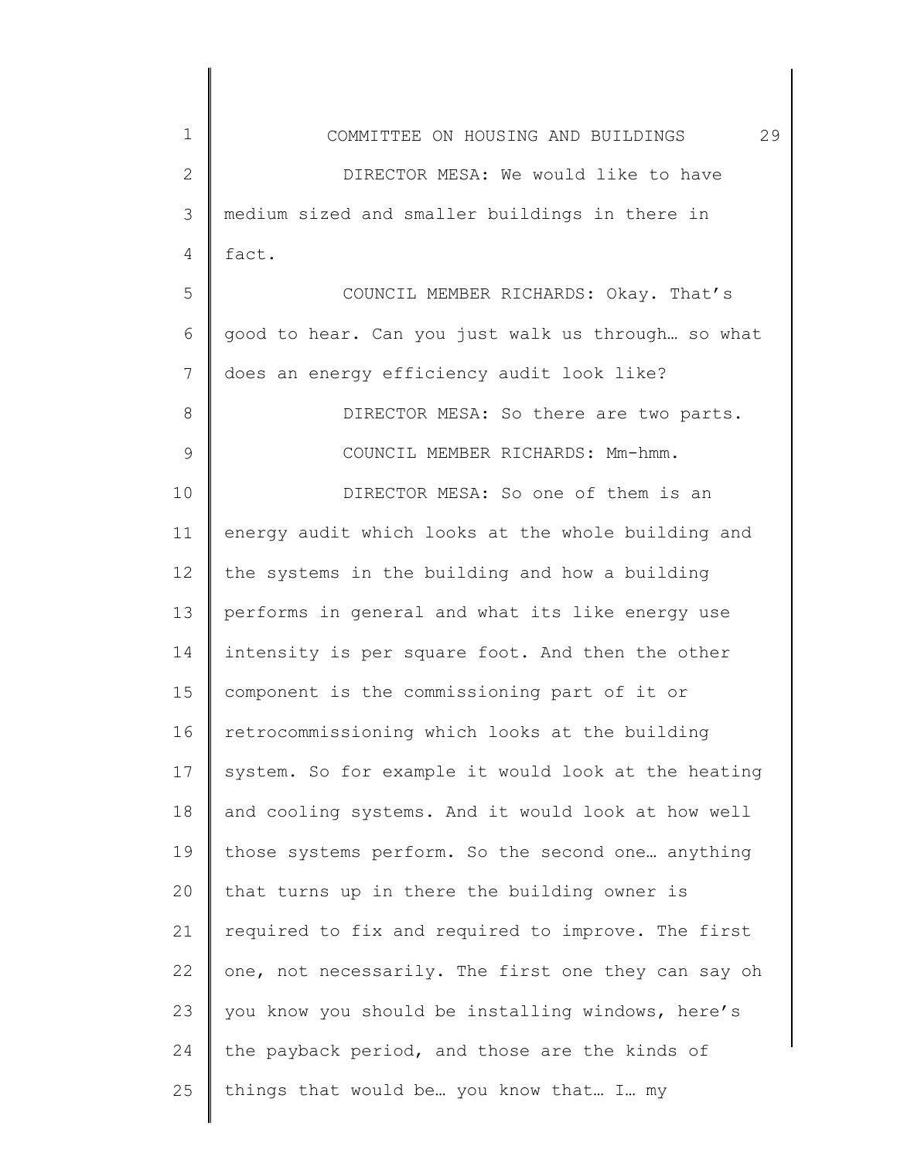| 1  | 29<br>COMMITTEE ON HOUSING AND BUILDINGS            |
|----|-----------------------------------------------------|
| 2  | DIRECTOR MESA: We would like to have                |
| 3  | medium sized and smaller buildings in there in      |
| 4  | fact.                                               |
| 5  | COUNCIL MEMBER RICHARDS: Okay. That's               |
| 6  | good to hear. Can you just walk us through so what  |
| 7  | does an energy efficiency audit look like?          |
| 8  | DIRECTOR MESA: So there are two parts.              |
| 9  | COUNCIL MEMBER RICHARDS: Mm-hmm.                    |
| 10 | DIRECTOR MESA: So one of them is an                 |
| 11 | energy audit which looks at the whole building and  |
| 12 | the systems in the building and how a building      |
| 13 | performs in general and what its like energy use    |
| 14 | intensity is per square foot. And then the other    |
| 15 | component is the commissioning part of it or        |
| 16 | retrocommissioning which looks at the building      |
| 17 | system. So for example it would look at the heating |
| 18 | and cooling systems. And it would look at how well  |
| 19 | those systems perform. So the second one anything   |
| 20 | that turns up in there the building owner is        |
| 21 | required to fix and required to improve. The first  |
| 22 | one, not necessarily. The first one they can say oh |
| 23 | you know you should be installing windows, here's   |
| 24 | the payback period, and those are the kinds of      |
| 25 | things that would be you know that I my             |
|    |                                                     |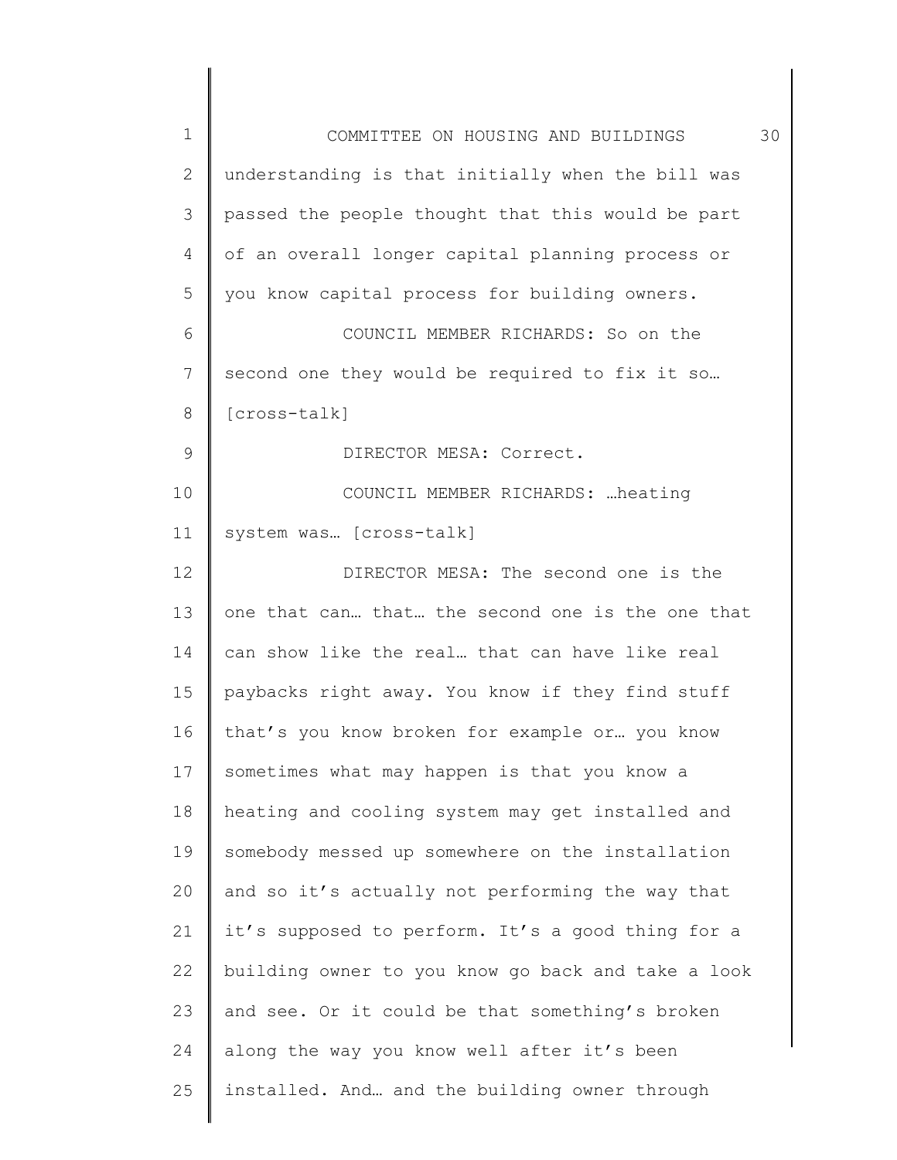| $\mathbf 1$  | 30<br>COMMITTEE ON HOUSING AND BUILDINGS           |
|--------------|----------------------------------------------------|
| $\mathbf{2}$ | understanding is that initially when the bill was  |
| 3            | passed the people thought that this would be part  |
| 4            | of an overall longer capital planning process or   |
| 5            | you know capital process for building owners.      |
| 6            | COUNCIL MEMBER RICHARDS: So on the                 |
| 7            | second one they would be required to fix it so     |
| 8            | [cross-talk]                                       |
| 9            | DIRECTOR MESA: Correct.                            |
| 10           | COUNCIL MEMBER RICHARDS:  heating                  |
| 11           | system was [cross-talk]                            |
| 12           | DIRECTOR MESA: The second one is the               |
| 13           | one that can that the second one is the one that   |
| 14           | can show like the real that can have like real     |
| 15           | paybacks right away. You know if they find stuff   |
| 16           | that's you know broken for example or you know     |
| 17           | sometimes what may happen is that you know a       |
| 18           | heating and cooling system may get installed and   |
| 19           | somebody messed up somewhere on the installation   |
| 20           | and so it's actually not performing the way that   |
| 21           | it's supposed to perform. It's a good thing for a  |
| 22           | building owner to you know go back and take a look |
| 23           | and see. Or it could be that something's broken    |
| 24           | along the way you know well after it's been        |
| 25           | installed. And and the building owner through      |
|              |                                                    |

║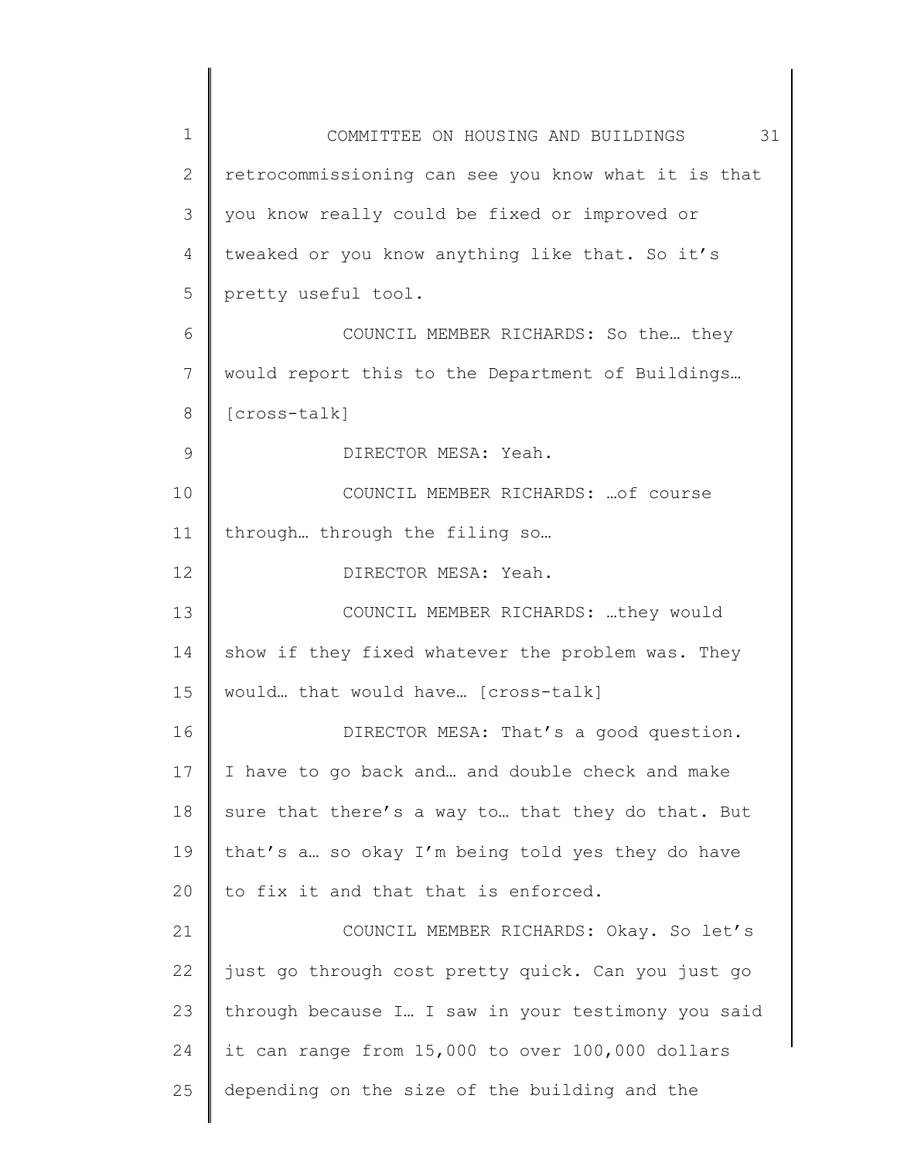| $\mathbf 1$ | 31<br>COMMITTEE ON HOUSING AND BUILDINGS            |
|-------------|-----------------------------------------------------|
| 2           | retrocommissioning can see you know what it is that |
| 3           | you know really could be fixed or improved or       |
| 4           | tweaked or you know anything like that. So it's     |
| 5           | pretty useful tool.                                 |
| 6           | COUNCIL MEMBER RICHARDS: So the they                |
| 7           | would report this to the Department of Buildings    |
| 8           | [cross-talk]                                        |
| 9           | DIRECTOR MESA: Yeah.                                |
| 10          | COUNCIL MEMBER RICHARDS:  of course                 |
| 11          | through through the filing so                       |
| 12          | DIRECTOR MESA: Yeah.                                |
| 13          | COUNCIL MEMBER RICHARDS:  they would                |
| 14          | show if they fixed whatever the problem was. They   |
| 15          | would that would have [cross-talk]                  |
| 16          | DIRECTOR MESA: That's a good question.              |
| 17          | I have to go back and and double check and make     |
| 18          | sure that there's a way to that they do that. But   |
| 19          | that's a so okay I'm being told yes they do have    |
| 20          | to fix it and that that is enforced.                |
| 21          | COUNCIL MEMBER RICHARDS: Okay. So let's             |
| 22          | just go through cost pretty quick. Can you just go  |
| 23          | through because I I saw in your testimony you said  |
| 24          | it can range from 15,000 to over 100,000 dollars    |
| 25          | depending on the size of the building and the       |
|             |                                                     |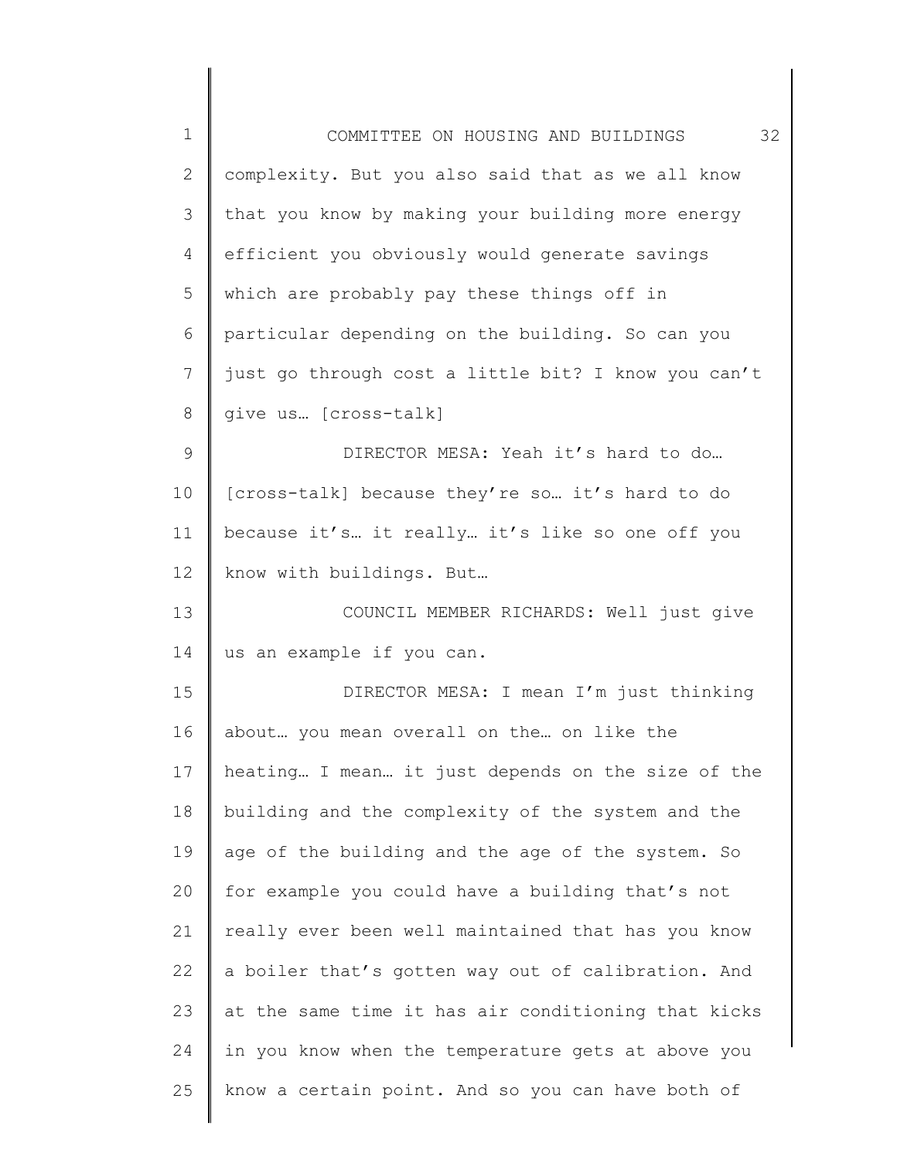| $\mathbf 1$  | 32<br>COMMITTEE ON HOUSING AND BUILDINGS            |
|--------------|-----------------------------------------------------|
| $\mathbf{2}$ | complexity. But you also said that as we all know   |
| 3            | that you know by making your building more energy   |
| 4            | efficient you obviously would generate savings      |
| 5            | which are probably pay these things off in          |
| 6            | particular depending on the building. So can you    |
| 7            | just go through cost a little bit? I know you can't |
| $\,8\,$      | give us [cross-talk]                                |
| $\mathsf 9$  | DIRECTOR MESA: Yeah it's hard to do                 |
| 10           | [cross-talk] because they're so it's hard to do     |
| 11           | because it's it really it's like so one off you     |
| 12           | know with buildings. But                            |
| 13           | COUNCIL MEMBER RICHARDS: Well just give             |
| 14           | us an example if you can.                           |
| 15           | DIRECTOR MESA: I mean I'm just thinking             |
| 16           | about you mean overall on the on like the           |
| 17           | heating I mean it just depends on the size of the   |
| 18           | building and the complexity of the system and the   |
| 19           | age of the building and the age of the system. So   |
| 20           | for example you could have a building that's not    |
| 21           | really ever been well maintained that has you know  |
| 22           | a boiler that's gotten way out of calibration. And  |
| 23           | at the same time it has air conditioning that kicks |
| 24           | in you know when the temperature gets at above you  |
| 25           | know a certain point. And so you can have both of   |
|              |                                                     |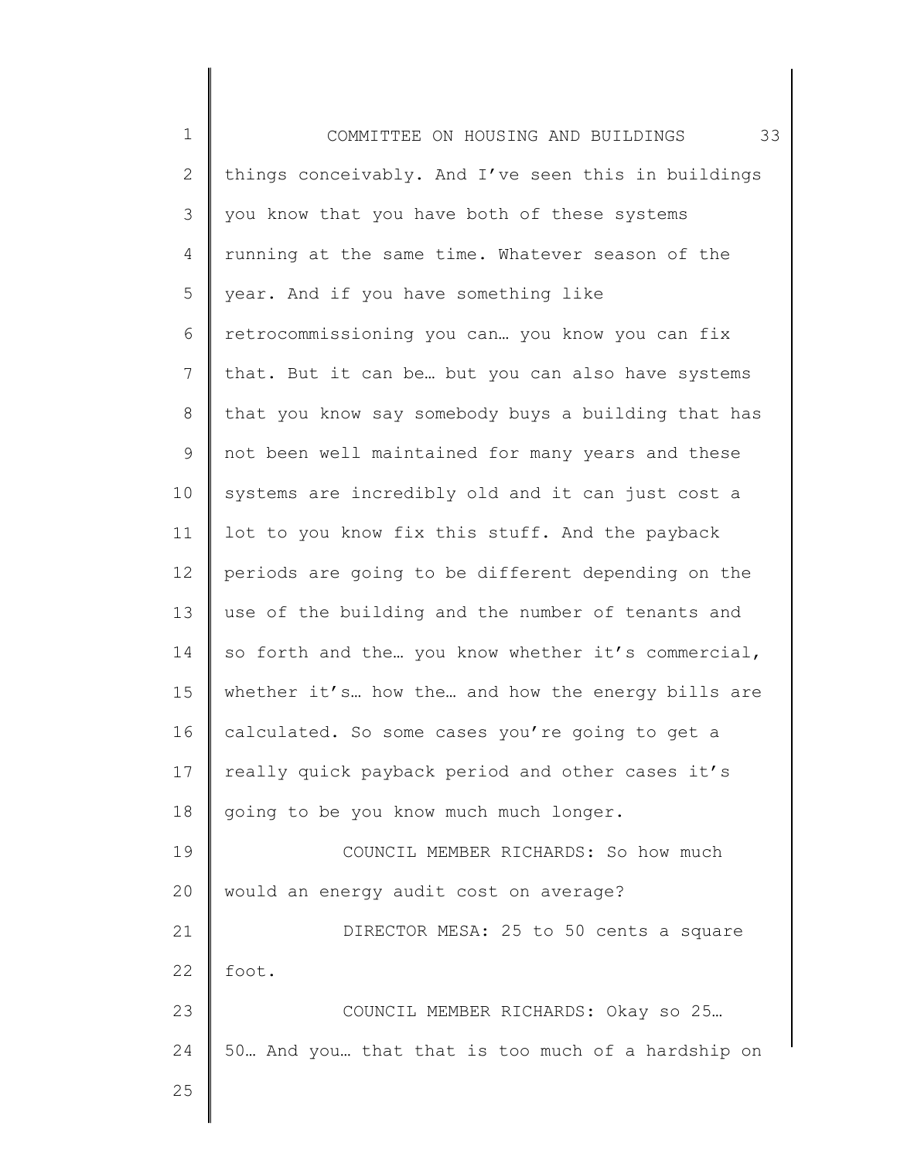1 2 3 4 5 6 7 8 9 10 11 12 13 14 15 16 17 18 19 20 21 22 23 24 25 COMMITTEE ON HOUSING AND BUILDINGS 33 things conceivably. And I've seen this in buildings you know that you have both of these systems running at the same time. Whatever season of the year. And if you have something like retrocommissioning you can… you know you can fix that. But it can be… but you can also have systems that you know say somebody buys a building that has not been well maintained for many years and these systems are incredibly old and it can just cost a lot to you know fix this stuff. And the payback periods are going to be different depending on the use of the building and the number of tenants and so forth and the… you know whether it's commercial, whether it's... how the... and how the energy bills are calculated. So some cases you're going to get a really quick payback period and other cases it's going to be you know much much longer. COUNCIL MEMBER RICHARDS: So how much would an energy audit cost on average? DIRECTOR MESA: 25 to 50 cents a square foot. COUNCIL MEMBER RICHARDS: Okay so 25… 50… And you… that that is too much of a hardship on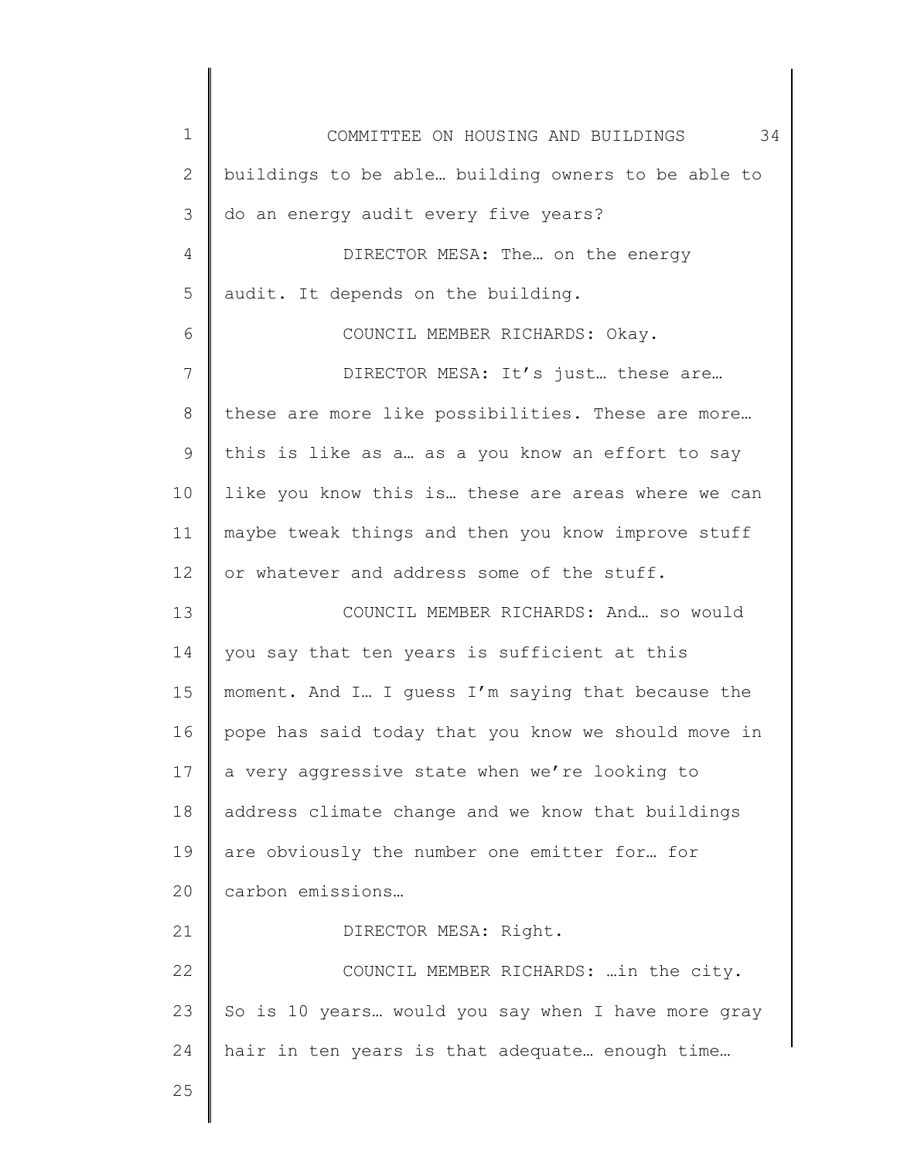| $\mathbf 1$  | 34<br>COMMITTEE ON HOUSING AND BUILDINGS            |
|--------------|-----------------------------------------------------|
| $\mathbf{2}$ | buildings to be able building owners to be able to  |
| 3            | do an energy audit every five years?                |
| 4            | DIRECTOR MESA: The  on the energy                   |
| 5            | audit. It depends on the building.                  |
| 6            | COUNCIL MEMBER RICHARDS: Okay.                      |
| 7            | DIRECTOR MESA: It's just these are                  |
| $\,8\,$      | these are more like possibilities. These are more   |
| 9            | this is like as a as a you know an effort to say    |
| 10           | like you know this is these are areas where we can  |
| 11           | maybe tweak things and then you know improve stuff  |
| 12           | or whatever and address some of the stuff.          |
| 13           | COUNCIL MEMBER RICHARDS: And  so would              |
| 14           | you say that ten years is sufficient at this        |
| 15           | moment. And I I guess I'm saying that because the   |
| 16           | pope has said today that you know we should move in |
| 17           | a very aggressive state when we're looking to       |
| 18           | address climate change and we know that buildings   |
| 19           | are obviously the number one emitter for for        |
| 20           | carbon emissions                                    |
| 21           | DIRECTOR MESA: Right.                               |
| 22           | COUNCIL MEMBER RICHARDS:  in the city.              |
| 23           | So is 10 years would you say when I have more gray  |
| 24           | hair in ten years is that adequate enough time      |
| 25           |                                                     |
|              |                                                     |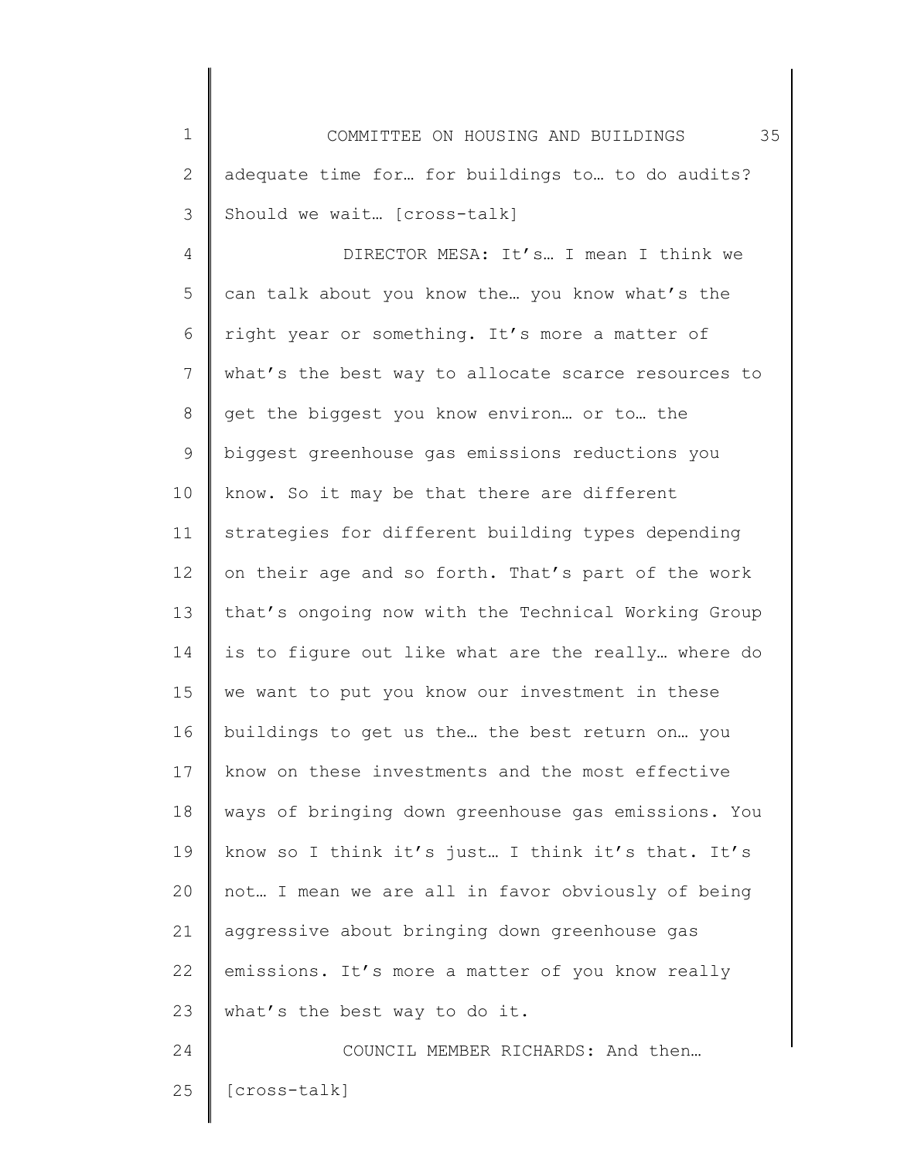1 2 3 4 5 6 7 8 9 10 11 12 13 14 15 16 17 18 19 20 COMMITTEE ON HOUSING AND BUILDINGS 35 adequate time for… for buildings to… to do audits? Should we wait… [cross-talk] DIRECTOR MESA: It's… I mean I think we can talk about you know the… you know what's the right year or something. It's more a matter of what's the best way to allocate scarce resources to get the biggest you know environ… or to… the biggest greenhouse gas emissions reductions you know. So it may be that there are different strategies for different building types depending on their age and so forth. That's part of the work that's ongoing now with the Technical Working Group is to figure out like what are the really… where do we want to put you know our investment in these buildings to get us the… the best return on… you know on these investments and the most effective ways of bringing down greenhouse gas emissions. You know so I think it's just… I think it's that. It's not… I mean we are all in favor obviously of being

22 23 24 25 emissions. It's more a matter of you know really what's the best way to do it. COUNCIL MEMBER RICHARDS: And then… [cross-talk]

aggressive about bringing down greenhouse gas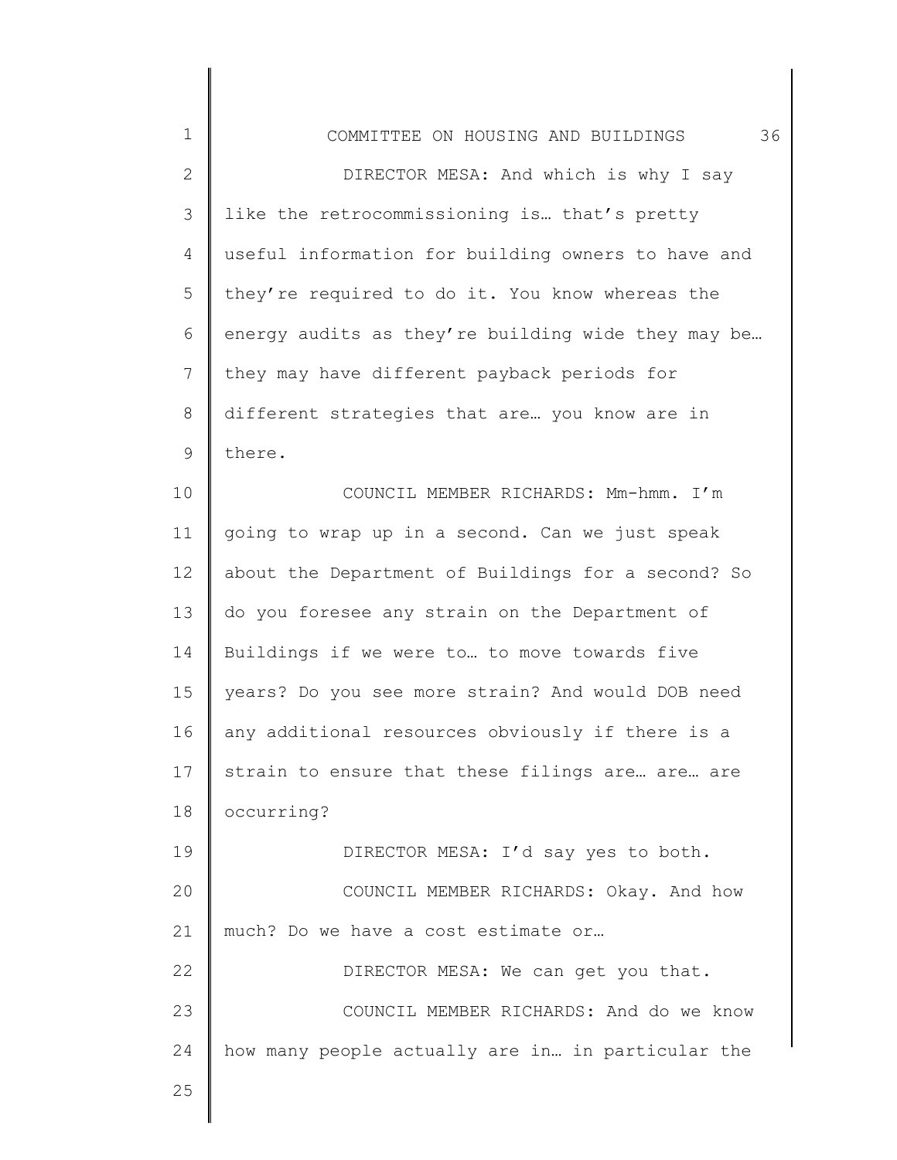| $\mathbf 1$    | 36<br>COMMITTEE ON HOUSING AND BUILDINGS           |
|----------------|----------------------------------------------------|
| $\mathbf{2}$   | DIRECTOR MESA: And which is why I say              |
| $\mathfrak{Z}$ | like the retrocommissioning is that's pretty       |
| $\overline{4}$ | useful information for building owners to have and |
| 5              | they're required to do it. You know whereas the    |
| 6              | energy audits as they're building wide they may be |
| 7              | they may have different payback periods for        |
| 8              | different strategies that are you know are in      |
| $\mathsf 9$    | there.                                             |
| 10             | COUNCIL MEMBER RICHARDS: Mm-hmm. I'm               |
| 11             | going to wrap up in a second. Can we just speak    |
| 12             | about the Department of Buildings for a second? So |
| 13             | do you foresee any strain on the Department of     |
| 14             | Buildings if we were to to move towards five       |
| 15             | years? Do you see more strain? And would DOB need  |
| 16             | any additional resources obviously if there is a   |
| 17             | strain to ensure that these filings are are are    |
| 18             | occurring?                                         |
| 19             | DIRECTOR MESA: I'd say yes to both.                |
| 20             | COUNCIL MEMBER RICHARDS: Okay. And how             |
| 21             | much? Do we have a cost estimate or                |
| 22             | DIRECTOR MESA: We can get you that.                |
| 23             | COUNCIL MEMBER RICHARDS: And do we know            |
| 24             | how many people actually are in in particular the  |
| 25             |                                                    |
|                |                                                    |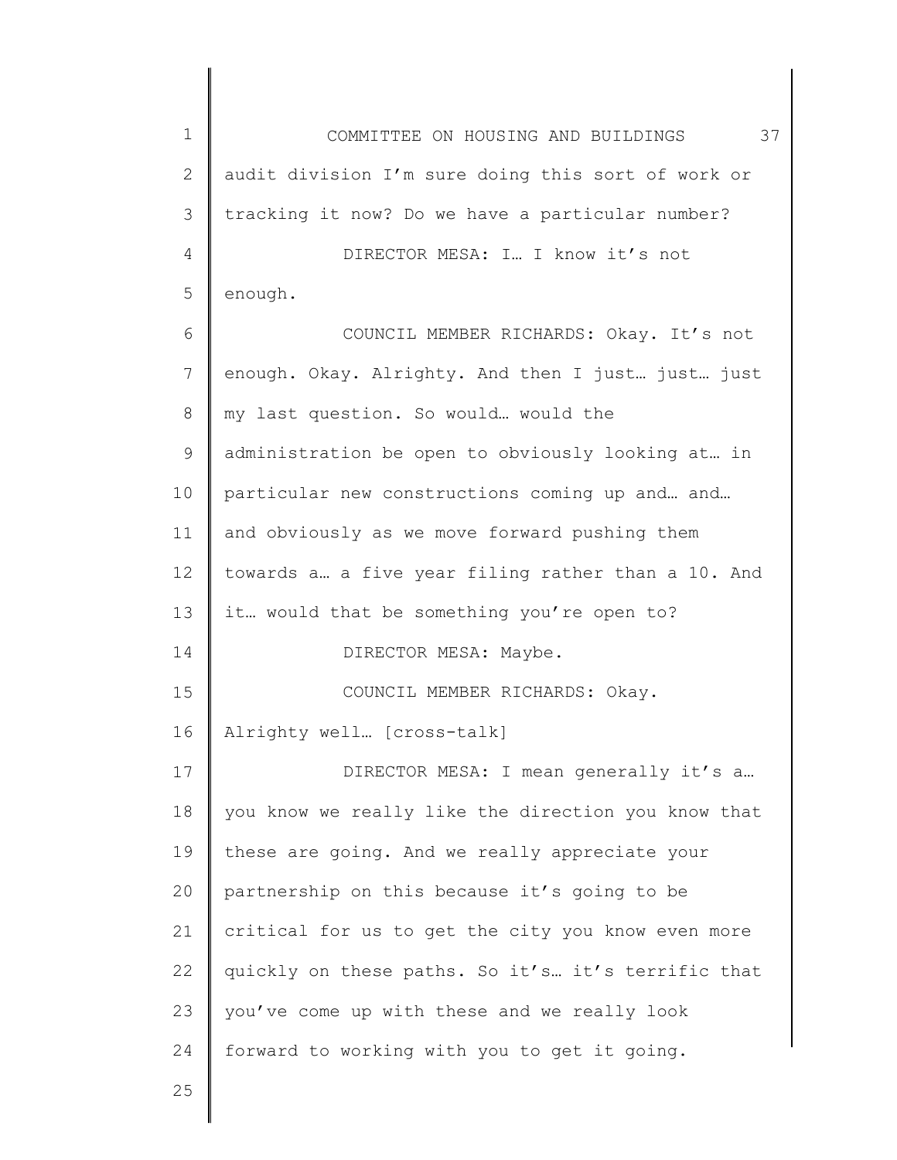1 2 3 4 5 6 7 8 9 10 11 12 13 14 15 16 17 18 19 20 21 22 23 24 COMMITTEE ON HOUSING AND BUILDINGS 37 audit division I'm sure doing this sort of work or tracking it now? Do we have a particular number? DIRECTOR MESA: I… I know it's not enough. COUNCIL MEMBER RICHARDS: Okay. It's not enough. Okay. Alrighty. And then I just… just… just my last question. So would… would the administration be open to obviously looking at… in particular new constructions coming up and… and… and obviously as we move forward pushing them towards a… a five year filing rather than a 10. And it... would that be something you're open to? DIRECTOR MESA: Maybe. COUNCIL MEMBER RICHARDS: Okay. Alrighty well… [cross-talk] DIRECTOR MESA: I mean generally it's a… you know we really like the direction you know that these are going. And we really appreciate your partnership on this because it's going to be critical for us to get the city you know even more quickly on these paths. So it's… it's terrific that you've come up with these and we really look forward to working with you to get it going.

25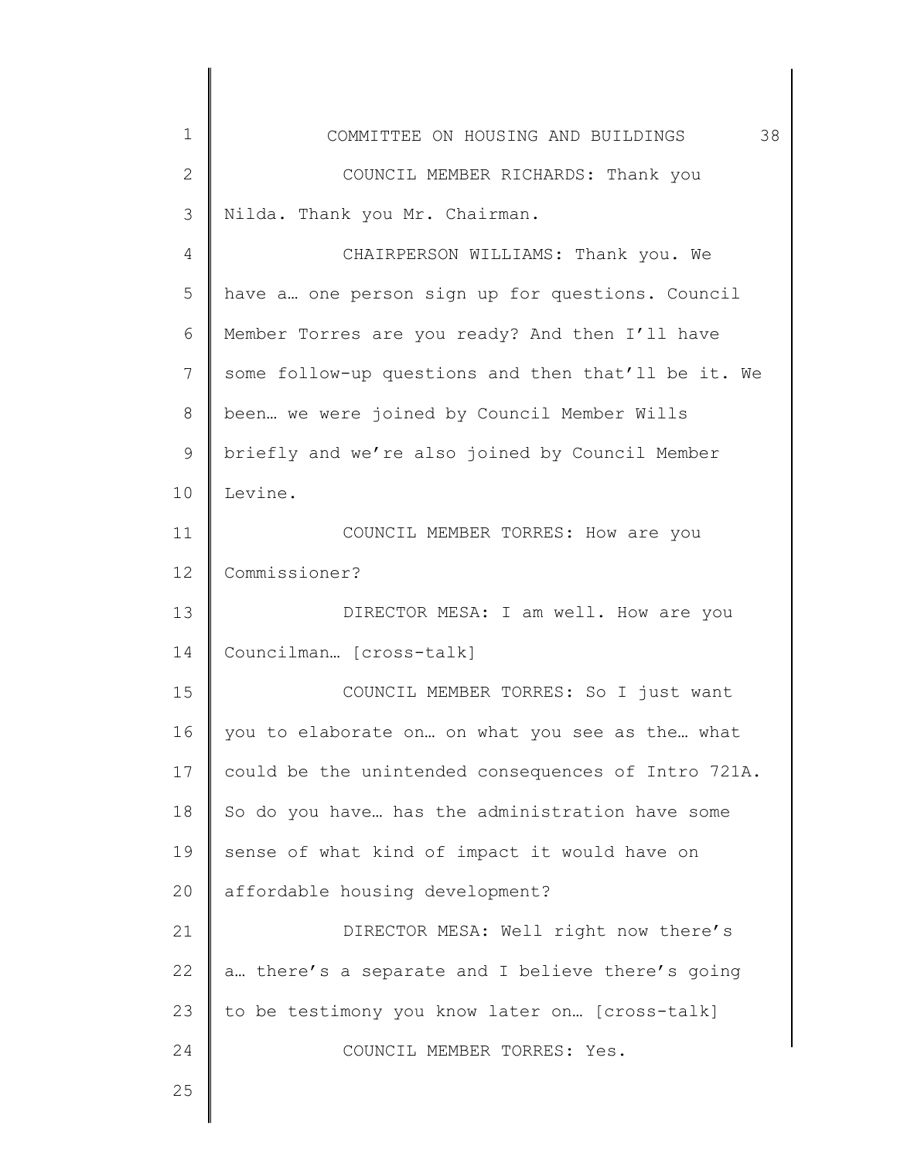| $\mathbf 1$     | 38<br>COMMITTEE ON HOUSING AND BUILDINGS            |
|-----------------|-----------------------------------------------------|
| $\overline{2}$  | COUNCIL MEMBER RICHARDS: Thank you                  |
| 3               | Nilda. Thank you Mr. Chairman.                      |
| 4               | CHAIRPERSON WILLIAMS: Thank you. We                 |
| 5               | have a one person sign up for questions. Council    |
| 6               | Member Torres are you ready? And then I'll have     |
| 7               | some follow-up questions and then that'll be it. We |
| 8               | been we were joined by Council Member Wills         |
| 9               | briefly and we're also joined by Council Member     |
| 10              | Levine.                                             |
| 11              | COUNCIL MEMBER TORRES: How are you                  |
| 12 <sup>°</sup> | Commissioner?                                       |
| 13              | DIRECTOR MESA: I am well. How are you               |
| 14              | Councilman [cross-talk]                             |
| 15              | COUNCIL MEMBER TORRES: So I just want               |
| 16              | you to elaborate on on what you see as the what     |
| 17              | could be the unintended consequences of Intro 721A. |
| 18              | So do you have has the administration have some     |
| 19              | sense of what kind of impact it would have on       |
| 20              | affordable housing development?                     |
| 21              | DIRECTOR MESA: Well right now there's               |
| 22              | a there's a separate and I believe there's going    |
| 23              | to be testimony you know later on [cross-talk]      |
| 24              | COUNCIL MEMBER TORRES: Yes.                         |
| 25              |                                                     |
|                 |                                                     |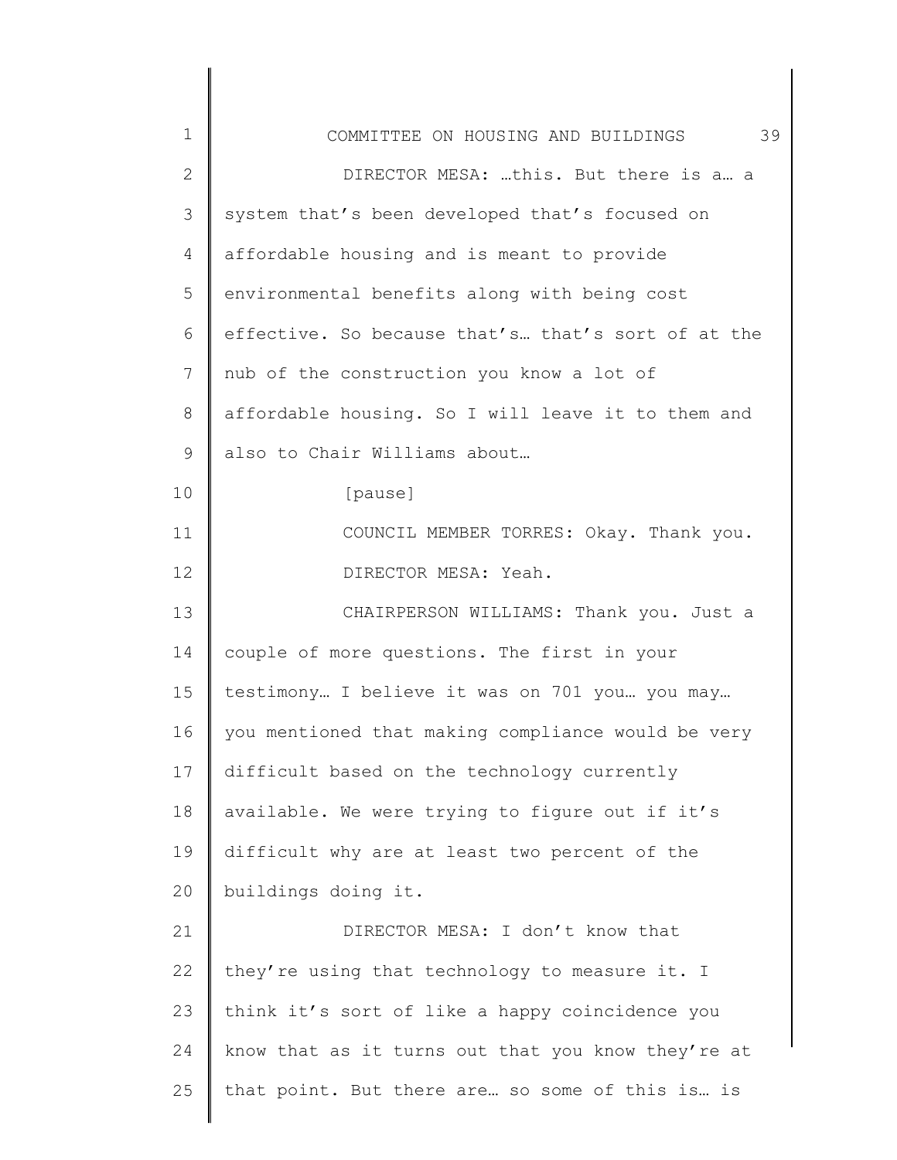| $\mathbf 1$    | 39<br>COMMITTEE ON HOUSING AND BUILDINGS           |
|----------------|----------------------------------------------------|
| $\overline{2}$ | DIRECTOR MESA: this. But there is a a              |
| 3              | system that's been developed that's focused on     |
| 4              | affordable housing and is meant to provide         |
| 5              | environmental benefits along with being cost       |
| 6              | effective. So because that's that's sort of at the |
| 7              | nub of the construction you know a lot of          |
| 8              | affordable housing. So I will leave it to them and |
| 9              | also to Chair Williams about                       |
| 10             | [pause]                                            |
| 11             | COUNCIL MEMBER TORRES: Okay. Thank you.            |
| 12             | DIRECTOR MESA: Yeah.                               |
| 13             | CHAIRPERSON WILLIAMS: Thank you. Just a            |
| 14             | couple of more questions. The first in your        |
| 15             | testimony I believe it was on 701 you you may      |
| 16             | you mentioned that making compliance would be very |
| 17             | difficult based on the technology currently        |
| 18             | available. We were trying to figure out if it's    |
| 19             | difficult why are at least two percent of the      |
| 20             | buildings doing it.                                |
| 21             | DIRECTOR MESA: I don't know that                   |
| 22             | they're using that technology to measure it. I     |
| 23             | think it's sort of like a happy coincidence you    |
| 24             | know that as it turns out that you know they're at |
| 25             | that point. But there are so some of this is is    |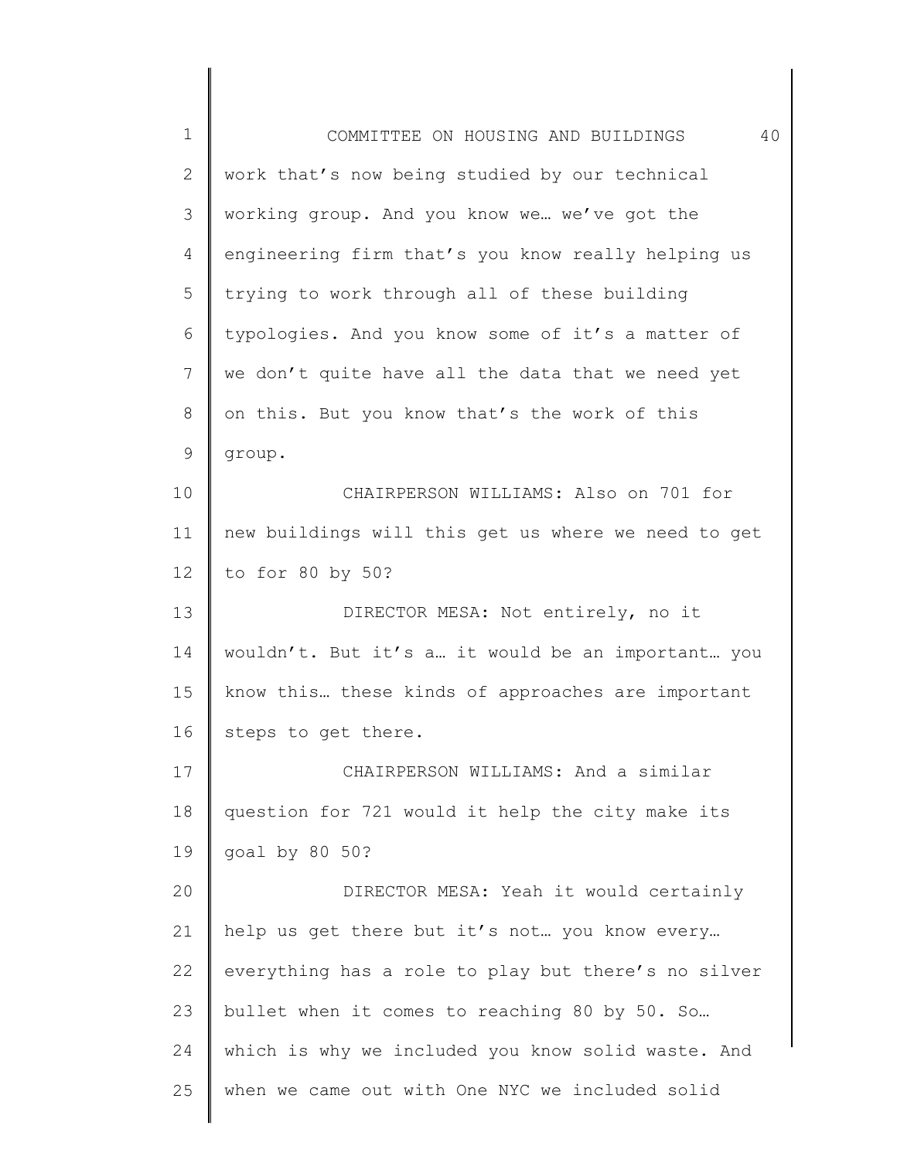1 2 3 4 5 6 7 8 9 10 11 12 13 14 15 16 17 18 19 20 21 22 23 24 25 COMMITTEE ON HOUSING AND BUILDINGS 40 work that's now being studied by our technical working group. And you know we… we've got the engineering firm that's you know really helping us trying to work through all of these building typologies. And you know some of it's a matter of we don't quite have all the data that we need yet on this. But you know that's the work of this group. CHAIRPERSON WILLIAMS: Also on 701 for new buildings will this get us where we need to get to for 80 by 50? DIRECTOR MESA: Not entirely, no it wouldn't. But it's a… it would be an important… you know this… these kinds of approaches are important steps to get there. CHAIRPERSON WILLIAMS: And a similar question for 721 would it help the city make its goal by 80 50? DIRECTOR MESA: Yeah it would certainly help us get there but it's not… you know every… everything has a role to play but there's no silver bullet when it comes to reaching 80 by 50. So… which is why we included you know solid waste. And when we came out with One NYC we included solid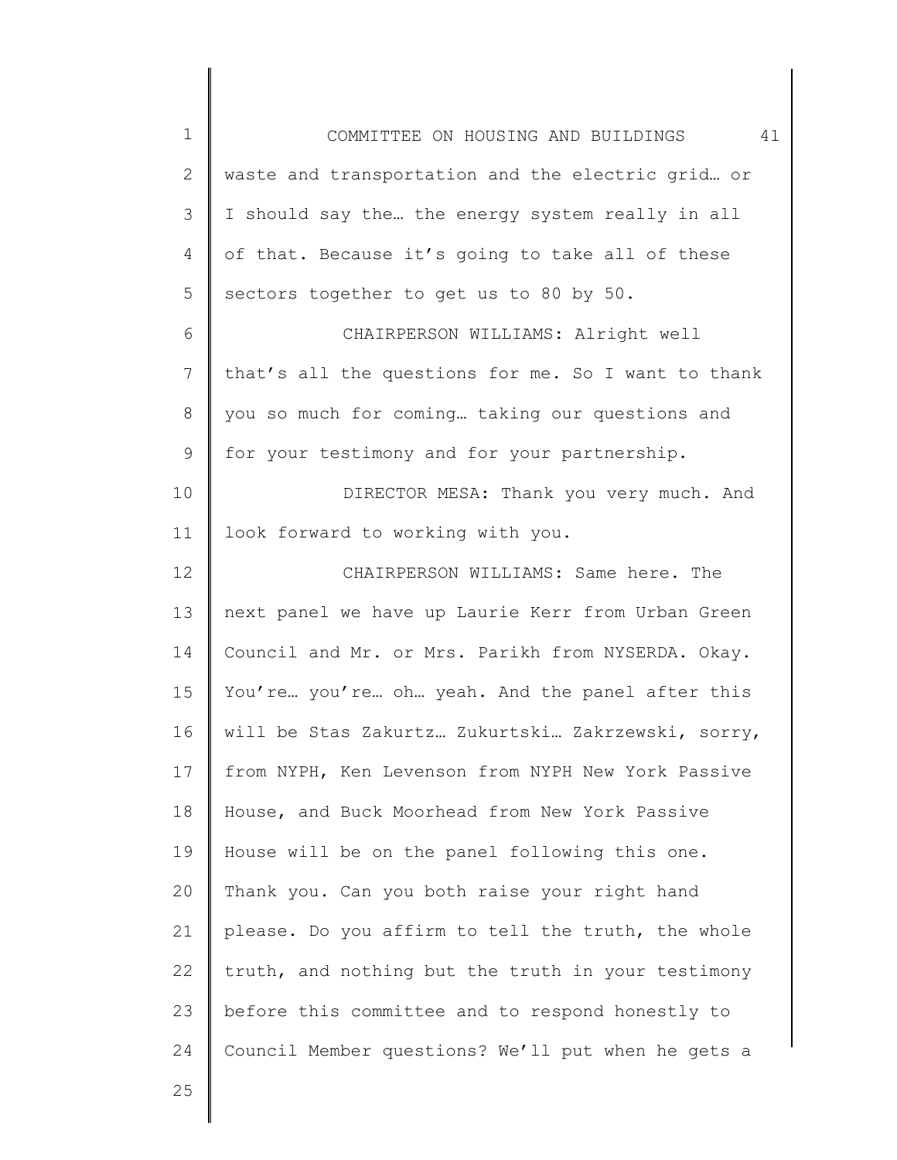| $\mathbf 1$  | 41<br>COMMITTEE ON HOUSING AND BUILDINGS            |
|--------------|-----------------------------------------------------|
| $\mathbf{2}$ | waste and transportation and the electric grid or   |
| 3            | I should say the the energy system really in all    |
| 4            | of that. Because it's going to take all of these    |
| 5            | sectors together to get us to 80 by 50.             |
| 6            | CHAIRPERSON WILLIAMS: Alright well                  |
| 7            | that's all the questions for me. So I want to thank |
| $8\,$        | you so much for coming taking our questions and     |
| $\mathsf 9$  | for your testimony and for your partnership.        |
| 10           | DIRECTOR MESA: Thank you very much. And             |
| 11           | look forward to working with you.                   |
| 12           | CHAIRPERSON WILLIAMS: Same here. The                |
| 13           | next panel we have up Laurie Kerr from Urban Green  |
| 14           | Council and Mr. or Mrs. Parikh from NYSERDA. Okay.  |
| 15           | You're you're oh yeah. And the panel after this     |
| 16           | will be Stas Zakurtz Zukurtski Zakrzewski, sorry,   |
| 17           | from NYPH, Ken Levenson from NYPH New York Passive  |
| 18           | House, and Buck Moorhead from New York Passive      |
| 19           | House will be on the panel following this one.      |
| 20           | Thank you. Can you both raise your right hand       |
| 21           | please. Do you affirm to tell the truth, the whole  |
| 22           | truth, and nothing but the truth in your testimony  |
| 23           | before this committee and to respond honestly to    |
| 24           | Council Member questions? We'll put when he gets a  |
| 25           |                                                     |
|              |                                                     |

25

║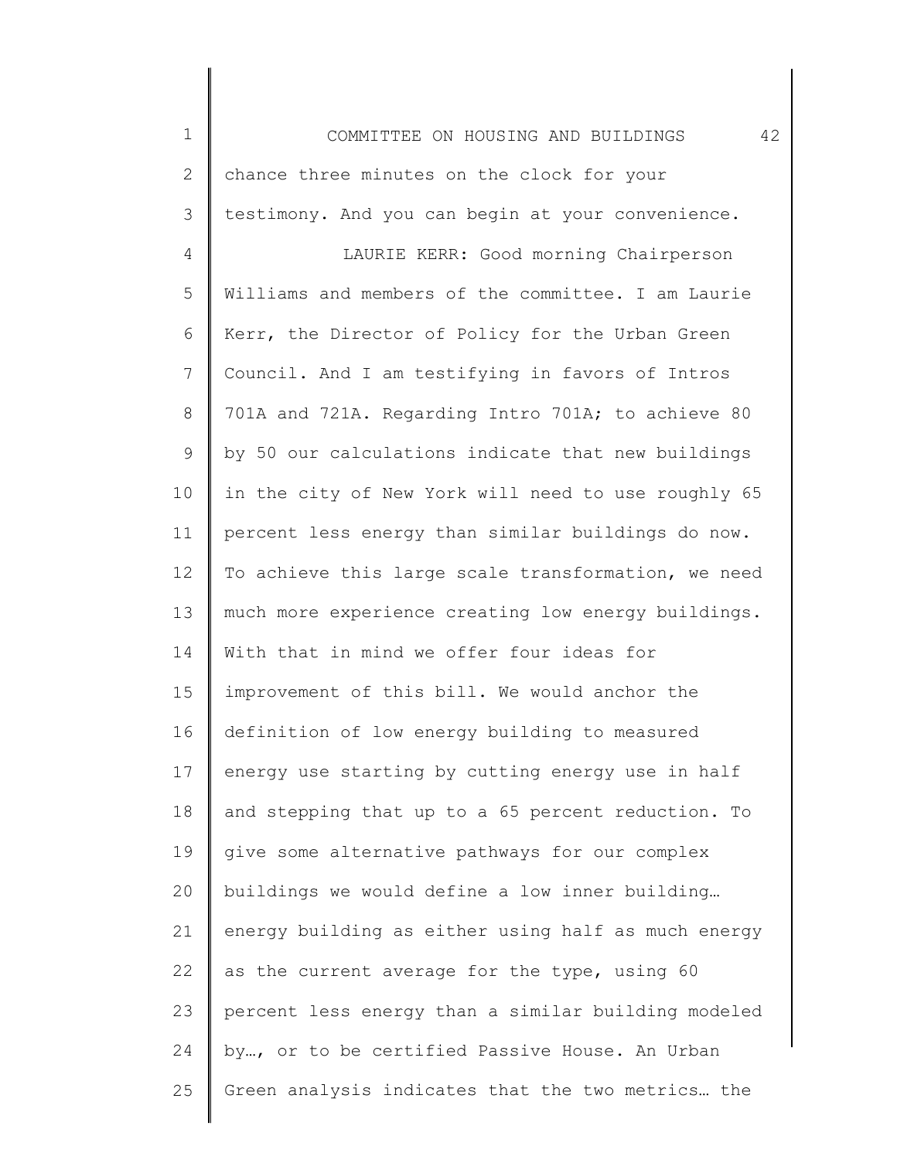1 2 3 4 5 6 7 8 9 10 11 12 13 14 15 16 17 18 19 20 21 22 23 24 25 COMMITTEE ON HOUSING AND BUILDINGS 42 chance three minutes on the clock for your testimony. And you can begin at your convenience. LAURIE KERR: Good morning Chairperson Williams and members of the committee. I am Laurie Kerr, the Director of Policy for the Urban Green Council. And I am testifying in favors of Intros 701A and 721A. Regarding Intro 701A; to achieve 80 by 50 our calculations indicate that new buildings in the city of New York will need to use roughly 65 percent less energy than similar buildings do now. To achieve this large scale transformation, we need much more experience creating low energy buildings. With that in mind we offer four ideas for improvement of this bill. We would anchor the definition of low energy building to measured energy use starting by cutting energy use in half and stepping that up to a 65 percent reduction. To give some alternative pathways for our complex buildings we would define a low inner building… energy building as either using half as much energy as the current average for the type, using 60 percent less energy than a similar building modeled by…, or to be certified Passive House. An Urban Green analysis indicates that the two metrics… the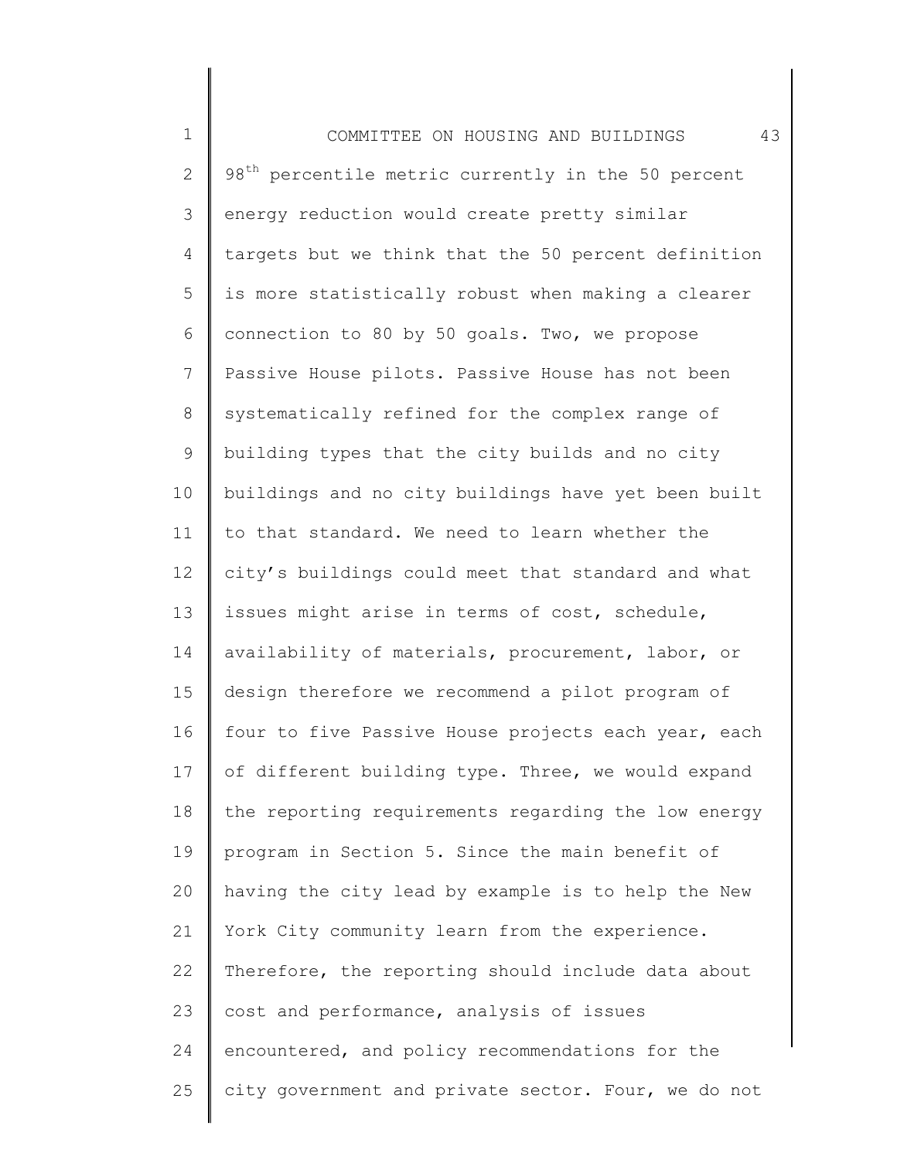1 2 3 4 5 6 7 8 9 10 11 12 13 14 15 16 17 18 19 20 21 22 23 24 25 COMMITTEE ON HOUSING AND BUILDINGS 43 98<sup>th</sup> percentile metric currently in the 50 percent energy reduction would create pretty similar targets but we think that the 50 percent definition is more statistically robust when making a clearer connection to 80 by 50 goals. Two, we propose Passive House pilots. Passive House has not been systematically refined for the complex range of building types that the city builds and no city buildings and no city buildings have yet been built to that standard. We need to learn whether the city's buildings could meet that standard and what issues might arise in terms of cost, schedule, availability of materials, procurement, labor, or design therefore we recommend a pilot program of four to five Passive House projects each year, each of different building type. Three, we would expand the reporting requirements regarding the low energy program in Section 5. Since the main benefit of having the city lead by example is to help the New York City community learn from the experience. Therefore, the reporting should include data about cost and performance, analysis of issues encountered, and policy recommendations for the city government and private sector. Four, we do not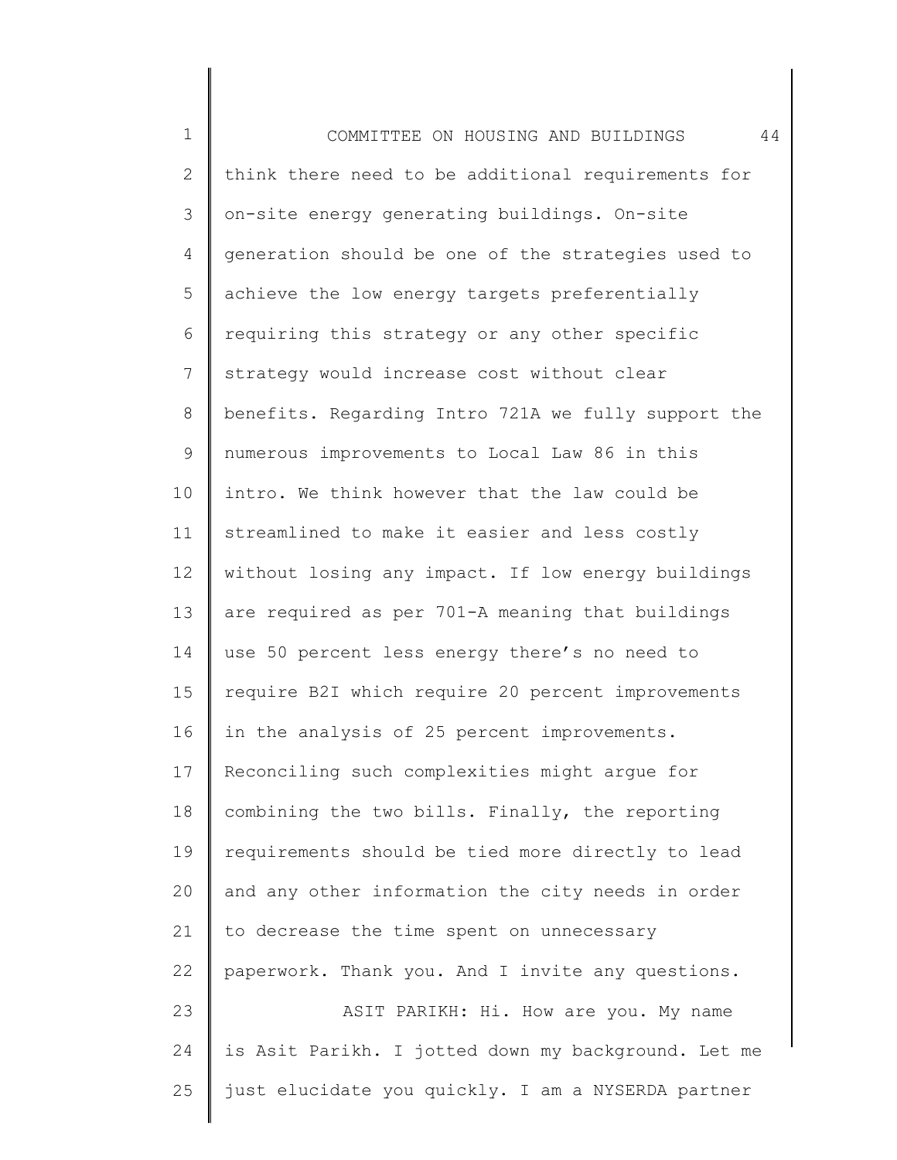1 2 3 4 5 6 7 8 9 10 11 12 13 14 15 16 17 18 19 20 21 22 23 24 25 COMMITTEE ON HOUSING AND BUILDINGS 44 think there need to be additional requirements for on-site energy generating buildings. On-site generation should be one of the strategies used to achieve the low energy targets preferentially requiring this strategy or any other specific strategy would increase cost without clear benefits. Regarding Intro 721A we fully support the numerous improvements to Local Law 86 in this intro. We think however that the law could be streamlined to make it easier and less costly without losing any impact. If low energy buildings are required as per 701-A meaning that buildings use 50 percent less energy there's no need to require B2I which require 20 percent improvements in the analysis of 25 percent improvements. Reconciling such complexities might argue for combining the two bills. Finally, the reporting requirements should be tied more directly to lead and any other information the city needs in order to decrease the time spent on unnecessary paperwork. Thank you. And I invite any questions. ASIT PARIKH: Hi. How are you. My name is Asit Parikh. I jotted down my background. Let me just elucidate you quickly. I am a NYSERDA partner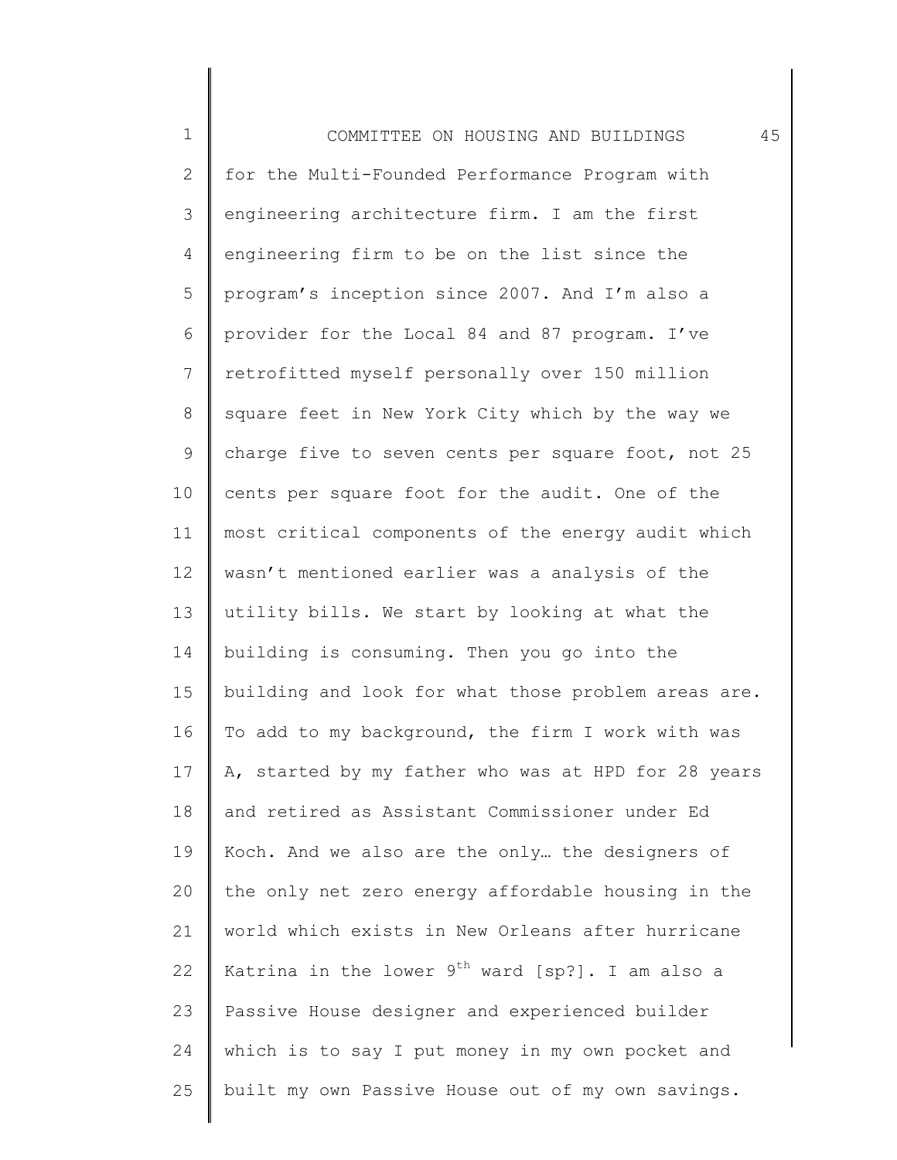1 2 3 4 5 6 7 8 9 10 11 12 13 14 15 16 17 18 19 20 21 22 23 24 25 COMMITTEE ON HOUSING AND BUILDINGS 45 for the Multi-Founded Performance Program with engineering architecture firm. I am the first engineering firm to be on the list since the program's inception since 2007. And I'm also a provider for the Local 84 and 87 program. I've retrofitted myself personally over 150 million square feet in New York City which by the way we charge five to seven cents per square foot, not 25 cents per square foot for the audit. One of the most critical components of the energy audit which wasn't mentioned earlier was a analysis of the utility bills. We start by looking at what the building is consuming. Then you go into the building and look for what those problem areas are. To add to my background, the firm I work with was A, started by my father who was at HPD for 28 years and retired as Assistant Commissioner under Ed Koch. And we also are the only… the designers of the only net zero energy affordable housing in the world which exists in New Orleans after hurricane Katrina in the lower  $9^{th}$  ward [sp?]. I am also a Passive House designer and experienced builder which is to say I put money in my own pocket and built my own Passive House out of my own savings.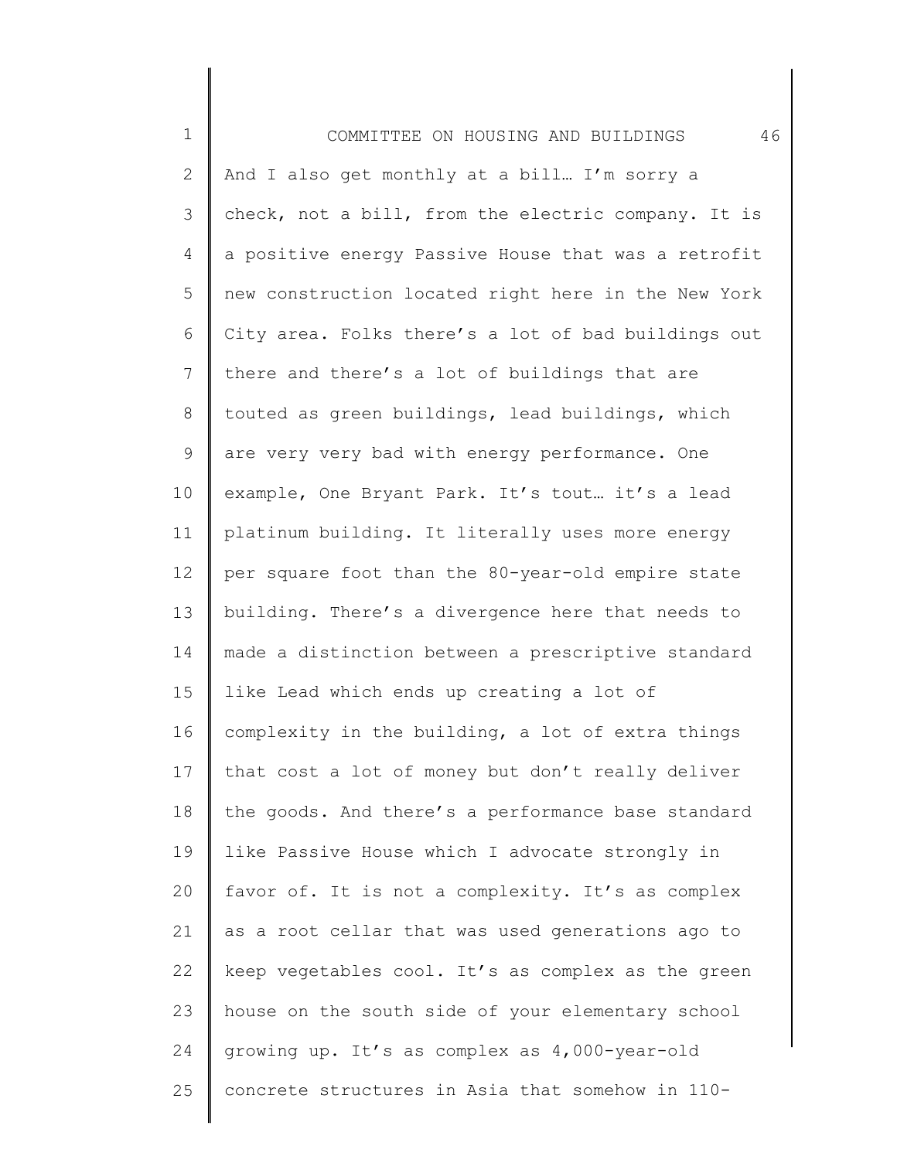| $\mathbf 1$    | 46<br>COMMITTEE ON HOUSING AND BUILDINGS            |
|----------------|-----------------------------------------------------|
| $\mathbf{2}$   | And I also get monthly at a bill I'm sorry a        |
| $\mathcal{S}$  | check, not a bill, from the electric company. It is |
| 4              | a positive energy Passive House that was a retrofit |
| 5              | new construction located right here in the New York |
| 6              | City area. Folks there's a lot of bad buildings out |
| $\overline{7}$ | there and there's a lot of buildings that are       |
| 8              | touted as green buildings, lead buildings, which    |
| 9              | are very very bad with energy performance. One      |
| 10             | example, One Bryant Park. It's tout it's a lead     |
| 11             | platinum building. It literally uses more energy    |
| 12             | per square foot than the 80-year-old empire state   |
| 13             | building. There's a divergence here that needs to   |
| 14             | made a distinction between a prescriptive standard  |
| 15             | like Lead which ends up creating a lot of           |
| 16             | complexity in the building, a lot of extra things   |
| 17             | that cost a lot of money but don't really deliver   |
| 18             | the goods. And there's a performance base standard  |
| 19             | like Passive House which I advocate strongly in     |
| 20             | favor of. It is not a complexity. It's as complex   |
| 21             | as a root cellar that was used generations ago to   |
| 22             | keep vegetables cool. It's as complex as the green  |
| 23             | house on the south side of your elementary school   |
| 24             | growing up. It's as complex as 4,000-year-old       |
| 25             | concrete structures in Asia that somehow in 110-    |
|                |                                                     |

 $\mathsf I$ ║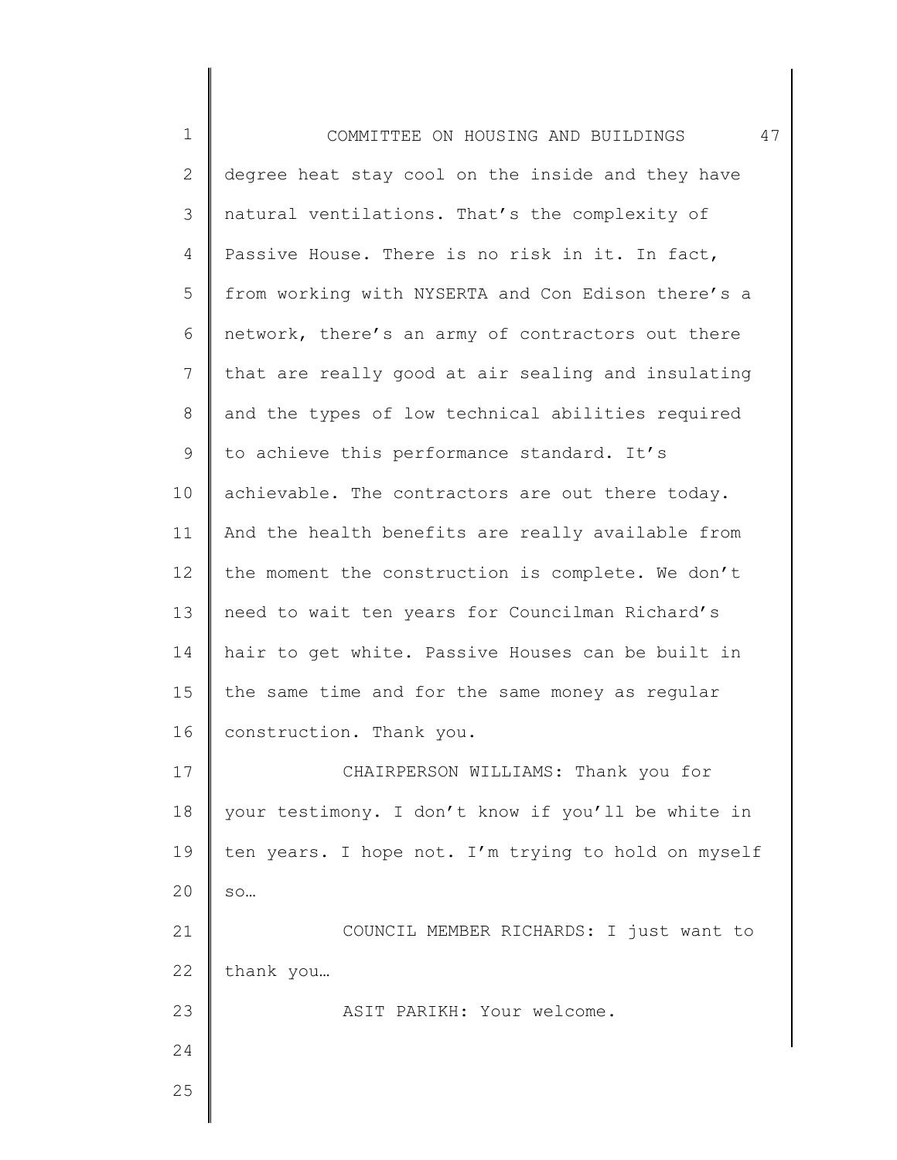1 2 3 4 5 6 7 8 9 10 11 12 13 14 15 16 17 18 19 20 21 22 23 24 25 COMMITTEE ON HOUSING AND BUILDINGS 47 degree heat stay cool on the inside and they have natural ventilations. That's the complexity of Passive House. There is no risk in it. In fact, from working with NYSERTA and Con Edison there's a network, there's an army of contractors out there that are really good at air sealing and insulating and the types of low technical abilities required to achieve this performance standard. It's achievable. The contractors are out there today. And the health benefits are really available from the moment the construction is complete. We don't need to wait ten years for Councilman Richard's hair to get white. Passive Houses can be built in the same time and for the same money as regular construction. Thank you. CHAIRPERSON WILLIAMS: Thank you for your testimony. I don't know if you'll be white in ten years. I hope not. I'm trying to hold on myself so… COUNCIL MEMBER RICHARDS: I just want to thank you… ASIT PARIKH: Your welcome.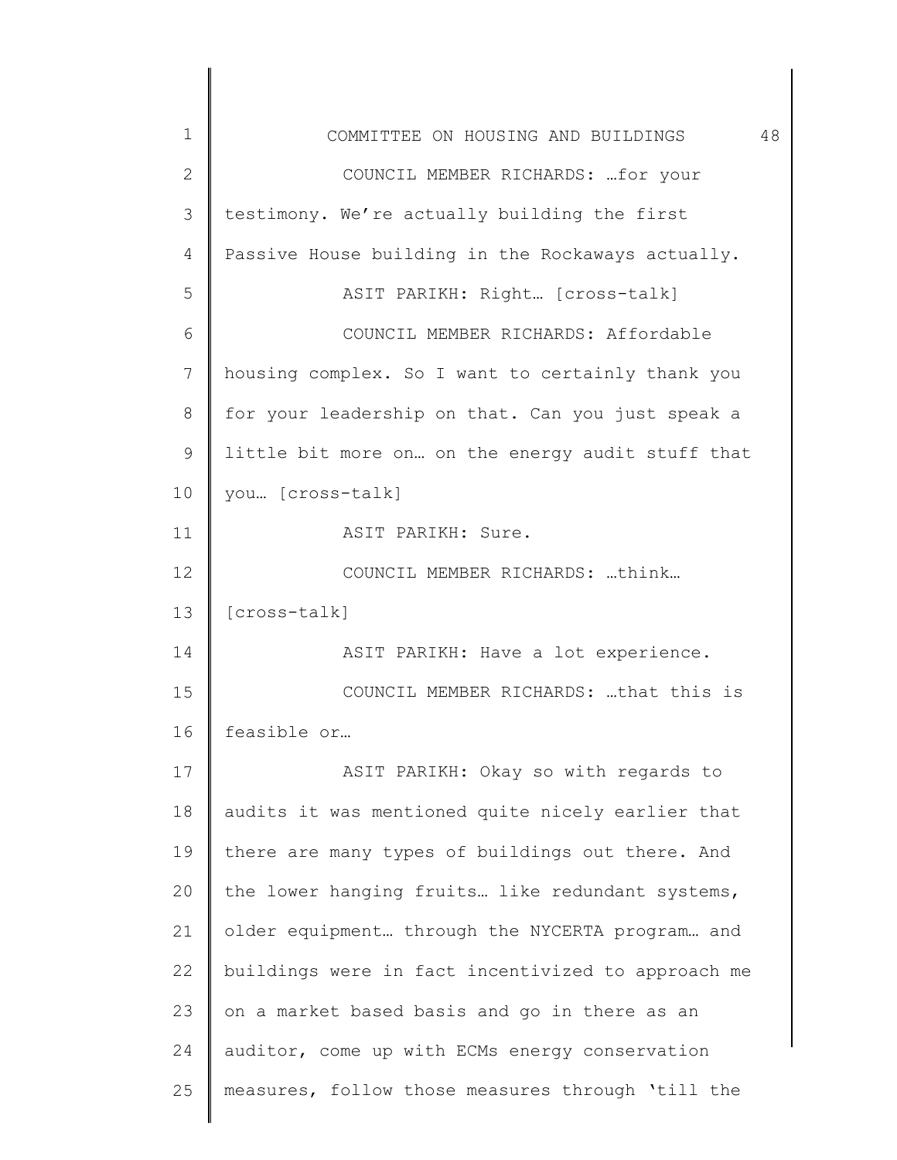| $\mathbf 1$  | 48<br>COMMITTEE ON HOUSING AND BUILDINGS           |
|--------------|----------------------------------------------------|
| $\mathbf{2}$ | COUNCIL MEMBER RICHARDS:  for your                 |
| 3            | testimony. We're actually building the first       |
| 4            | Passive House building in the Rockaways actually.  |
| 5            | ASIT PARIKH: Right [cross-talk]                    |
| 6            | COUNCIL MEMBER RICHARDS: Affordable                |
| 7            | housing complex. So I want to certainly thank you  |
| 8            | for your leadership on that. Can you just speak a  |
| $\mathsf 9$  | little bit more on on the energy audit stuff that  |
| 10           | you [cross-talk]                                   |
| 11           | ASIT PARIKH: Sure.                                 |
| 12           | COUNCIL MEMBER RICHARDS: think                     |
| 13           | [cross-talk]                                       |
| 14           | ASIT PARIKH: Have a lot experience.                |
| 15           | COUNCIL MEMBER RICHARDS: that this is              |
| 16           | feasible or                                        |
| 17           | ASIT PARIKH: Okay so with regards to               |
| 18           | audits it was mentioned quite nicely earlier that  |
| 19           | there are many types of buildings out there. And   |
| 20           | the lower hanging fruits like redundant systems,   |
| 21           | older equipment through the NYCERTA program and    |
| 22           | buildings were in fact incentivized to approach me |
| 23           | on a market based basis and go in there as an      |
| 24           | auditor, come up with ECMs energy conservation     |
| 25           | measures, follow those measures through 'till the  |
|              |                                                    |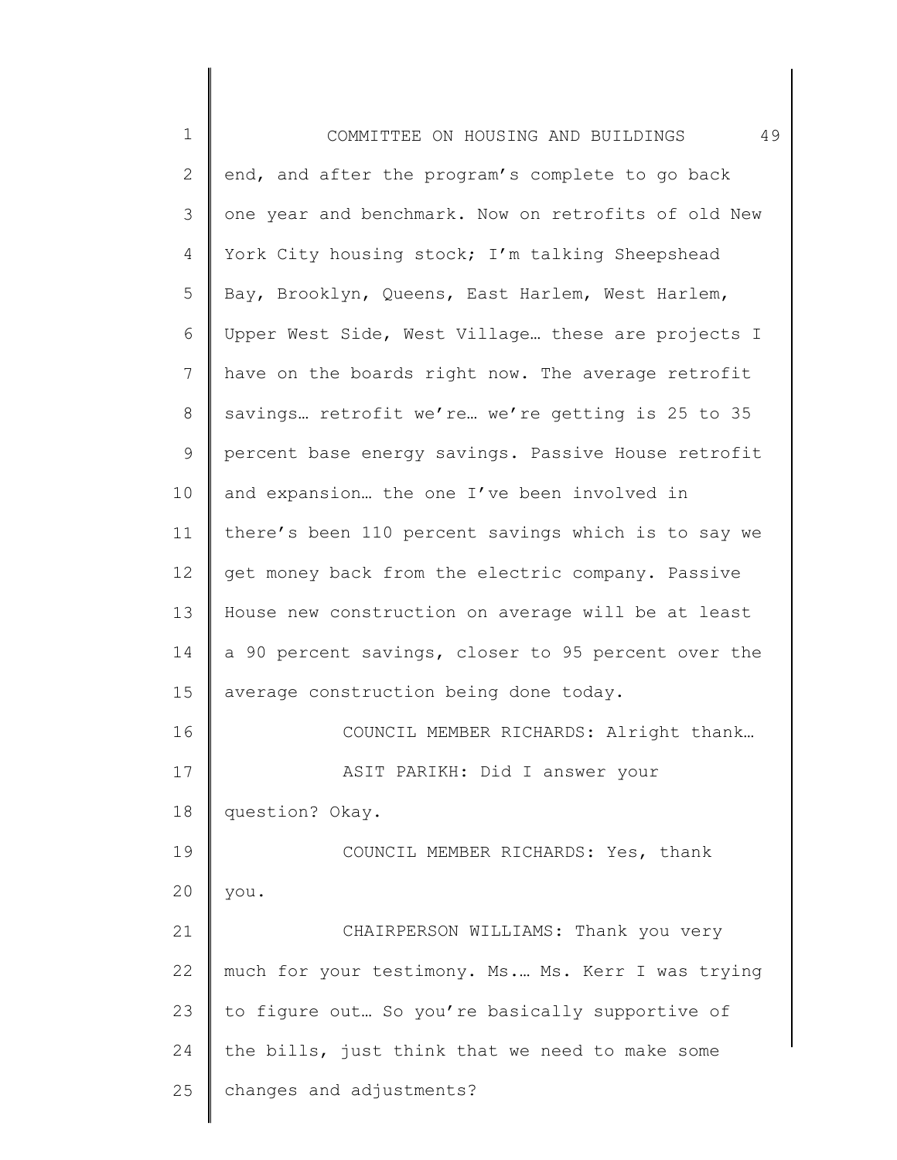| $\mathbf 1$   | 49<br>COMMITTEE ON HOUSING AND BUILDINGS            |
|---------------|-----------------------------------------------------|
| $\mathbf{2}$  | end, and after the program's complete to go back    |
| $\mathcal{S}$ | one year and benchmark. Now on retrofits of old New |
| 4             | York City housing stock; I'm talking Sheepshead     |
| 5             | Bay, Brooklyn, Queens, East Harlem, West Harlem,    |
| 6             | Upper West Side, West Village these are projects I  |
| 7             | have on the boards right now. The average retrofit  |
| 8             | savings retrofit we're we're getting is 25 to 35    |
| 9             | percent base energy savings. Passive House retrofit |
| 10            | and expansion the one I've been involved in         |
| 11            | there's been 110 percent savings which is to say we |
| 12            | get money back from the electric company. Passive   |
| 13            | House new construction on average will be at least  |
| 14            | a 90 percent savings, closer to 95 percent over the |
| 15            | average construction being done today.              |
| 16            | COUNCIL MEMBER RICHARDS: Alright thank              |
| 17            | ASIT PARIKH: Did I answer your                      |
| 18            | question? Okay.                                     |
| 19            | COUNCIL MEMBER RICHARDS: Yes, thank                 |
| 20            | you.                                                |
| 21            | CHAIRPERSON WILLIAMS: Thank you very                |
| 22            | much for your testimony. Ms. Ms. Kerr I was trying  |
| 23            | to figure out So you're basically supportive of     |
| 24            | the bills, just think that we need to make some     |
| 25            | changes and adjustments?                            |
|               |                                                     |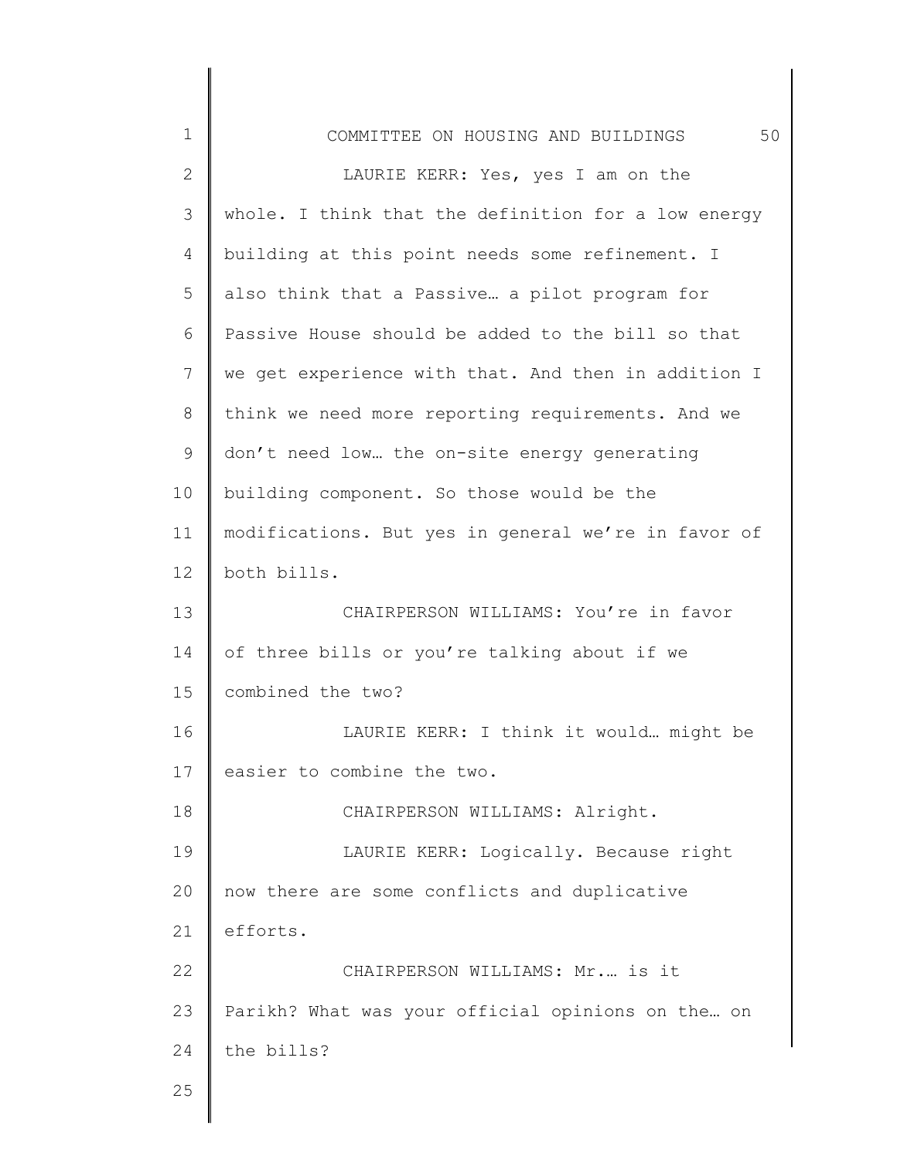| $\mathbf 1$    | 50<br>COMMITTEE ON HOUSING AND BUILDINGS            |
|----------------|-----------------------------------------------------|
| $\overline{2}$ | LAURIE KERR: Yes, yes I am on the                   |
| 3              | whole. I think that the definition for a low energy |
| 4              | building at this point needs some refinement. I     |
| 5              | also think that a Passive a pilot program for       |
| 6              | Passive House should be added to the bill so that   |
| 7              | we get experience with that. And then in addition I |
| 8              | think we need more reporting requirements. And we   |
| $\mathcal{G}$  | don't need low the on-site energy generating        |
| 10             | building component. So those would be the           |
| 11             | modifications. But yes in general we're in favor of |
| 12             | both bills.                                         |
| 13             | CHAIRPERSON WILLIAMS: You're in favor               |
| 14             | of three bills or you're talking about if we        |
| 15             | combined the two?                                   |
| 16             | LAURIE KERR: I think it would might be              |
| 17             | easier to combine the two.                          |
| 18             | CHAIRPERSON WILLIAMS: Alright.                      |
| 19             | LAURIE KERR: Logically. Because right               |
| 20             | now there are some conflicts and duplicative        |
| 21             | efforts.                                            |
| 22             | CHAIRPERSON WILLIAMS: Mr.  is it                    |
| 23             | Parikh? What was your official opinions on the on   |
| 24             | the bills?                                          |
| 25             |                                                     |
|                |                                                     |

 $\begin{array}{c} \hline \end{array}$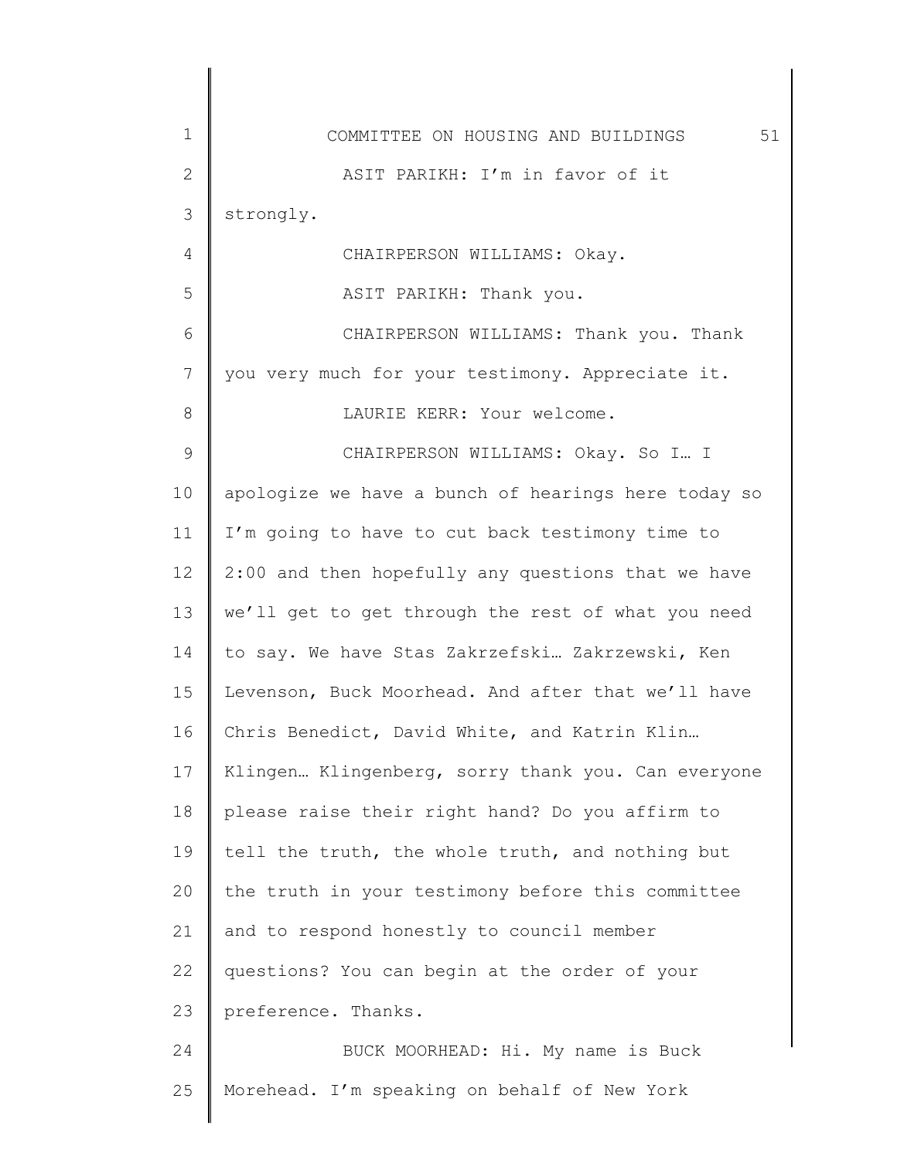| 1             | 51<br>COMMITTEE ON HOUSING AND BUILDINGS            |
|---------------|-----------------------------------------------------|
| $\mathbf{2}$  | ASIT PARIKH: I'm in favor of it                     |
| 3             | strongly.                                           |
| 4             | CHAIRPERSON WILLIAMS: Okay.                         |
| 5             | ASIT PARIKH: Thank you.                             |
| 6             | CHAIRPERSON WILLIAMS: Thank you. Thank              |
| 7             | you very much for your testimony. Appreciate it.    |
| 8             | LAURIE KERR: Your welcome.                          |
| $\mathcal{G}$ | CHAIRPERSON WILLIAMS: Okay. So I I                  |
| 10            | apologize we have a bunch of hearings here today so |
| 11            | I'm going to have to cut back testimony time to     |
| 12            | 2:00 and then hopefully any questions that we have  |
| 13            | we'll get to get through the rest of what you need  |
| 14            | to say. We have Stas Zakrzefski. Zakrzewski, Ken    |
| 15            | Levenson, Buck Moorhead. And after that we'll have  |
| 16            | Chris Benedict, David White, and Katrin Klin        |
| 17            | Klingen Klingenberg, sorry thank you. Can everyone  |
| 18            | please raise their right hand? Do you affirm to     |
| 19            | tell the truth, the whole truth, and nothing but    |
| 20            | the truth in your testimony before this committee   |
| 21            | and to respond honestly to council member           |
| 22            | questions? You can begin at the order of your       |
| 23            | preference. Thanks.                                 |
| 24            | BUCK MOORHEAD: Hi. My name is Buck                  |
| 25            | Morehead. I'm speaking on behalf of New York        |
|               |                                                     |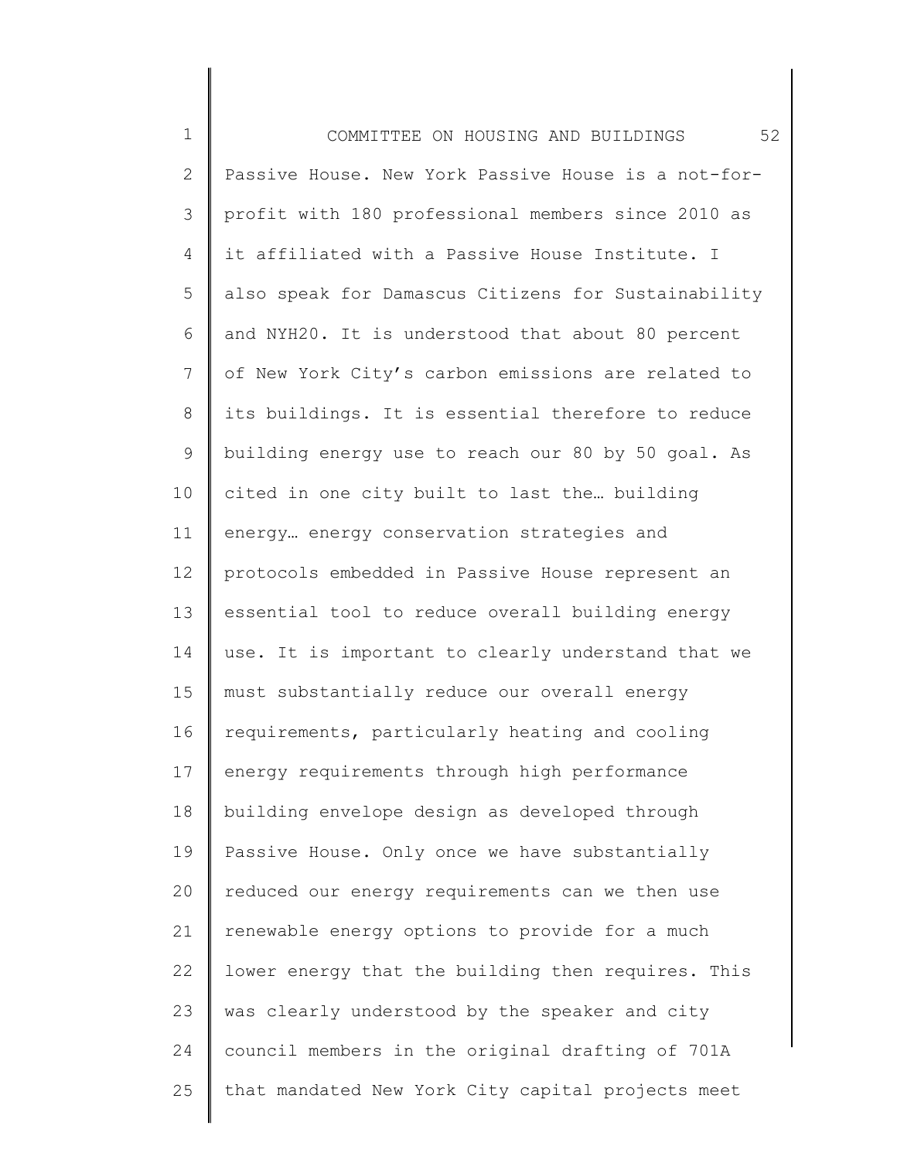1 2 3 4 5 6 7 8 9 10 11 12 13 14 15 16 17 18 19 20 21 22 23 24 25 COMMITTEE ON HOUSING AND BUILDINGS 52 Passive House. New York Passive House is a not-forprofit with 180 professional members since 2010 as it affiliated with a Passive House Institute. I also speak for Damascus Citizens for Sustainability and NYH20. It is understood that about 80 percent of New York City's carbon emissions are related to its buildings. It is essential therefore to reduce building energy use to reach our 80 by 50 goal. As cited in one city built to last the… building energy… energy conservation strategies and protocols embedded in Passive House represent an essential tool to reduce overall building energy use. It is important to clearly understand that we must substantially reduce our overall energy requirements, particularly heating and cooling energy requirements through high performance building envelope design as developed through Passive House. Only once we have substantially reduced our energy requirements can we then use renewable energy options to provide for a much lower energy that the building then requires. This was clearly understood by the speaker and city council members in the original drafting of 701A that mandated New York City capital projects meet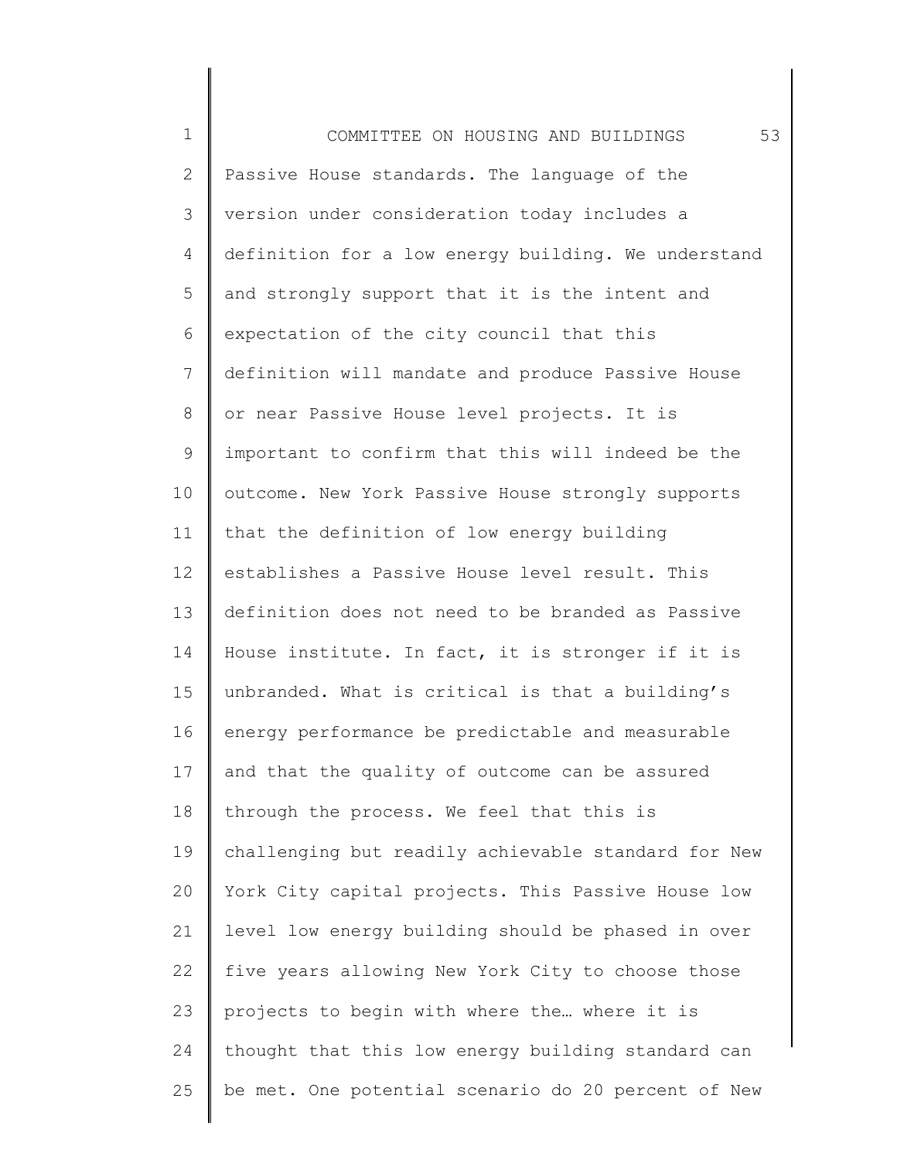1 2 3 4 5 6 7 8 9 10 11 12 13 14 15 16 17 18 19 20 21 22 23 24 25 COMMITTEE ON HOUSING AND BUILDINGS 53 Passive House standards. The language of the version under consideration today includes a definition for a low energy building. We understand and strongly support that it is the intent and expectation of the city council that this definition will mandate and produce Passive House or near Passive House level projects. It is important to confirm that this will indeed be the outcome. New York Passive House strongly supports that the definition of low energy building establishes a Passive House level result. This definition does not need to be branded as Passive House institute. In fact, it is stronger if it is unbranded. What is critical is that a building's energy performance be predictable and measurable and that the quality of outcome can be assured through the process. We feel that this is challenging but readily achievable standard for New York City capital projects. This Passive House low level low energy building should be phased in over five years allowing New York City to choose those projects to begin with where the… where it is thought that this low energy building standard can be met. One potential scenario do 20 percent of New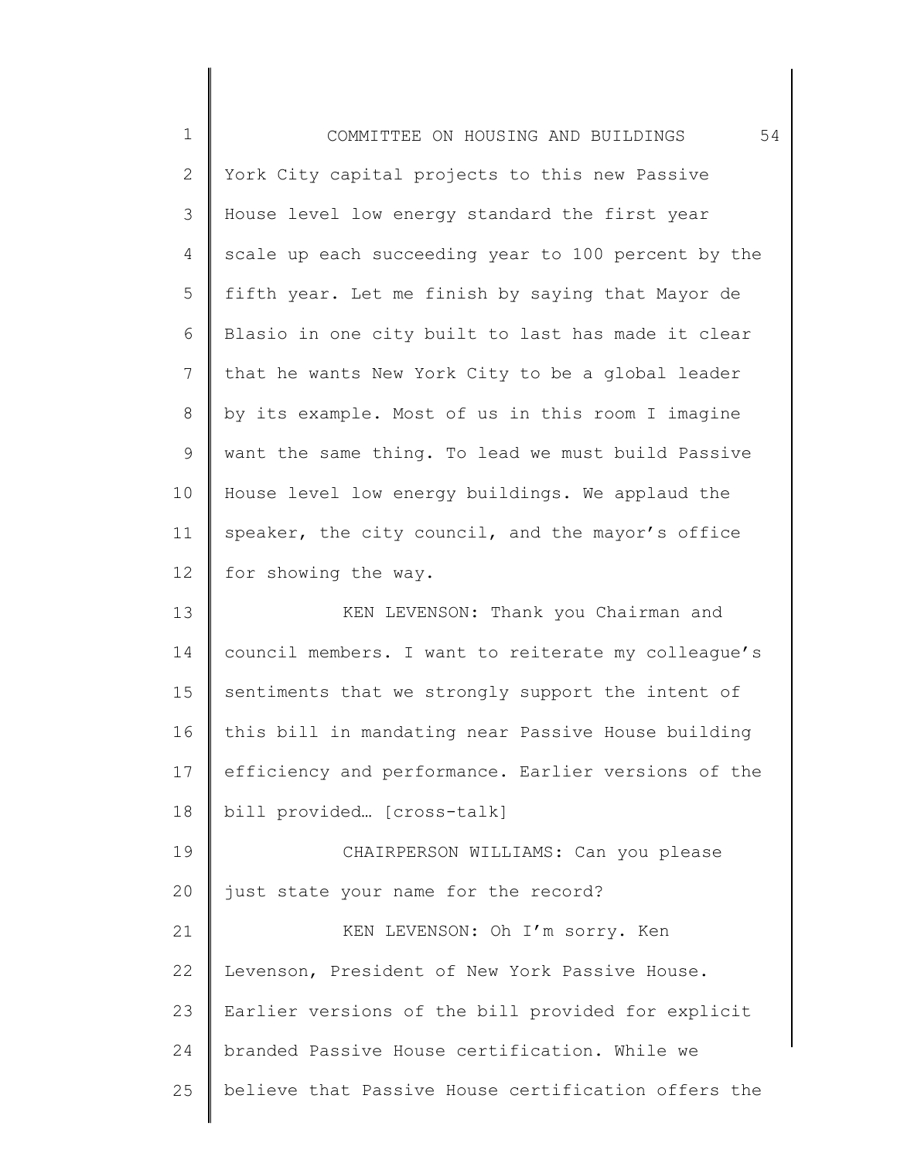| $\mathbf 1$  | 54<br>COMMITTEE ON HOUSING AND BUILDINGS            |
|--------------|-----------------------------------------------------|
| $\mathbf{2}$ | York City capital projects to this new Passive      |
| 3            | House level low energy standard the first year      |
| 4            | scale up each succeeding year to 100 percent by the |
| 5            | fifth year. Let me finish by saying that Mayor de   |
| 6            | Blasio in one city built to last has made it clear  |
| 7            | that he wants New York City to be a global leader   |
| $\,8\,$      | by its example. Most of us in this room I imagine   |
| $\mathsf 9$  | want the same thing. To lead we must build Passive  |
| 10           | House level low energy buildings. We applaud the    |
| 11           | speaker, the city council, and the mayor's office   |
| 12           | for showing the way.                                |
| 13           | KEN LEVENSON: Thank you Chairman and                |
| 14           | council members. I want to reiterate my colleague's |
| 15           | sentiments that we strongly support the intent of   |
| 16           | this bill in mandating near Passive House building  |
| 17           | efficiency and performance. Earlier versions of the |
| 18           | bill provided [cross-talk]                          |
| 19           | CHAIRPERSON WILLIAMS: Can you please                |
| 20           | just state your name for the record?                |
| 21           | KEN LEVENSON: Oh I'm sorry. Ken                     |
| 22           | Levenson, President of New York Passive House.      |
| 23           | Earlier versions of the bill provided for explicit  |
| 24           | branded Passive House certification. While we       |
| 25           | believe that Passive House certification offers the |
|              |                                                     |

║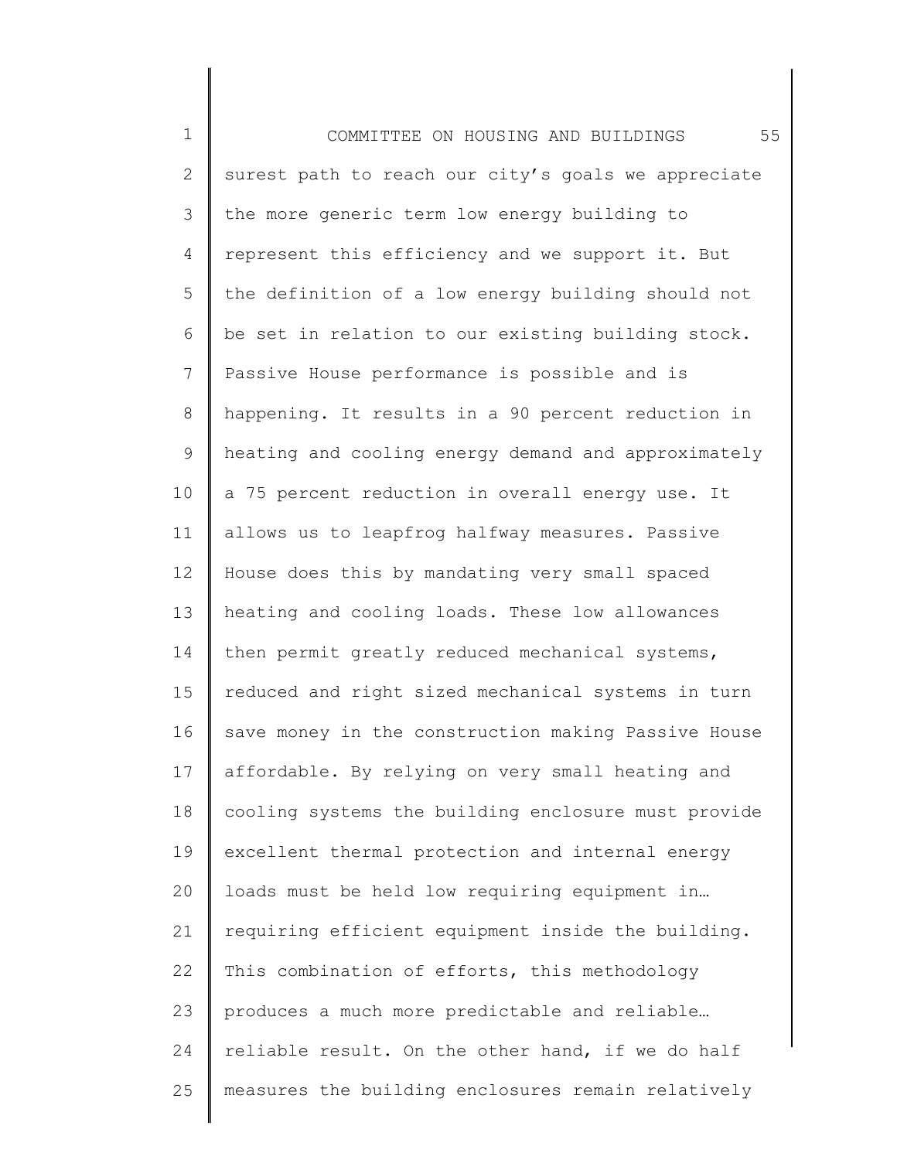1 2 3 4 5 6 7 8 9 10 11 12 13 14 15 16 17 18 19 20 21 22 23 24 25 COMMITTEE ON HOUSING AND BUILDINGS 55 surest path to reach our city's goals we appreciate the more generic term low energy building to represent this efficiency and we support it. But the definition of a low energy building should not be set in relation to our existing building stock. Passive House performance is possible and is happening. It results in a 90 percent reduction in heating and cooling energy demand and approximately a 75 percent reduction in overall energy use. It allows us to leapfrog halfway measures. Passive House does this by mandating very small spaced heating and cooling loads. These low allowances then permit greatly reduced mechanical systems, reduced and right sized mechanical systems in turn save money in the construction making Passive House affordable. By relying on very small heating and cooling systems the building enclosure must provide excellent thermal protection and internal energy loads must be held low requiring equipment in… requiring efficient equipment inside the building. This combination of efforts, this methodology produces a much more predictable and reliable… reliable result. On the other hand, if we do half measures the building enclosures remain relatively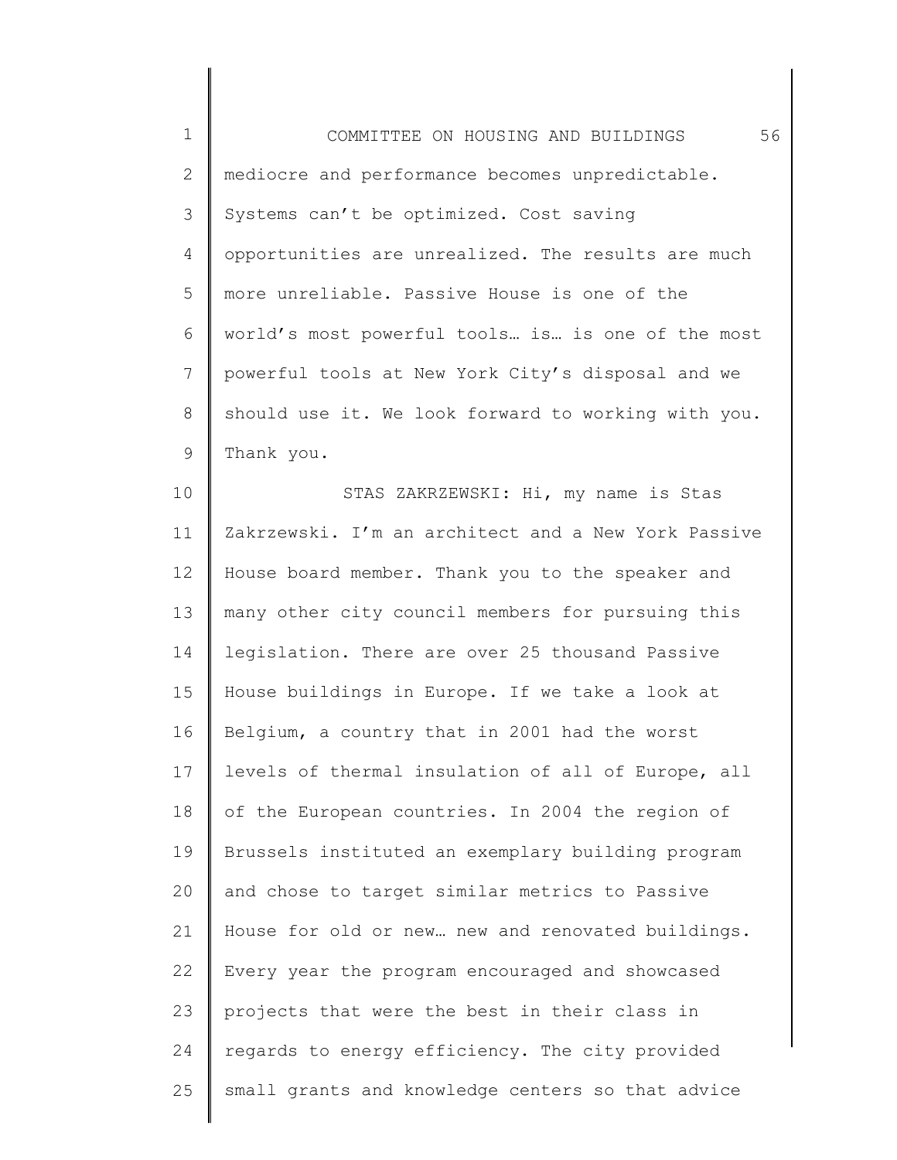1 2 3 4 5 6 7 8 9 COMMITTEE ON HOUSING AND BUILDINGS 56 mediocre and performance becomes unpredictable. Systems can't be optimized. Cost saving opportunities are unrealized. The results are much more unreliable. Passive House is one of the world's most powerful tools… is… is one of the most powerful tools at New York City's disposal and we should use it. We look forward to working with you. Thank you.

10 11 12 13 14 15 16 17 18 19 20 21 22 23 24 25 STAS ZAKRZEWSKI: Hi, my name is Stas Zakrzewski. I'm an architect and a New York Passive House board member. Thank you to the speaker and many other city council members for pursuing this legislation. There are over 25 thousand Passive House buildings in Europe. If we take a look at Belgium, a country that in 2001 had the worst levels of thermal insulation of all of Europe, all of the European countries. In 2004 the region of Brussels instituted an exemplary building program and chose to target similar metrics to Passive House for old or new… new and renovated buildings. Every year the program encouraged and showcased projects that were the best in their class in regards to energy efficiency. The city provided small grants and knowledge centers so that advice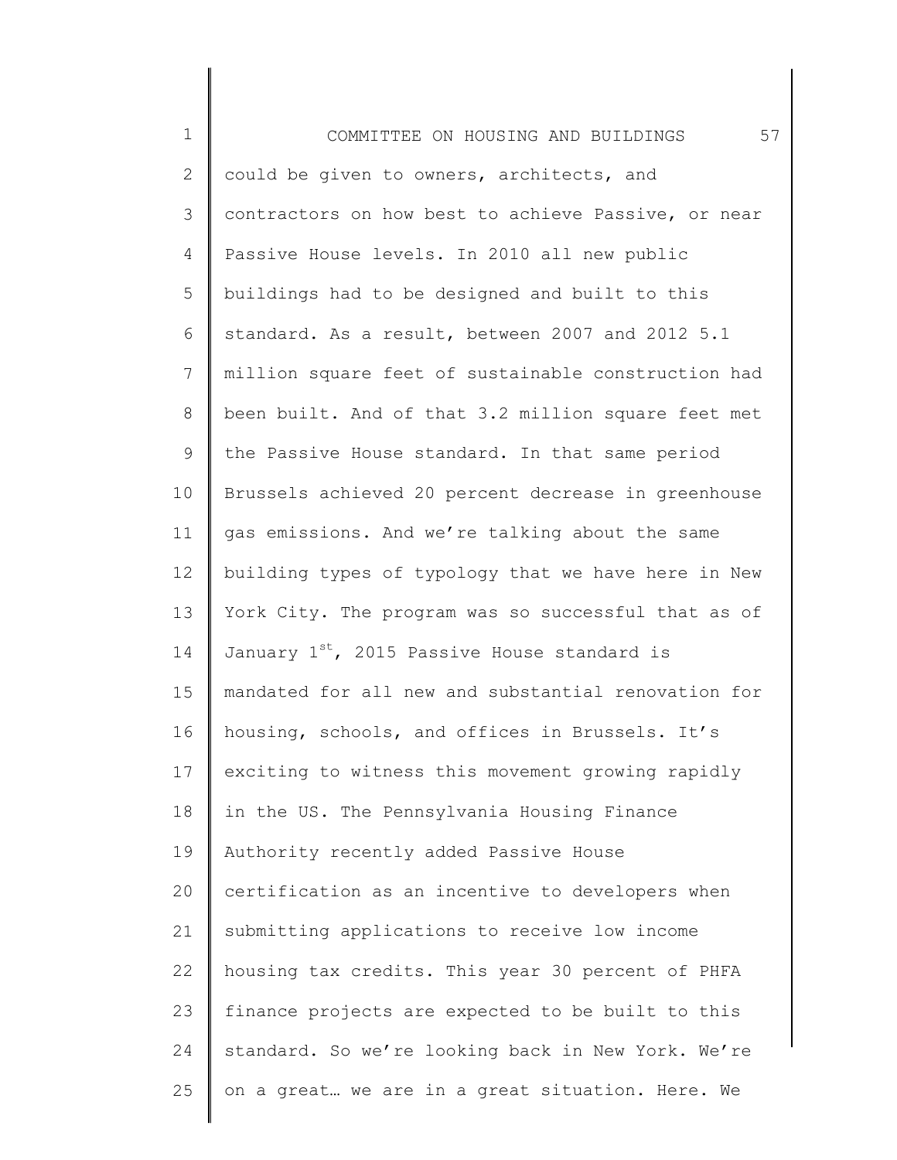1 2 3 4 5 6 7 8 9 10 11 12 13 14 15 16 17 18 19 20 21 22 23 24 25 COMMITTEE ON HOUSING AND BUILDINGS 57 could be given to owners, architects, and contractors on how best to achieve Passive, or near Passive House levels. In 2010 all new public buildings had to be designed and built to this standard. As a result, between 2007 and 2012 5.1 million square feet of sustainable construction had been built. And of that 3.2 million square feet met the Passive House standard. In that same period Brussels achieved 20 percent decrease in greenhouse gas emissions. And we're talking about the same building types of typology that we have here in New York City. The program was so successful that as of January  $1^{st}$ , 2015 Passive House standard is mandated for all new and substantial renovation for housing, schools, and offices in Brussels. It's exciting to witness this movement growing rapidly in the US. The Pennsylvania Housing Finance Authority recently added Passive House certification as an incentive to developers when submitting applications to receive low income housing tax credits. This year 30 percent of PHFA finance projects are expected to be built to this standard. So we're looking back in New York. We're on a great… we are in a great situation. Here. We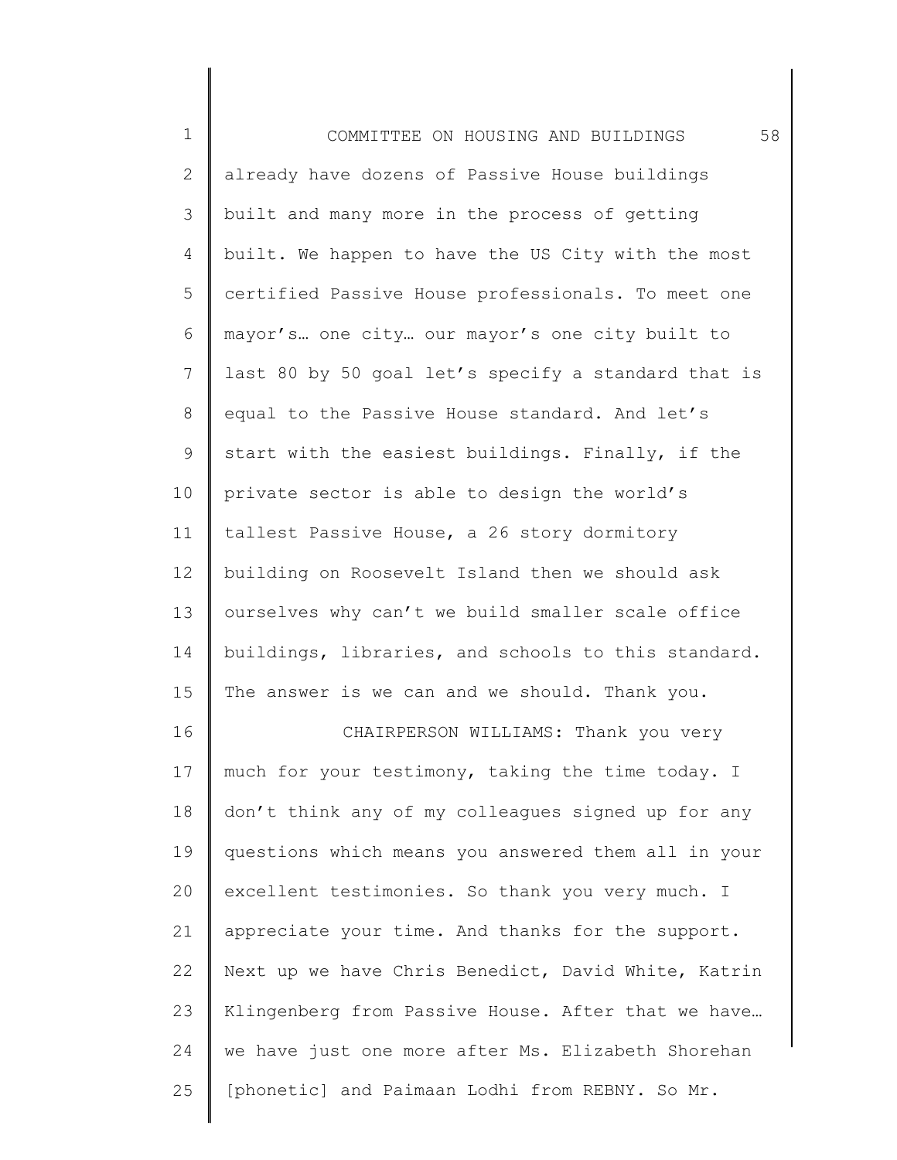| $\mathbf 1$    | 58<br>COMMITTEE ON HOUSING AND BUILDINGS            |
|----------------|-----------------------------------------------------|
| $\overline{2}$ | already have dozens of Passive House buildings      |
| 3              | built and many more in the process of getting       |
| 4              | built. We happen to have the US City with the most  |
| 5              | certified Passive House professionals. To meet one  |
| 6              | mayor's one city our mayor's one city built to      |
| 7              | last 80 by 50 goal let's specify a standard that is |
| 8              | equal to the Passive House standard. And let's      |
| 9              | start with the easiest buildings. Finally, if the   |
| 10             | private sector is able to design the world's        |
| 11             | tallest Passive House, a 26 story dormitory         |
| 12             | building on Roosevelt Island then we should ask     |
| 13             | ourselves why can't we build smaller scale office   |
| 14             | buildings, libraries, and schools to this standard. |
| 15             | The answer is we can and we should. Thank you.      |
| 16             | CHAIRPERSON WILLIAMS: Thank you very                |
| 17             | much for your testimony, taking the time today. I   |
| 18             | don't think any of my colleagues signed up for any  |
| 19             | questions which means you answered them all in your |
| 20             | excellent testimonies. So thank you very much. I    |
| 21             | appreciate your time. And thanks for the support.   |
| 22             | Next up we have Chris Benedict, David White, Katrin |
| 23             | Klingenberg from Passive House. After that we have  |
| 24             | we have just one more after Ms. Elizabeth Shorehan  |
| 25             | [phonetic] and Paimaan Lodhi from REBNY. So Mr.     |
|                |                                                     |

 $\mathsf I$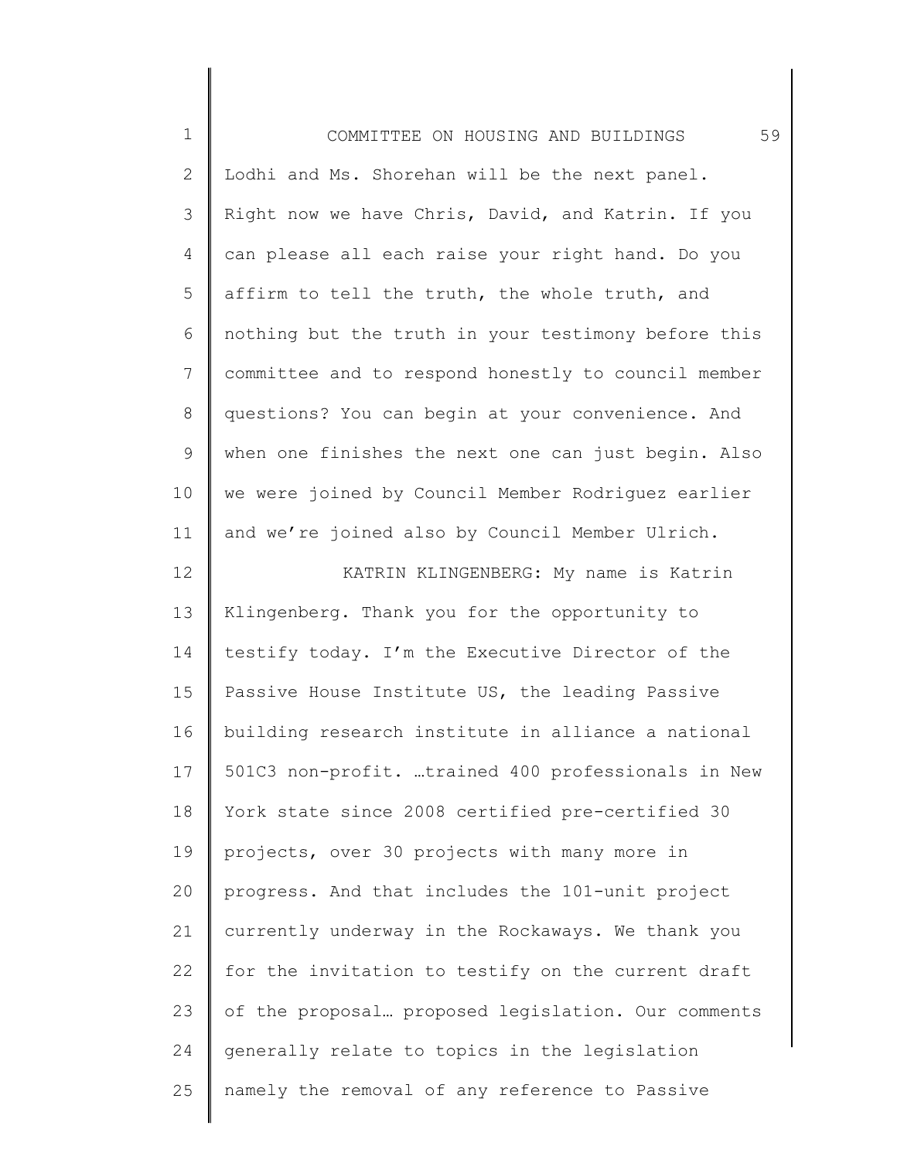| $\mathbf 1$   | 59<br>COMMITTEE ON HOUSING AND BUILDINGS            |
|---------------|-----------------------------------------------------|
| $\mathbf{2}$  | Lodhi and Ms. Shorehan will be the next panel.      |
| $\mathcal{S}$ | Right now we have Chris, David, and Katrin. If you  |
| 4             | can please all each raise your right hand. Do you   |
| 5             | affirm to tell the truth, the whole truth, and      |
| 6             | nothing but the truth in your testimony before this |
| 7             | committee and to respond honestly to council member |
| $8\,$         | questions? You can begin at your convenience. And   |
| 9             | when one finishes the next one can just begin. Also |
| 10            | we were joined by Council Member Rodriguez earlier  |
| 11            | and we're joined also by Council Member Ulrich.     |
| 12            | KATRIN KLINGENBERG: My name is Katrin               |
| 13            | Klingenberg. Thank you for the opportunity to       |
| 14            | testify today. I'm the Executive Director of the    |
| 15            | Passive House Institute US, the leading Passive     |
| 16            | building research institute in alliance a national  |
| 17            | 501C3 non-profit. trained 400 professionals in New  |
| 18            | York state since 2008 certified pre-certified 30    |
| 19            | projects, over 30 projects with many more in        |
| 20            | progress. And that includes the 101-unit project    |
| 21            | currently underway in the Rockaways. We thank you   |
| 22            | for the invitation to testify on the current draft  |
| 23            | of the proposal proposed legislation. Our comments  |
| 24            | generally relate to topics in the legislation       |
| 25            | namely the removal of any reference to Passive      |
|               |                                                     |

 $\begin{array}{c} \hline \end{array}$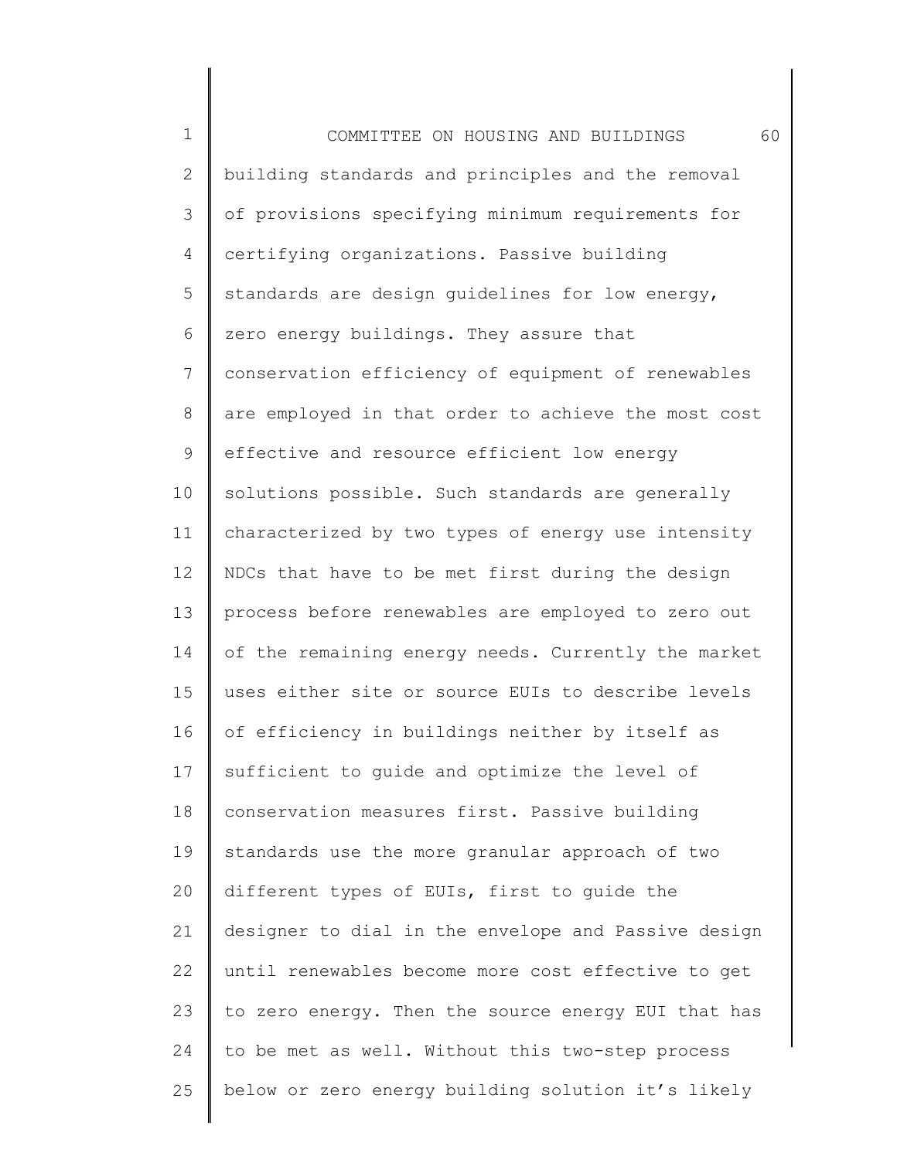1 2 3 4 5 6 7 8 9 10 11 12 13 14 15 16 17 18 19 20 21 22 23 24 25 COMMITTEE ON HOUSING AND BUILDINGS 60 building standards and principles and the removal of provisions specifying minimum requirements for certifying organizations. Passive building standards are design guidelines for low energy, zero energy buildings. They assure that conservation efficiency of equipment of renewables are employed in that order to achieve the most cost effective and resource efficient low energy solutions possible. Such standards are generally characterized by two types of energy use intensity NDCs that have to be met first during the design process before renewables are employed to zero out of the remaining energy needs. Currently the market uses either site or source EUIs to describe levels of efficiency in buildings neither by itself as sufficient to guide and optimize the level of conservation measures first. Passive building standards use the more granular approach of two different types of EUIs, first to guide the designer to dial in the envelope and Passive design until renewables become more cost effective to get to zero energy. Then the source energy EUI that has to be met as well. Without this two-step process below or zero energy building solution it's likely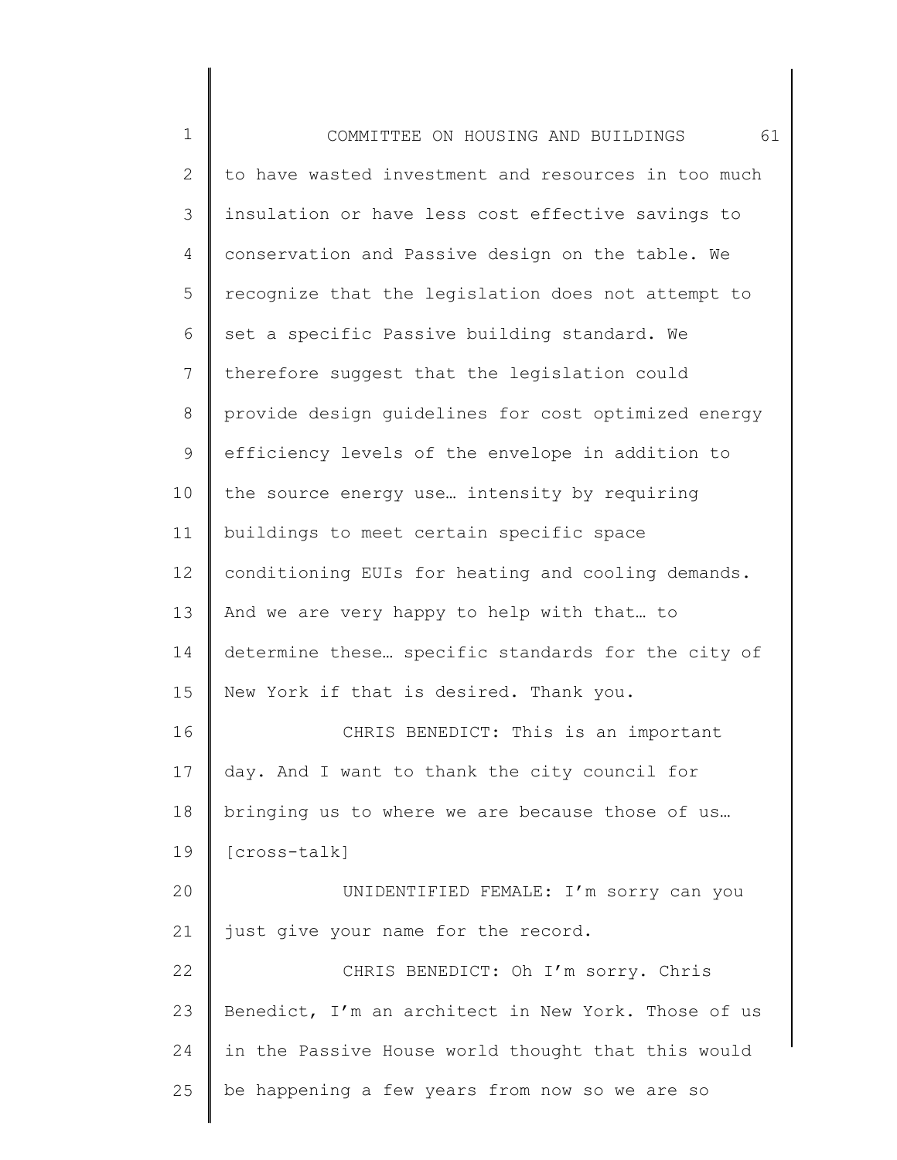1 2 3 4 5 6 7 8 9 10 11 12 13 14 15 16 17 18 19 20 21 22 23 24 25 COMMITTEE ON HOUSING AND BUILDINGS 61 to have wasted investment and resources in too much insulation or have less cost effective savings to conservation and Passive design on the table. We recognize that the legislation does not attempt to set a specific Passive building standard. We therefore suggest that the legislation could provide design guidelines for cost optimized energy efficiency levels of the envelope in addition to the source energy use… intensity by requiring buildings to meet certain specific space conditioning EUIs for heating and cooling demands. And we are very happy to help with that… to determine these… specific standards for the city of New York if that is desired. Thank you. CHRIS BENEDICT: This is an important day. And I want to thank the city council for bringing us to where we are because those of us… [cross-talk] UNIDENTIFIED FEMALE: I'm sorry can you just give your name for the record. CHRIS BENEDICT: Oh I'm sorry. Chris Benedict, I'm an architect in New York. Those of us in the Passive House world thought that this would be happening a few years from now so we are so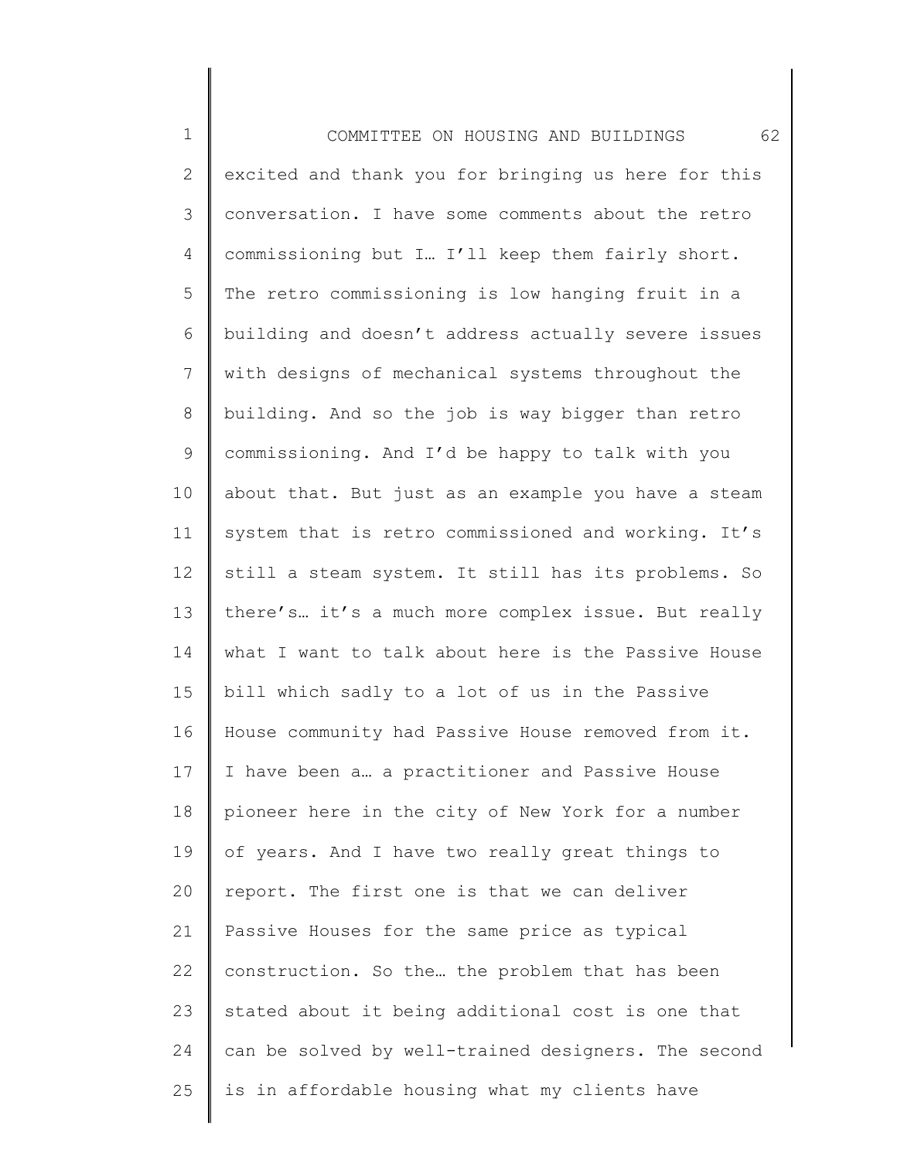1 2 3 4 5 6 7 8 9 10 11 12 13 14 15 16 17 18 19 20 21 22 23 24 25 COMMITTEE ON HOUSING AND BUILDINGS 62 excited and thank you for bringing us here for this conversation. I have some comments about the retro commissioning but I… I'll keep them fairly short. The retro commissioning is low hanging fruit in a building and doesn't address actually severe issues with designs of mechanical systems throughout the building. And so the job is way bigger than retro commissioning. And I'd be happy to talk with you about that. But just as an example you have a steam system that is retro commissioned and working. It's still a steam system. It still has its problems. So there's… it's a much more complex issue. But really what I want to talk about here is the Passive House bill which sadly to a lot of us in the Passive House community had Passive House removed from it. I have been a… a practitioner and Passive House pioneer here in the city of New York for a number of years. And I have two really great things to report. The first one is that we can deliver Passive Houses for the same price as typical construction. So the… the problem that has been stated about it being additional cost is one that can be solved by well-trained designers. The second is in affordable housing what my clients have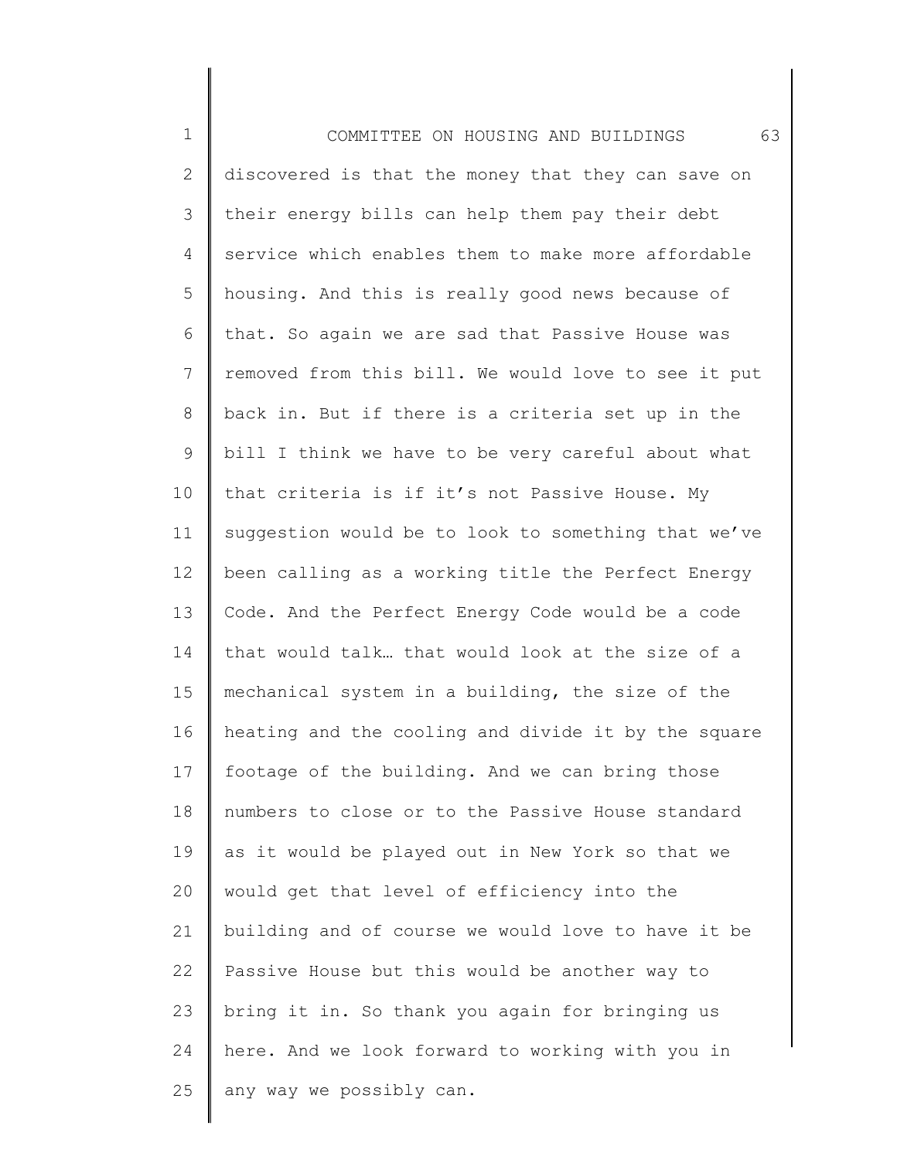1 2 3 4 5 6 7 8 9 10 11 12 13 14 15 16 17 18 19 20 21 22 23 24 25 COMMITTEE ON HOUSING AND BUILDINGS 63 discovered is that the money that they can save on their energy bills can help them pay their debt service which enables them to make more affordable housing. And this is really good news because of that. So again we are sad that Passive House was removed from this bill. We would love to see it put back in. But if there is a criteria set up in the bill I think we have to be very careful about what that criteria is if it's not Passive House. My suggestion would be to look to something that we've been calling as a working title the Perfect Energy Code. And the Perfect Energy Code would be a code that would talk… that would look at the size of a mechanical system in a building, the size of the heating and the cooling and divide it by the square footage of the building. And we can bring those numbers to close or to the Passive House standard as it would be played out in New York so that we would get that level of efficiency into the building and of course we would love to have it be Passive House but this would be another way to bring it in. So thank you again for bringing us here. And we look forward to working with you in any way we possibly can.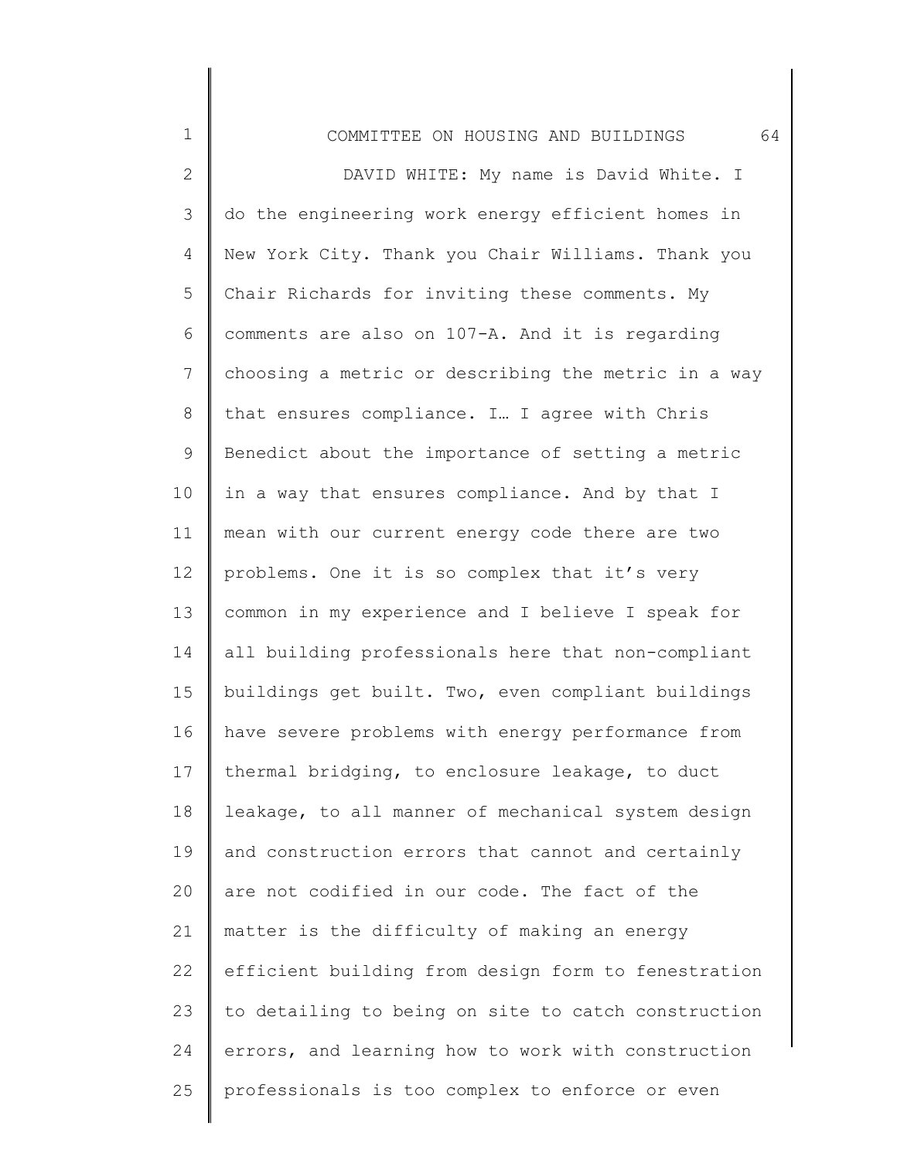| $\mathbf 1$    | 64<br>COMMITTEE ON HOUSING AND BUILDINGS            |
|----------------|-----------------------------------------------------|
| $\mathbf{2}$   | DAVID WHITE: My name is David White. I              |
| $\mathcal{S}$  | do the engineering work energy efficient homes in   |
| 4              | New York City. Thank you Chair Williams. Thank you  |
| 5              | Chair Richards for inviting these comments. My      |
| 6              | comments are also on 107-A. And it is regarding     |
| $7\phantom{.}$ | choosing a metric or describing the metric in a way |
| $\,8\,$        | that ensures compliance. I I agree with Chris       |
| 9              | Benedict about the importance of setting a metric   |
| 10             | in a way that ensures compliance. And by that I     |
| 11             | mean with our current energy code there are two     |
| 12             | problems. One it is so complex that it's very       |
| 13             | common in my experience and I believe I speak for   |
| 14             | all building professionals here that non-compliant  |
| 15             | buildings get built. Two, even compliant buildings  |
| 16             | have severe problems with energy performance from   |
| 17             | thermal bridging, to enclosure leakage, to duct     |
| 18             | leakage, to all manner of mechanical system design  |
| 19             | and construction errors that cannot and certainly   |
| 20             | are not codified in our code. The fact of the       |
| 21             | matter is the difficulty of making an energy        |
| 22             | efficient building from design form to fenestration |
| 23             | to detailing to being on site to catch construction |
| 24             | errors, and learning how to work with construction  |
| 25             | professionals is too complex to enforce or even     |
|                |                                                     |

∥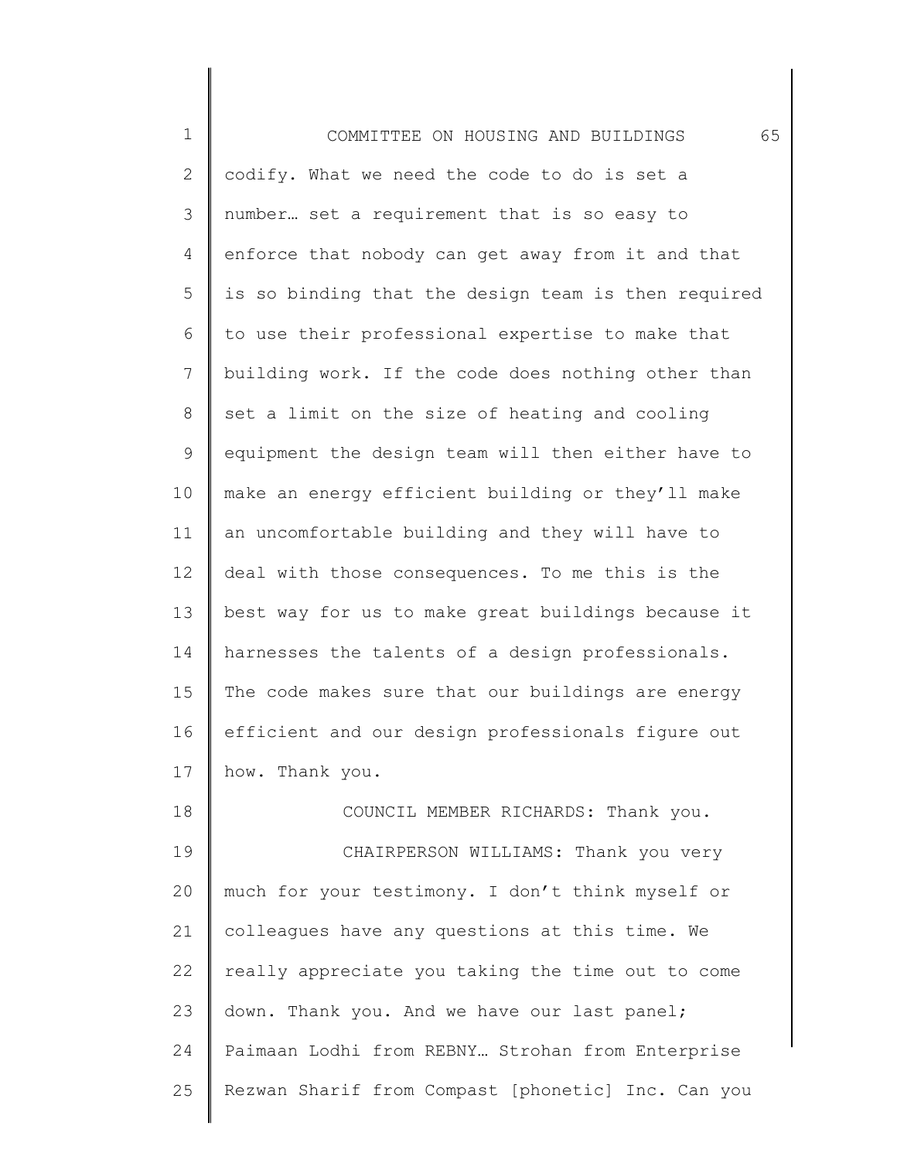1 2 3 4 5 6 7 8 9 10 11 12 13 14 15 16 17 18 19 20 21 COMMITTEE ON HOUSING AND BUILDINGS 65 codify. What we need the code to do is set a number… set a requirement that is so easy to enforce that nobody can get away from it and that is so binding that the design team is then required to use their professional expertise to make that building work. If the code does nothing other than set a limit on the size of heating and cooling equipment the design team will then either have to make an energy efficient building or they'll make an uncomfortable building and they will have to deal with those consequences. To me this is the best way for us to make great buildings because it harnesses the talents of a design professionals. The code makes sure that our buildings are energy efficient and our design professionals figure out how. Thank you. COUNCIL MEMBER RICHARDS: Thank you. CHAIRPERSON WILLIAMS: Thank you very much for your testimony. I don't think myself or colleagues have any questions at this time. We

22 23 24 25 really appreciate you taking the time out to come down. Thank you. And we have our last panel; Paimaan Lodhi from REBNY… Strohan from Enterprise Rezwan Sharif from Compast [phonetic] Inc. Can you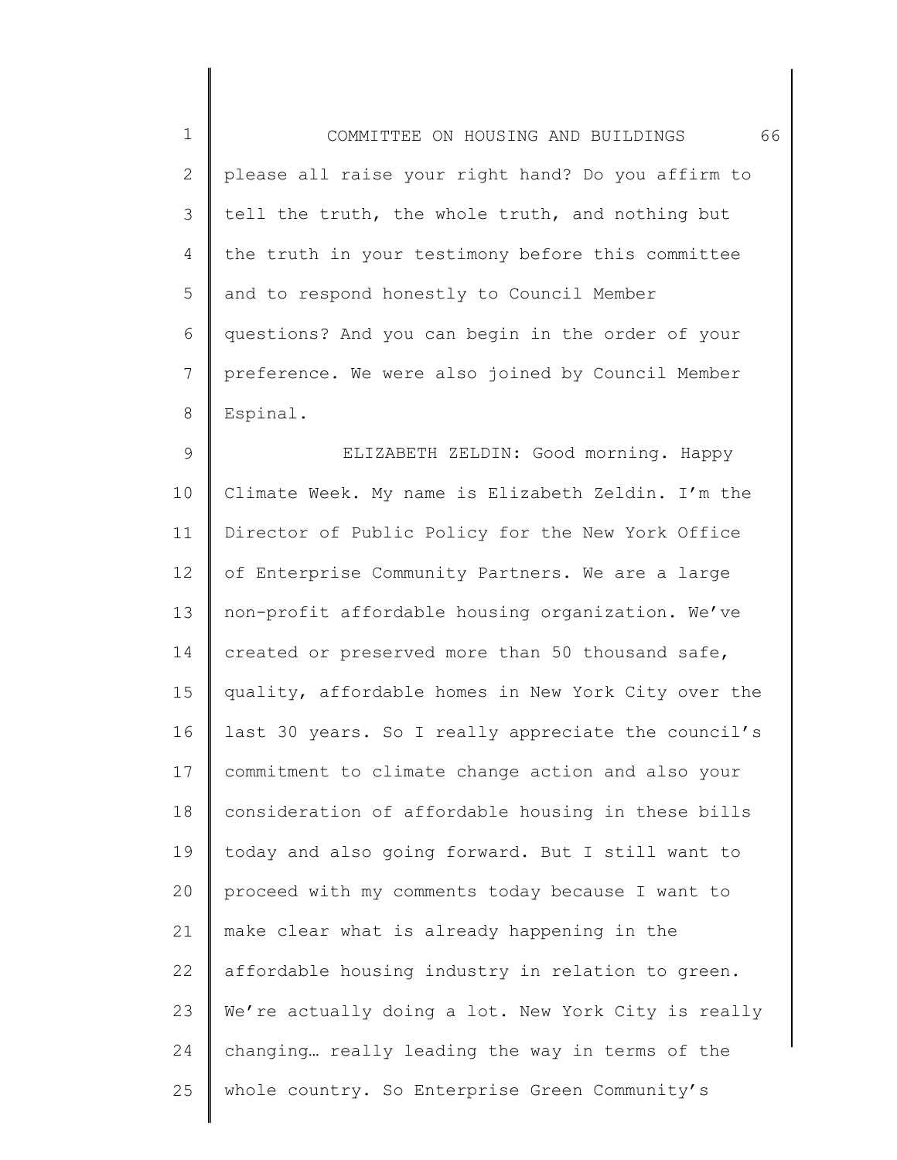1 2 3 4 5 6 7 8 COMMITTEE ON HOUSING AND BUILDINGS 66 please all raise your right hand? Do you affirm to tell the truth, the whole truth, and nothing but the truth in your testimony before this committee and to respond honestly to Council Member questions? And you can begin in the order of your preference. We were also joined by Council Member Espinal.

9 10 11 12 13 14 15 16 17 18 19 20 21 22 23 24 25 ELIZABETH ZELDIN: Good morning. Happy Climate Week. My name is Elizabeth Zeldin. I'm the Director of Public Policy for the New York Office of Enterprise Community Partners. We are a large non-profit affordable housing organization. We've created or preserved more than 50 thousand safe, quality, affordable homes in New York City over the last 30 years. So I really appreciate the council's commitment to climate change action and also your consideration of affordable housing in these bills today and also going forward. But I still want to proceed with my comments today because I want to make clear what is already happening in the affordable housing industry in relation to green. We're actually doing a lot. New York City is really changing… really leading the way in terms of the whole country. So Enterprise Green Community's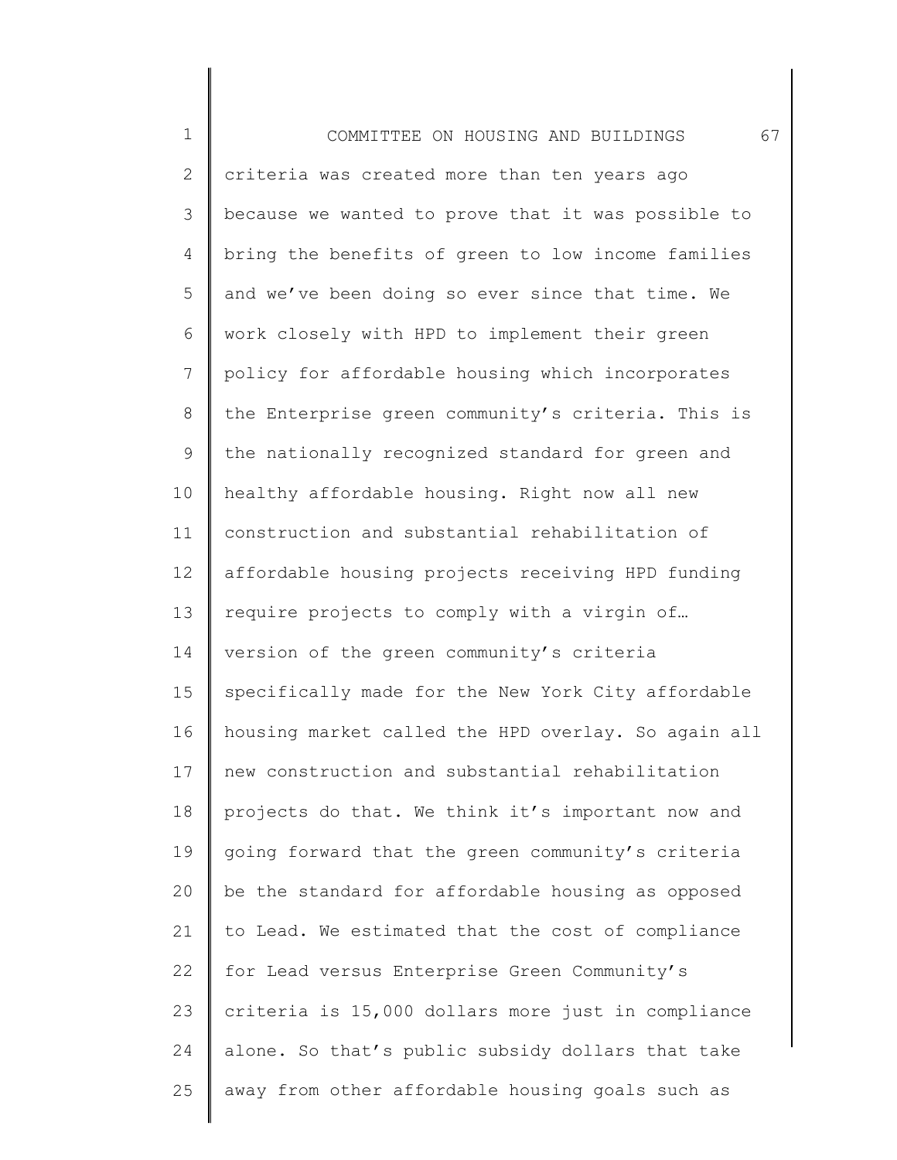| $\mathbf 1$    | 67<br>COMMITTEE ON HOUSING AND BUILDINGS            |
|----------------|-----------------------------------------------------|
| $\mathbf{2}$   | criteria was created more than ten years ago        |
| 3              | because we wanted to prove that it was possible to  |
| 4              | bring the benefits of green to low income families  |
| 5              | and we've been doing so ever since that time. We    |
| 6              | work closely with HPD to implement their green      |
| $\overline{7}$ | policy for affordable housing which incorporates    |
| 8              | the Enterprise green community's criteria. This is  |
| 9              | the nationally recognized standard for green and    |
| 10             | healthy affordable housing. Right now all new       |
| 11             | construction and substantial rehabilitation of      |
| 12             | affordable housing projects receiving HPD funding   |
| 13             | require projects to comply with a virgin of         |
| 14             | version of the green community's criteria           |
| 15             | specifically made for the New York City affordable  |
| 16             | housing market called the HPD overlay. So again all |
| 17             | new construction and substantial rehabilitation     |
| 18             | projects do that. We think it's important now and   |
| 19             | going forward that the green community's criteria   |
| 20             | be the standard for affordable housing as opposed   |
| 21             | to Lead. We estimated that the cost of compliance   |
| 22             | for Lead versus Enterprise Green Community's        |
| 23             | criteria is 15,000 dollars more just in compliance  |
| 24             | alone. So that's public subsidy dollars that take   |
| 25             | away from other affordable housing goals such as    |
|                |                                                     |

II ║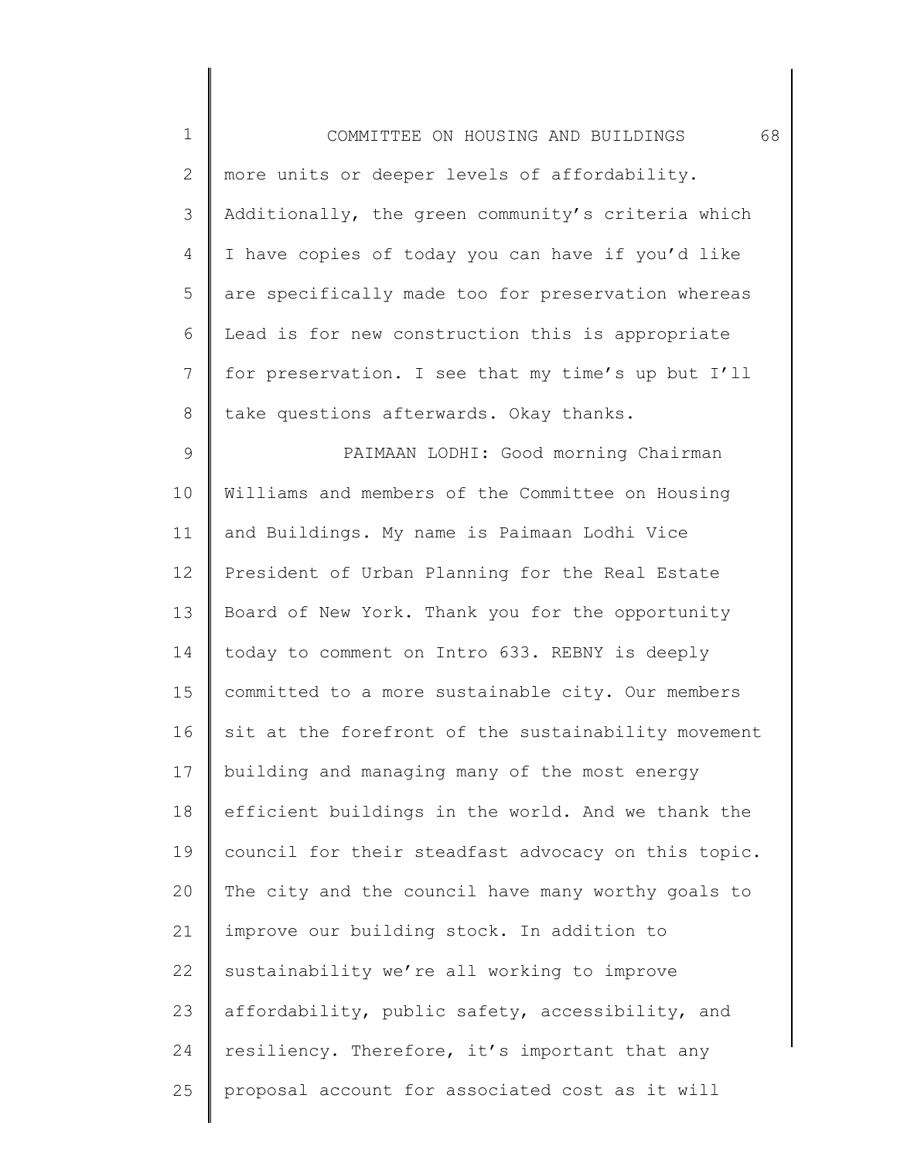| $\mathbf 1$   | 68<br>COMMITTEE ON HOUSING AND BUILDINGS            |
|---------------|-----------------------------------------------------|
| $\mathbf{2}$  | more units or deeper levels of affordability.       |
| 3             | Additionally, the green community's criteria which  |
| 4             | I have copies of today you can have if you'd like   |
| 5             | are specifically made too for preservation whereas  |
| 6             | Lead is for new construction this is appropriate    |
| 7             | for preservation. I see that my time's up but I'll  |
| $8\,$         | take questions afterwards. Okay thanks.             |
| $\mathcal{G}$ | PAIMAAN LODHI: Good morning Chairman                |
| 10            | Williams and members of the Committee on Housing    |
| 11            | and Buildings. My name is Paimaan Lodhi Vice        |
| 12            | President of Urban Planning for the Real Estate     |
| 13            | Board of New York. Thank you for the opportunity    |
| 14            | today to comment on Intro 633. REBNY is deeply      |
| 15            | committed to a more sustainable city. Our members   |
| 16            | sit at the forefront of the sustainability movement |
| 17            | building and managing many of the most energy       |
| 18            | efficient buildings in the world. And we thank the  |
| 19            | council for their steadfast advocacy on this topic. |
| 20            | The city and the council have many worthy goals to  |
| 21            | improve our building stock. In addition to          |
| 22            | sustainability we're all working to improve         |
| 23            | affordability, public safety, accessibility, and    |
| 24            | resiliency. Therefore, it's important that any      |
| 25            | proposal account for associated cost as it will     |
|               |                                                     |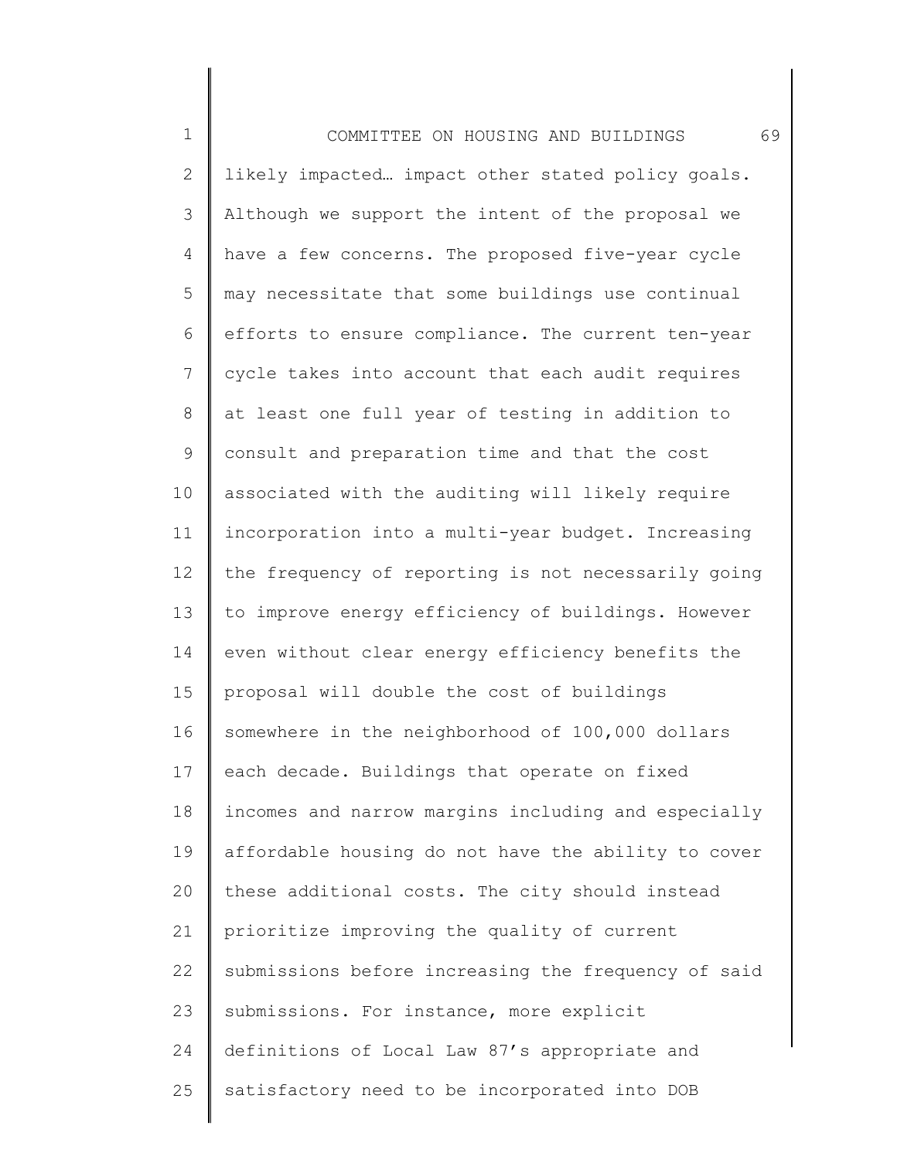| $\mathbf 1$    | 69<br>COMMITTEE ON HOUSING AND BUILDINGS            |
|----------------|-----------------------------------------------------|
| $\mathbf{2}$   | likely impacted impact other stated policy goals.   |
| 3              | Although we support the intent of the proposal we   |
| $\overline{4}$ | have a few concerns. The proposed five-year cycle   |
| 5              | may necessitate that some buildings use continual   |
| 6              | efforts to ensure compliance. The current ten-year  |
| 7              | cycle takes into account that each audit requires   |
| 8              | at least one full year of testing in addition to    |
| 9              | consult and preparation time and that the cost      |
| 10             | associated with the auditing will likely require    |
| 11             | incorporation into a multi-year budget. Increasing  |
| 12             | the frequency of reporting is not necessarily going |
| 13             | to improve energy efficiency of buildings. However  |
| 14             | even without clear energy efficiency benefits the   |
| 15             | proposal will double the cost of buildings          |
| 16             | somewhere in the neighborhood of 100,000 dollars    |
| 17             | each decade. Buildings that operate on fixed        |
| 18             | incomes and narrow margins including and especially |
| 19             | affordable housing do not have the ability to cover |
| 20             | these additional costs. The city should instead     |
| 21             | prioritize improving the quality of current         |
| 22             | submissions before increasing the frequency of said |
| 23             | submissions. For instance, more explicit            |
| 24             | definitions of Local Law 87's appropriate and       |
| 25             | satisfactory need to be incorporated into DOB       |
|                |                                                     |

II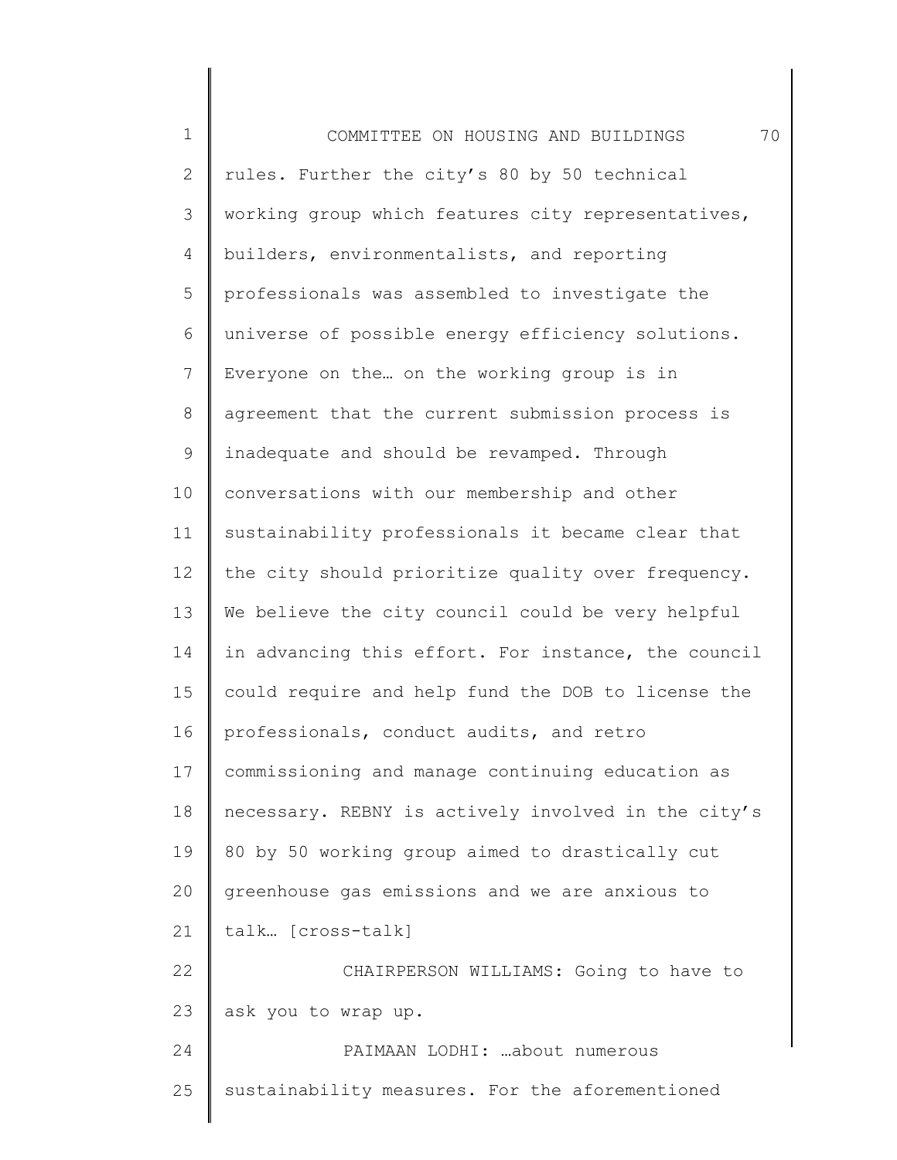1 2 3 4 5 6 7 8 9 10 11 12 13 14 15 16 17 18 19 20 21 22 23 24 25 COMMITTEE ON HOUSING AND BUILDINGS 70 rules. Further the city's 80 by 50 technical working group which features city representatives, builders, environmentalists, and reporting professionals was assembled to investigate the universe of possible energy efficiency solutions. Everyone on the… on the working group is in agreement that the current submission process is inadequate and should be revamped. Through conversations with our membership and other sustainability professionals it became clear that the city should prioritize quality over frequency. We believe the city council could be very helpful in advancing this effort. For instance, the council could require and help fund the DOB to license the professionals, conduct audits, and retro commissioning and manage continuing education as necessary. REBNY is actively involved in the city's 80 by 50 working group aimed to drastically cut greenhouse gas emissions and we are anxious to talk… [cross-talk] CHAIRPERSON WILLIAMS: Going to have to ask you to wrap up. PAIMAAN LODHI: …about numerous sustainability measures. For the aforementioned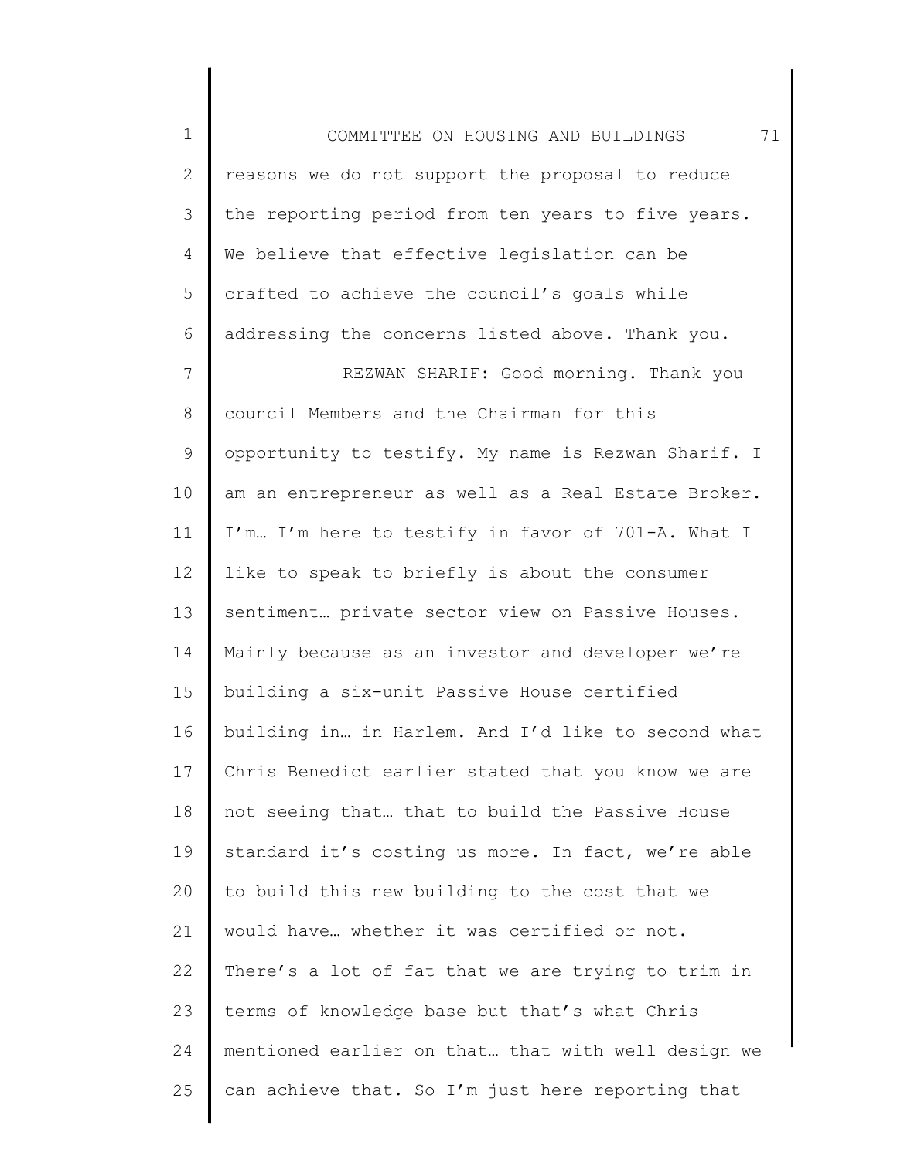1 2 3 4 5 6 7 8 9 10 11 12 13 14 15 16 17 18 19 20 21 22 23 24 25 COMMITTEE ON HOUSING AND BUILDINGS 71 reasons we do not support the proposal to reduce the reporting period from ten years to five years. We believe that effective legislation can be crafted to achieve the council's goals while addressing the concerns listed above. Thank you. REZWAN SHARIF: Good morning. Thank you council Members and the Chairman for this opportunity to testify. My name is Rezwan Sharif. I am an entrepreneur as well as a Real Estate Broker. I'm… I'm here to testify in favor of 701-A. What I like to speak to briefly is about the consumer sentiment… private sector view on Passive Houses. Mainly because as an investor and developer we're building a six-unit Passive House certified building in… in Harlem. And I'd like to second what Chris Benedict earlier stated that you know we are not seeing that… that to build the Passive House standard it's costing us more. In fact, we're able to build this new building to the cost that we would have… whether it was certified or not. There's a lot of fat that we are trying to trim in terms of knowledge base but that's what Chris mentioned earlier on that… that with well design we can achieve that. So I'm just here reporting that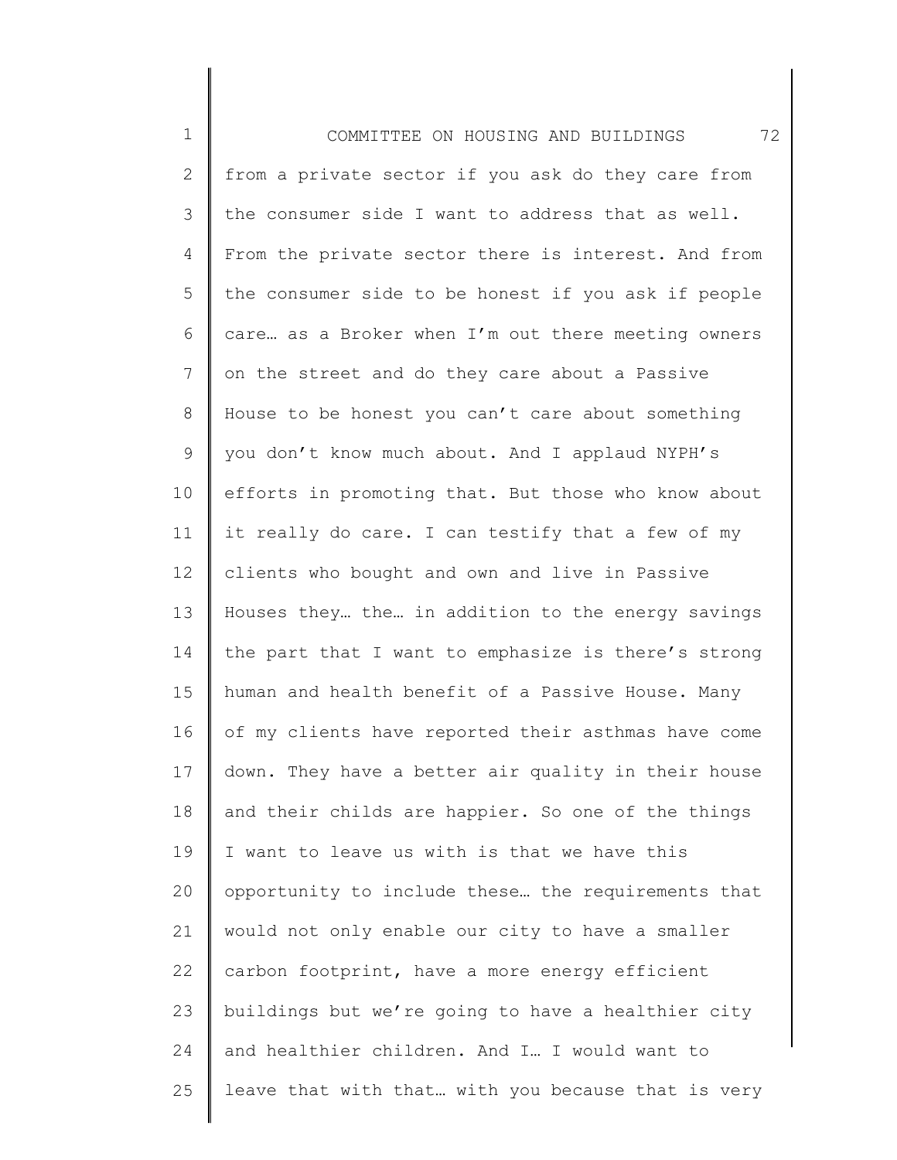1 2 3 4 5 6 7 8 9 10 11 12 13 14 15 16 17 18 19 20 21 22 23 24 25 COMMITTEE ON HOUSING AND BUILDINGS 72 from a private sector if you ask do they care from the consumer side I want to address that as well. From the private sector there is interest. And from the consumer side to be honest if you ask if people care… as a Broker when I'm out there meeting owners on the street and do they care about a Passive House to be honest you can't care about something you don't know much about. And I applaud NYPH's efforts in promoting that. But those who know about it really do care. I can testify that a few of my clients who bought and own and live in Passive Houses they… the… in addition to the energy savings the part that I want to emphasize is there's strong human and health benefit of a Passive House. Many of my clients have reported their asthmas have come down. They have a better air quality in their house and their childs are happier. So one of the things I want to leave us with is that we have this opportunity to include these… the requirements that would not only enable our city to have a smaller carbon footprint, have a more energy efficient buildings but we're going to have a healthier city and healthier children. And I… I would want to leave that with that… with you because that is very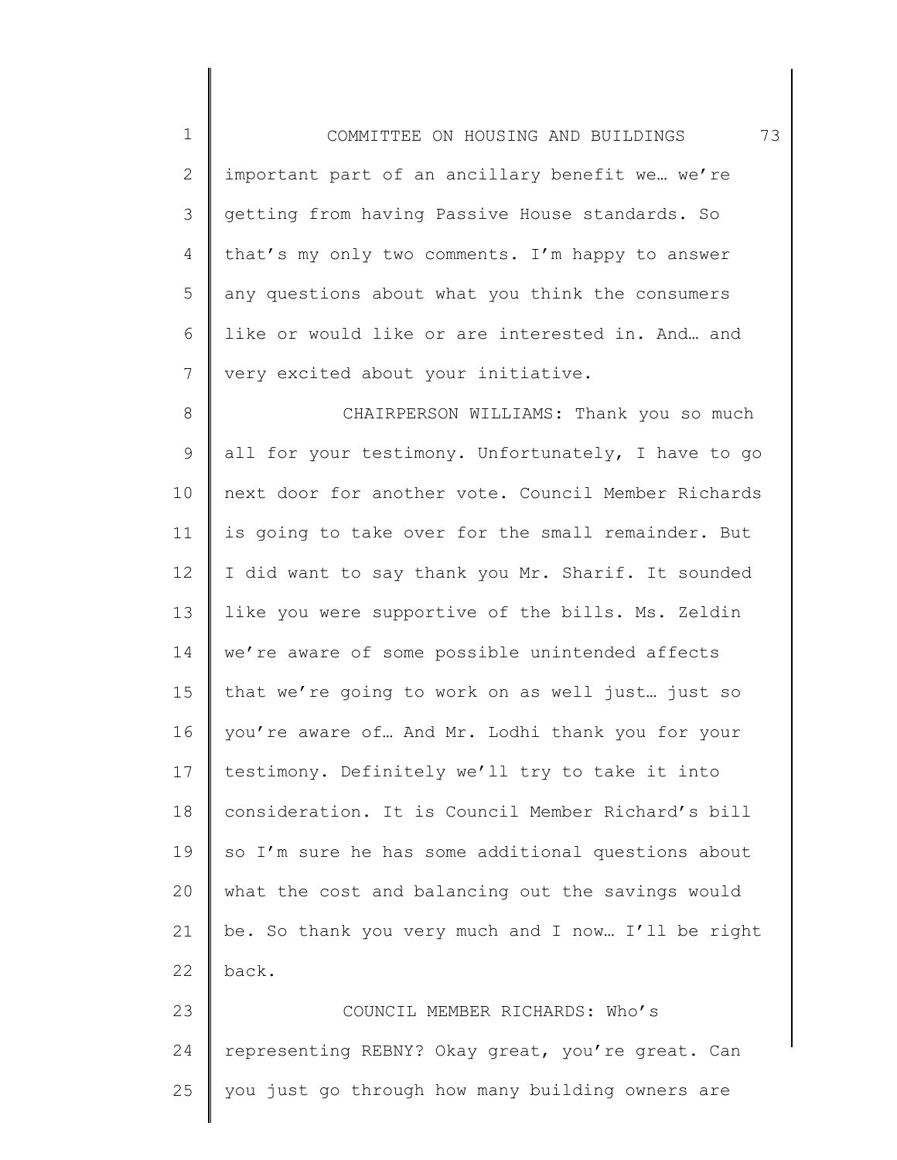1 2 3 4 5 6 7 COMMITTEE ON HOUSING AND BUILDINGS 73 important part of an ancillary benefit we… we're getting from having Passive House standards. So that's my only two comments. I'm happy to answer any questions about what you think the consumers like or would like or are interested in. And… and very excited about your initiative.

8 9 10 11 12 13 14 15 16 17 18 19 20 21 22 23 CHAIRPERSON WILLIAMS: Thank you so much all for your testimony. Unfortunately, I have to go next door for another vote. Council Member Richards is going to take over for the small remainder. But I did want to say thank you Mr. Sharif. It sounded like you were supportive of the bills. Ms. Zeldin we're aware of some possible unintended affects that we're going to work on as well just… just so you're aware of… And Mr. Lodhi thank you for your testimony. Definitely we'll try to take it into consideration. It is Council Member Richard's bill so I'm sure he has some additional questions about what the cost and balancing out the savings would be. So thank you very much and I now… I'll be right back. COUNCIL MEMBER RICHARDS: Who's

24 25 representing REBNY? Okay great, you're great. Can you just go through how many building owners are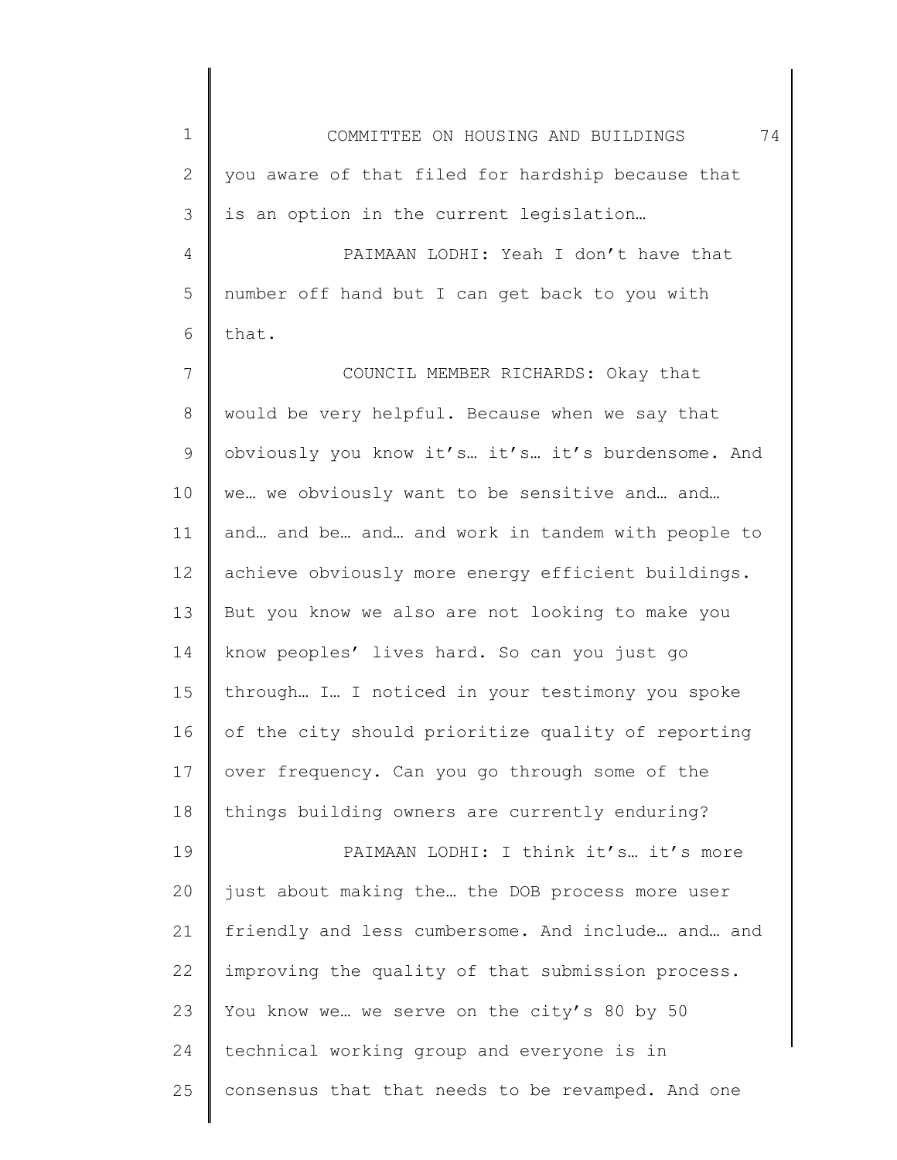1 2 3 4 5 6 7 8 9 10 11 12 13 14 15 16 17 18 19 20 21 22 23 24 25 COMMITTEE ON HOUSING AND BUILDINGS 74 you aware of that filed for hardship because that is an option in the current legislation… PAIMAAN LODHI: Yeah I don't have that number off hand but I can get back to you with that. COUNCIL MEMBER RICHARDS: Okay that would be very helpful. Because when we say that obviously you know it's… it's… it's burdensome. And we… we obviously want to be sensitive and… and… and… and be… and… and work in tandem with people to achieve obviously more energy efficient buildings. But you know we also are not looking to make you know peoples' lives hard. So can you just go through… I… I noticed in your testimony you spoke of the city should prioritize quality of reporting over frequency. Can you go through some of the things building owners are currently enduring? PAIMAAN LODHI: I think it's... it's more just about making the… the DOB process more user friendly and less cumbersome. And include… and… and improving the quality of that submission process. You know we... we serve on the city's 80 by 50 technical working group and everyone is in consensus that that needs to be revamped. And one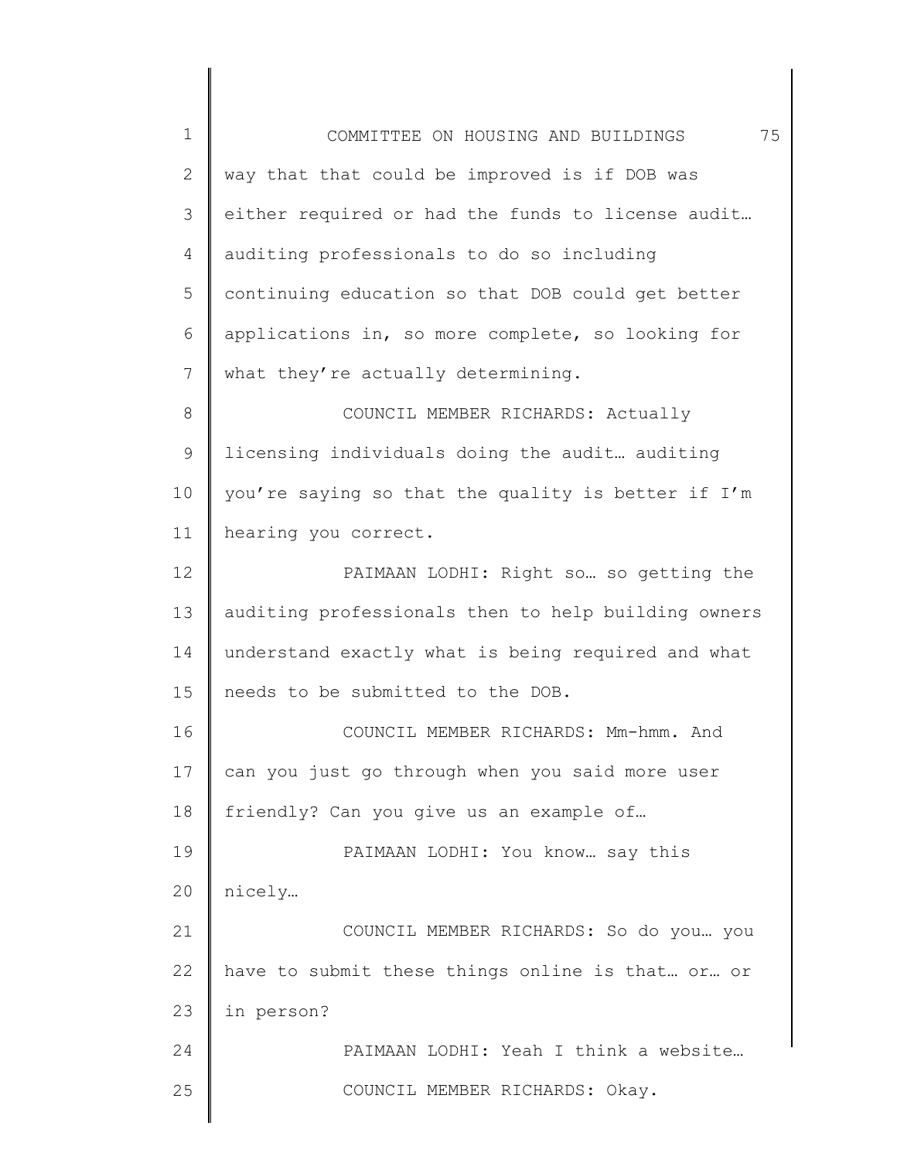1 2 3 4 5 6 7 8 9 10 11 12 13 14 15 16 17 18 19 20 21 22 23 24 25 COMMITTEE ON HOUSING AND BUILDINGS 75 way that that could be improved is if DOB was either required or had the funds to license audit… auditing professionals to do so including continuing education so that DOB could get better applications in, so more complete, so looking for what they're actually determining. COUNCIL MEMBER RICHARDS: Actually licensing individuals doing the audit… auditing you're saying so that the quality is better if I'm hearing you correct. PAIMAAN LODHI: Right so… so getting the auditing professionals then to help building owners understand exactly what is being required and what needs to be submitted to the DOB. COUNCIL MEMBER RICHARDS: Mm-hmm. And can you just go through when you said more user friendly? Can you give us an example of… PAIMAAN LODHI: You know… say this nicely… COUNCIL MEMBER RICHARDS: So do you… you have to submit these things online is that… or… or in person? PAIMAAN LODHI: Yeah I think a website… COUNCIL MEMBER RICHARDS: Okay.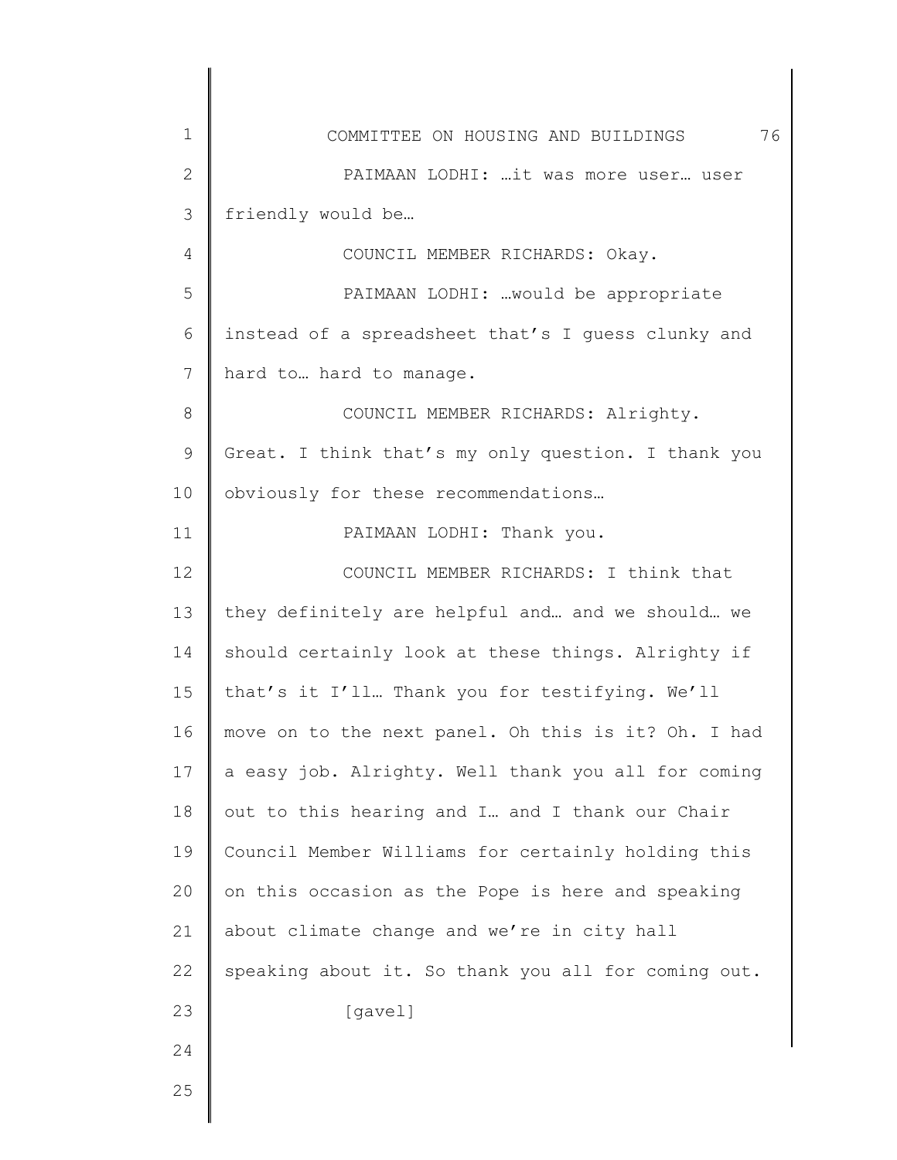| $\mathbf 1$   | 76<br>COMMITTEE ON HOUSING AND BUILDINGS            |
|---------------|-----------------------------------------------------|
| $\mathbf{2}$  | PAIMAAN LODHI:  it was more user user               |
| 3             | friendly would be                                   |
| 4             | COUNCIL MEMBER RICHARDS: Okay.                      |
| 5             | PAIMAAN LODHI:  would be appropriate                |
| 6             | instead of a spreadsheet that's I guess clunky and  |
| 7             | hard to hard to manage.                             |
| 8             | COUNCIL MEMBER RICHARDS: Alrighty.                  |
| $\mathcal{G}$ | Great. I think that's my only question. I thank you |
| 10            | obviously for these recommendations                 |
| 11            | PAIMAAN LODHI: Thank you.                           |
| 12            | COUNCIL MEMBER RICHARDS: I think that               |
| 13            | they definitely are helpful and and we should we    |
| 14            | should certainly look at these things. Alrighty if  |
| 15            | that's it I'll Thank you for testifying. We'll      |
| 16            | move on to the next panel. Oh this is it? Oh. I had |
| 17            | a easy job. Alrighty. Well thank you all for coming |
| 18            | out to this hearing and I and I thank our Chair     |
| 19            | Council Member Williams for certainly holding this  |
| 20            | on this occasion as the Pope is here and speaking   |
| 21            | about climate change and we're in city hall         |
| 22            | speaking about it. So thank you all for coming out. |
| 23            | [gavel]                                             |
| 24            |                                                     |
| 25            |                                                     |
|               |                                                     |